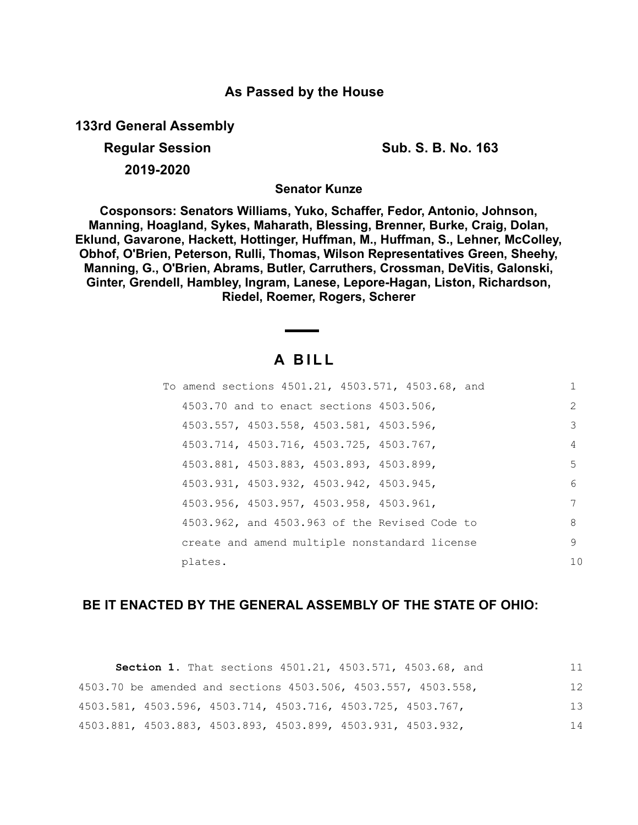### **As Passed by the House**

**133rd General Assembly**

**2019-2020**

**Regular Session Sub. S. B. No. 163**

**Senator Kunze**

**Cosponsors: Senators Williams, Yuko, Schaffer, Fedor, Antonio, Johnson, Manning, Hoagland, Sykes, Maharath, Blessing, Brenner, Burke, Craig, Dolan, Eklund, Gavarone, Hackett, Hottinger, Huffman, M., Huffman, S., Lehner, McColley, Obhof, O'Brien, Peterson, Rulli, Thomas, Wilson Representatives Green, Sheehy, Manning, G., O'Brien, Abrams, Butler, Carruthers, Crossman, DeVitis, Galonski, Ginter, Grendell, Hambley, Ingram, Lanese, Lepore-Hagan, Liston, Richardson, Riedel, Roemer, Rogers, Scherer**

# **A B I L L**

| To amend sections 4501.21, 4503.571, 4503.68, and | 1             |
|---------------------------------------------------|---------------|
| 4503.70 and to enact sections 4503.506,           | $\mathcal{L}$ |
| 4503.557, 4503.558, 4503.581, 4503.596,           | 3             |
| 4503.714, 4503.716, 4503.725, 4503.767,           | 4             |
| 4503.881, 4503.883, 4503.893, 4503.899,           | 5.            |
| 4503.931, 4503.932, 4503.942, 4503.945,           | 6             |
| 4503.956, 4503.957, 4503.958, 4503.961,           | 7             |
| 4503.962, and 4503.963 of the Revised Code to     | 8             |
| create and amend multiple nonstandard license     | 9             |
| plates.                                           | 10            |

## **BE IT ENACTED BY THE GENERAL ASSEMBLY OF THE STATE OF OHIO:**

|                                                               | Section 1. That sections 4501.21, 4503.571, 4503.68, and |  | 11 |
|---------------------------------------------------------------|----------------------------------------------------------|--|----|
| 4503.70 be amended and sections 4503.506, 4503.557, 4503.558, |                                                          |  | 12 |
| 4503.581, 4503.596, 4503.714, 4503.716, 4503.725, 4503.767,   |                                                          |  | 13 |
| 4503.881, 4503.883, 4503.893, 4503.899, 4503.931, 4503.932,   |                                                          |  | 14 |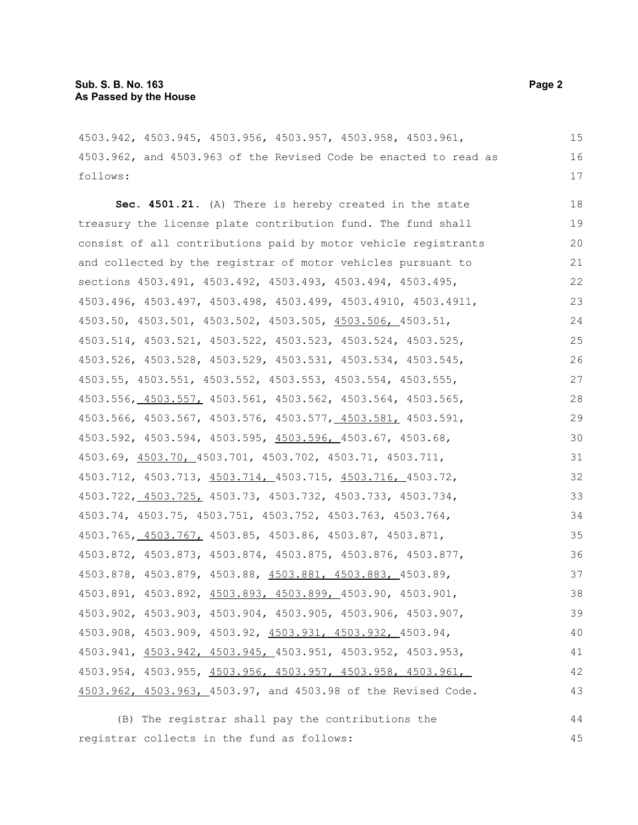4503.942, 4503.945, 4503.956, 4503.957, 4503.958, 4503.961, 4503.962, and 4503.963 of the Revised Code be enacted to read as follows: 15 16 17

**Sec. 4501.21.** (A) There is hereby created in the state treasury the license plate contribution fund. The fund shall consist of all contributions paid by motor vehicle registrants and collected by the registrar of motor vehicles pursuant to sections 4503.491, 4503.492, 4503.493, 4503.494, 4503.495, 4503.496, 4503.497, 4503.498, 4503.499, 4503.4910, 4503.4911, 4503.50, 4503.501, 4503.502, 4503.505, 4503.506, 4503.51, 4503.514, 4503.521, 4503.522, 4503.523, 4503.524, 4503.525, 4503.526, 4503.528, 4503.529, 4503.531, 4503.534, 4503.545, 4503.55, 4503.551, 4503.552, 4503.553, 4503.554, 4503.555, 4503.556, 4503.557, 4503.561, 4503.562, 4503.564, 4503.565, 4503.566, 4503.567, 4503.576, 4503.577, 4503.581, 4503.591, 4503.592, 4503.594, 4503.595, 4503.596, 4503.67, 4503.68, 4503.69, 4503.70, 4503.701, 4503.702, 4503.71, 4503.711, 4503.712, 4503.713, 4503.714, 4503.715, 4503.716, 4503.72, 4503.722, 4503.725, 4503.73, 4503.732, 4503.733, 4503.734, 4503.74, 4503.75, 4503.751, 4503.752, 4503.763, 4503.764, 4503.765, 4503.767, 4503.85, 4503.86, 4503.87, 4503.871, 4503.872, 4503.873, 4503.874, 4503.875, 4503.876, 4503.877, 4503.878, 4503.879, 4503.88, 4503.881, 4503.883, 4503.89, 4503.891, 4503.892, 4503.893, 4503.899, 4503.90, 4503.901, 4503.902, 4503.903, 4503.904, 4503.905, 4503.906, 4503.907, 4503.908, 4503.909, 4503.92, 4503.931, 4503.932, 4503.94, 4503.941, 4503.942, 4503.945, 4503.951, 4503.952, 4503.953, 4503.954, 4503.955, 4503.956, 4503.957, 4503.958, 4503.961, 4503.962, 4503.963, 4503.97, and 4503.98 of the Revised Code. 18 19 20 21 22 23 24 25 26 27 28 29 30 31 32 33 34 35 36 37 38 39 40 41 42 43

(B) The registrar shall pay the contributions the registrar collects in the fund as follows: 44 45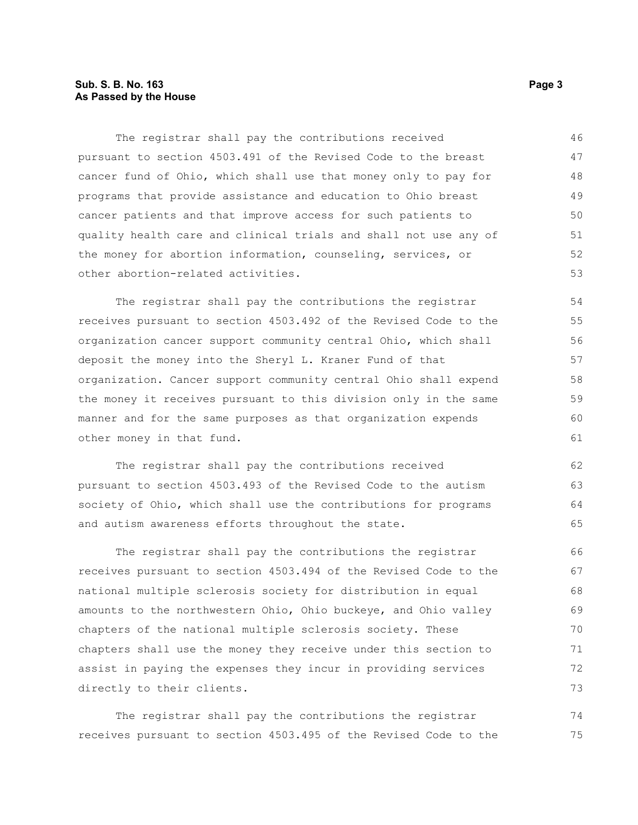### **Sub. S. B. No. 163 Page 3 As Passed by the House**

The registrar shall pay the contributions received pursuant to section 4503.491 of the Revised Code to the breast cancer fund of Ohio, which shall use that money only to pay for programs that provide assistance and education to Ohio breast cancer patients and that improve access for such patients to quality health care and clinical trials and shall not use any of the money for abortion information, counseling, services, or other abortion-related activities. 46 47 48 49 50 51 52 53

The registrar shall pay the contributions the registrar receives pursuant to section 4503.492 of the Revised Code to the organization cancer support community central Ohio, which shall deposit the money into the Sheryl L. Kraner Fund of that organization. Cancer support community central Ohio shall expend the money it receives pursuant to this division only in the same manner and for the same purposes as that organization expends other money in that fund.

The registrar shall pay the contributions received pursuant to section 4503.493 of the Revised Code to the autism society of Ohio, which shall use the contributions for programs and autism awareness efforts throughout the state. 62 63 64 65

The registrar shall pay the contributions the registrar receives pursuant to section 4503.494 of the Revised Code to the national multiple sclerosis society for distribution in equal amounts to the northwestern Ohio, Ohio buckeye, and Ohio valley chapters of the national multiple sclerosis society. These chapters shall use the money they receive under this section to assist in paying the expenses they incur in providing services directly to their clients. 66 67 68 69 70 71 72 73

The registrar shall pay the contributions the registrar receives pursuant to section 4503.495 of the Revised Code to the 74 75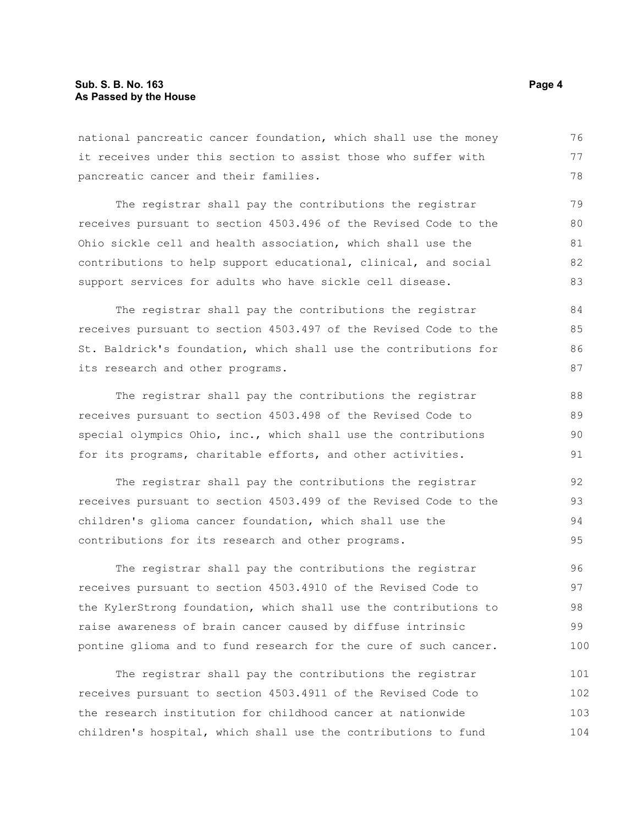national pancreatic cancer foundation, which shall use the money it receives under this section to assist those who suffer with pancreatic cancer and their families. 76 77 78

The registrar shall pay the contributions the registrar receives pursuant to section 4503.496 of the Revised Code to the Ohio sickle cell and health association, which shall use the contributions to help support educational, clinical, and social support services for adults who have sickle cell disease. 79 80 81 82 83

The registrar shall pay the contributions the registrar receives pursuant to section 4503.497 of the Revised Code to the St. Baldrick's foundation, which shall use the contributions for its research and other programs.

The registrar shall pay the contributions the registrar receives pursuant to section 4503.498 of the Revised Code to special olympics Ohio, inc., which shall use the contributions for its programs, charitable efforts, and other activities. 88 89 90 91

The registrar shall pay the contributions the registrar receives pursuant to section 4503.499 of the Revised Code to the children's glioma cancer foundation, which shall use the contributions for its research and other programs. 92 93 94 95

The registrar shall pay the contributions the registrar receives pursuant to section 4503.4910 of the Revised Code to the KylerStrong foundation, which shall use the contributions to raise awareness of brain cancer caused by diffuse intrinsic pontine glioma and to fund research for the cure of such cancer. 96 97 98 99 100

The registrar shall pay the contributions the registrar receives pursuant to section 4503.4911 of the Revised Code to the research institution for childhood cancer at nationwide children's hospital, which shall use the contributions to fund 101 102 103 104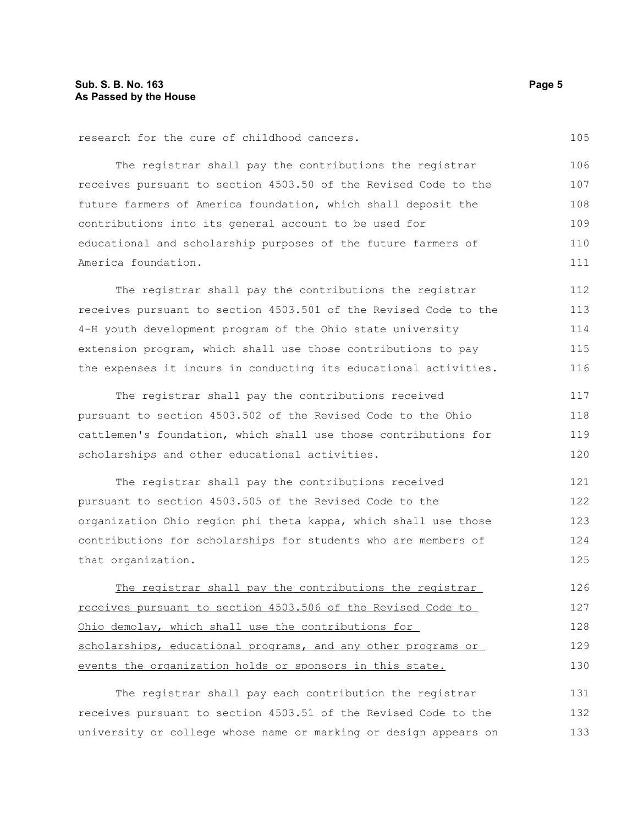research for the cure of childhood cancers.

| The registrar shall pay the contributions the registrar         | 106 |
|-----------------------------------------------------------------|-----|
| receives pursuant to section 4503.50 of the Revised Code to the | 107 |
| future farmers of America foundation, which shall deposit the   | 108 |
| contributions into its general account to be used for           | 109 |
| educational and scholarship purposes of the future farmers of   | 110 |
| America foundation.                                             | 111 |

The registrar shall pay the contributions the registrar receives pursuant to section 4503.501 of the Revised Code to the 4-H youth development program of the Ohio state university extension program, which shall use those contributions to pay the expenses it incurs in conducting its educational activities. 112 113 114 115 116

The registrar shall pay the contributions received pursuant to section 4503.502 of the Revised Code to the Ohio cattlemen's foundation, which shall use those contributions for scholarships and other educational activities. 117 118 119 120

The registrar shall pay the contributions received pursuant to section 4503.505 of the Revised Code to the organization Ohio region phi theta kappa, which shall use those contributions for scholarships for students who are members of that organization. 121 122 123 124 125

The registrar shall pay the contributions the registrar receives pursuant to section 4503.506 of the Revised Code to Ohio demolay, which shall use the contributions for scholarships, educational programs, and any other programs or events the organization holds or sponsors in this state. 126 127 128 129 130

The registrar shall pay each contribution the registrar receives pursuant to section 4503.51 of the Revised Code to the university or college whose name or marking or design appears on 131 132 133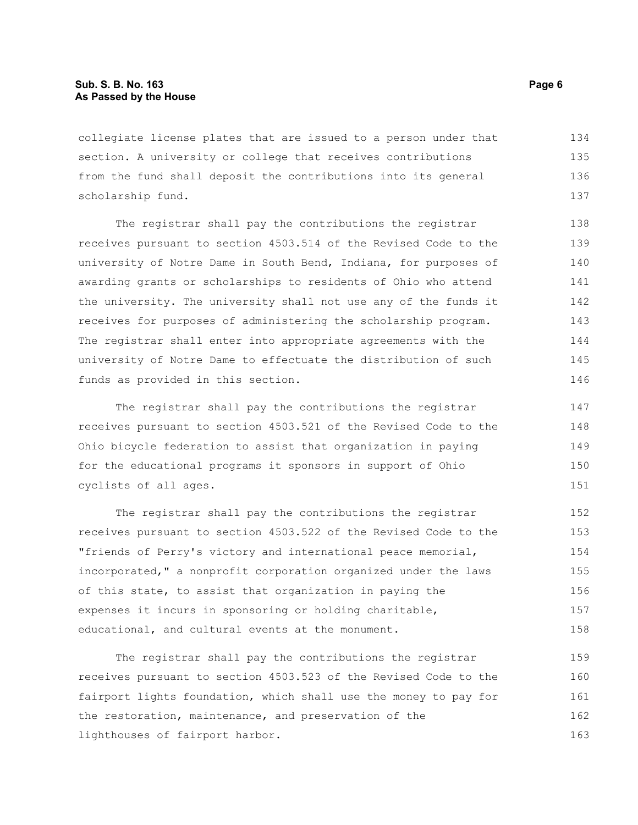#### **Sub. S. B. No. 163 Page 6 As Passed by the House**

collegiate license plates that are issued to a person under that section. A university or college that receives contributions from the fund shall deposit the contributions into its general scholarship fund. 134 135 136 137

The registrar shall pay the contributions the registrar receives pursuant to section 4503.514 of the Revised Code to the university of Notre Dame in South Bend, Indiana, for purposes of awarding grants or scholarships to residents of Ohio who attend the university. The university shall not use any of the funds it receives for purposes of administering the scholarship program. The registrar shall enter into appropriate agreements with the university of Notre Dame to effectuate the distribution of such funds as provided in this section.

The registrar shall pay the contributions the registrar receives pursuant to section 4503.521 of the Revised Code to the Ohio bicycle federation to assist that organization in paying for the educational programs it sponsors in support of Ohio cyclists of all ages.

The registrar shall pay the contributions the registrar receives pursuant to section 4503.522 of the Revised Code to the "friends of Perry's victory and international peace memorial, incorporated," a nonprofit corporation organized under the laws of this state, to assist that organization in paying the expenses it incurs in sponsoring or holding charitable, educational, and cultural events at the monument. 152 153 154 155 156 157 158

The registrar shall pay the contributions the registrar receives pursuant to section 4503.523 of the Revised Code to the fairport lights foundation, which shall use the money to pay for the restoration, maintenance, and preservation of the lighthouses of fairport harbor. 159 160 161 162 163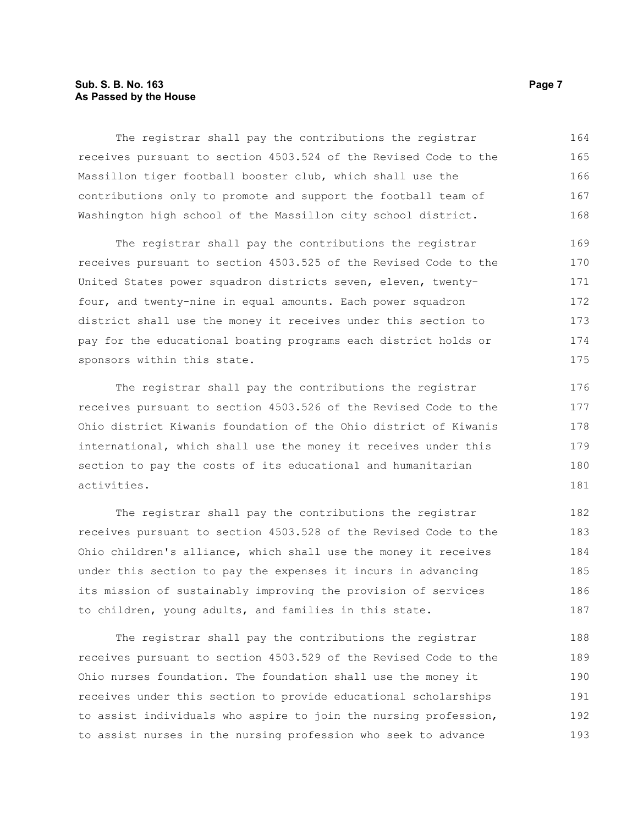### **Sub. S. B. No. 163 Page 7 As Passed by the House**

The registrar shall pay the contributions the registrar receives pursuant to section 4503.524 of the Revised Code to the Massillon tiger football booster club, which shall use the contributions only to promote and support the football team of Washington high school of the Massillon city school district. 164 165 166 167 168

The registrar shall pay the contributions the registrar receives pursuant to section 4503.525 of the Revised Code to the United States power squadron districts seven, eleven, twentyfour, and twenty-nine in equal amounts. Each power squadron district shall use the money it receives under this section to pay for the educational boating programs each district holds or sponsors within this state. 169 170 171 172 173 174 175

The registrar shall pay the contributions the registrar receives pursuant to section 4503.526 of the Revised Code to the Ohio district Kiwanis foundation of the Ohio district of Kiwanis international, which shall use the money it receives under this section to pay the costs of its educational and humanitarian activities.

The registrar shall pay the contributions the registrar receives pursuant to section 4503.528 of the Revised Code to the Ohio children's alliance, which shall use the money it receives under this section to pay the expenses it incurs in advancing its mission of sustainably improving the provision of services to children, young adults, and families in this state. 182 183 184 185 186 187

The registrar shall pay the contributions the registrar receives pursuant to section 4503.529 of the Revised Code to the Ohio nurses foundation. The foundation shall use the money it receives under this section to provide educational scholarships to assist individuals who aspire to join the nursing profession, to assist nurses in the nursing profession who seek to advance 188 189 190 191 192 193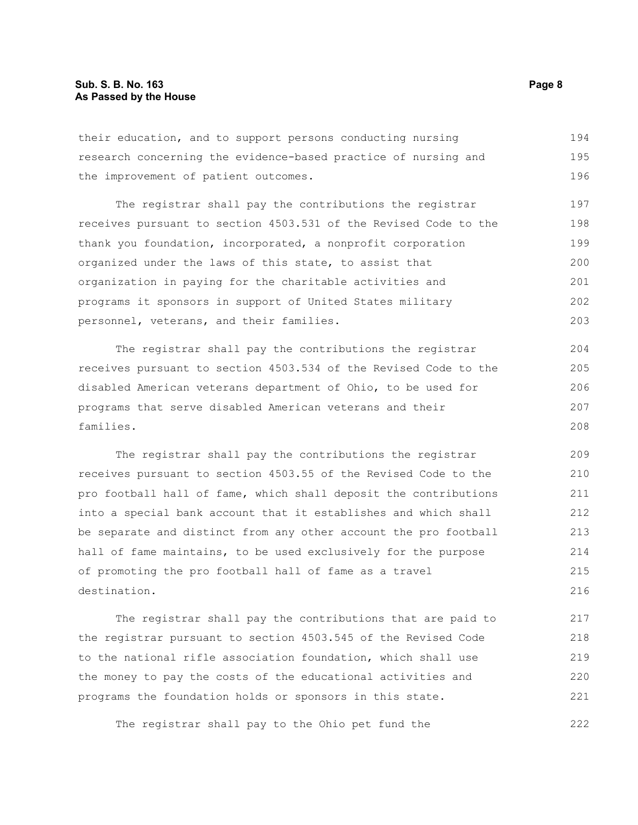their education, and to support persons conducting nursing research concerning the evidence-based practice of nursing and the improvement of patient outcomes. 194 195 196

The registrar shall pay the contributions the registrar receives pursuant to section 4503.531 of the Revised Code to the thank you foundation, incorporated, a nonprofit corporation organized under the laws of this state, to assist that organization in paying for the charitable activities and programs it sponsors in support of United States military personnel, veterans, and their families. 197 198 199 200 201 202 203

The registrar shall pay the contributions the registrar receives pursuant to section 4503.534 of the Revised Code to the disabled American veterans department of Ohio, to be used for programs that serve disabled American veterans and their families. 204 205 206 207 208

The registrar shall pay the contributions the registrar receives pursuant to section 4503.55 of the Revised Code to the pro football hall of fame, which shall deposit the contributions into a special bank account that it establishes and which shall be separate and distinct from any other account the pro football hall of fame maintains, to be used exclusively for the purpose of promoting the pro football hall of fame as a travel destination. 209 210 211 212 213 214 215 216

The registrar shall pay the contributions that are paid to the registrar pursuant to section 4503.545 of the Revised Code to the national rifle association foundation, which shall use the money to pay the costs of the educational activities and programs the foundation holds or sponsors in this state. 217 218 219 220 221

The registrar shall pay to the Ohio pet fund the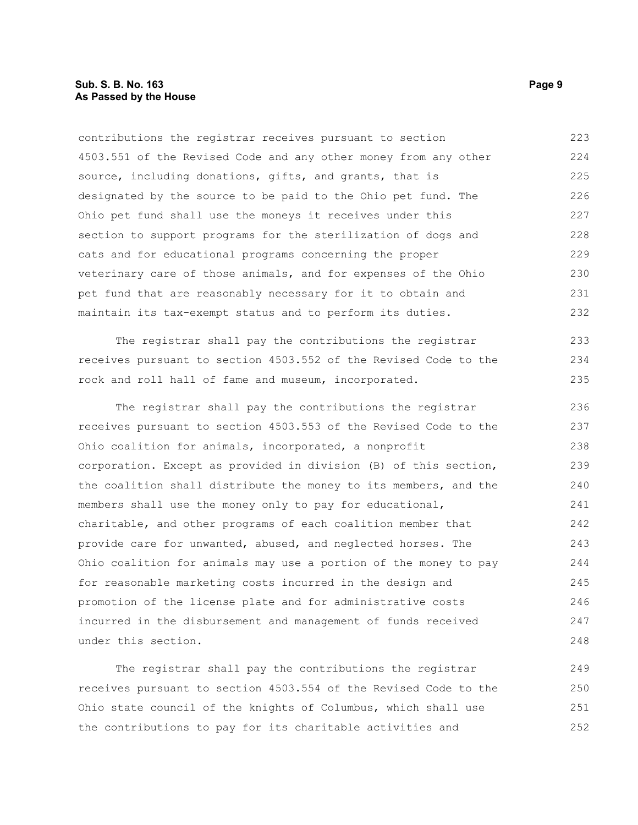contributions the registrar receives pursuant to section 4503.551 of the Revised Code and any other money from any other source, including donations, gifts, and grants, that is designated by the source to be paid to the Ohio pet fund. The Ohio pet fund shall use the moneys it receives under this section to support programs for the sterilization of dogs and cats and for educational programs concerning the proper veterinary care of those animals, and for expenses of the Ohio pet fund that are reasonably necessary for it to obtain and maintain its tax-exempt status and to perform its duties. 223 224 225 226 227 228 229 230 231 232

The registrar shall pay the contributions the registrar receives pursuant to section 4503.552 of the Revised Code to the rock and roll hall of fame and museum, incorporated. 233 234 235

The registrar shall pay the contributions the registrar receives pursuant to section 4503.553 of the Revised Code to the Ohio coalition for animals, incorporated, a nonprofit corporation. Except as provided in division (B) of this section, the coalition shall distribute the money to its members, and the members shall use the money only to pay for educational, charitable, and other programs of each coalition member that provide care for unwanted, abused, and neglected horses. The Ohio coalition for animals may use a portion of the money to pay for reasonable marketing costs incurred in the design and promotion of the license plate and for administrative costs incurred in the disbursement and management of funds received under this section. 236 237 238 239 240 241 242 243 244 245 246 247 248

The registrar shall pay the contributions the registrar receives pursuant to section 4503.554 of the Revised Code to the Ohio state council of the knights of Columbus, which shall use the contributions to pay for its charitable activities and 249 250 251 252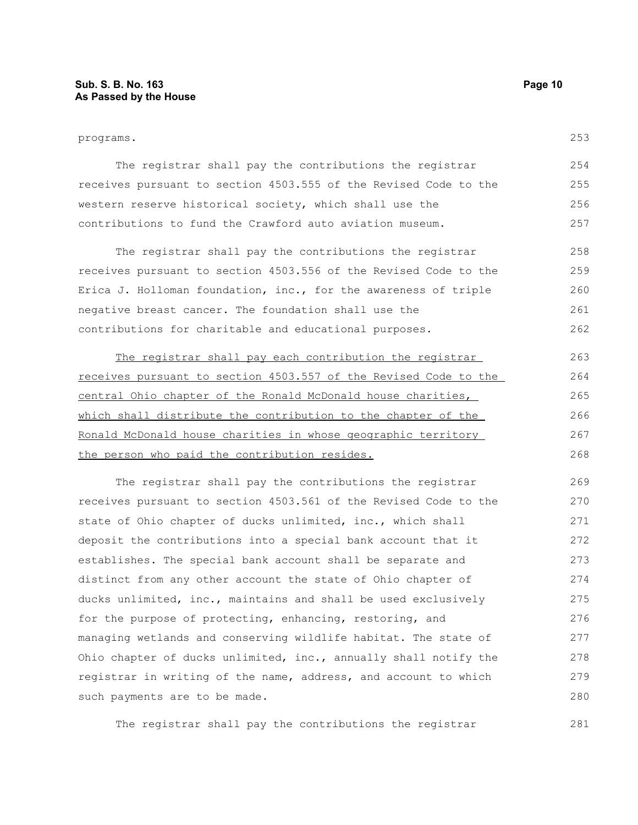#### programs.

253

| The registrar shall pay the contributions the registrar          | 2.54 |
|------------------------------------------------------------------|------|
| receives pursuant to section 4503.555 of the Revised Code to the | 255  |
| western reserve historical society, which shall use the          | 256  |
| contributions to fund the Crawford auto aviation museum.         | 2.57 |

The registrar shall pay the contributions the registrar receives pursuant to section 4503.556 of the Revised Code to the Erica J. Holloman foundation, inc., for the awareness of triple negative breast cancer. The foundation shall use the contributions for charitable and educational purposes. 258 259 260 261 262

The registrar shall pay each contribution the registrar receives pursuant to section 4503.557 of the Revised Code to the central Ohio chapter of the Ronald McDonald house charities, which shall distribute the contribution to the chapter of the Ronald McDonald house charities in whose geographic territory the person who paid the contribution resides. 263 264 265 266 267 268

The registrar shall pay the contributions the registrar receives pursuant to section 4503.561 of the Revised Code to the state of Ohio chapter of ducks unlimited, inc., which shall deposit the contributions into a special bank account that it establishes. The special bank account shall be separate and distinct from any other account the state of Ohio chapter of ducks unlimited, inc., maintains and shall be used exclusively for the purpose of protecting, enhancing, restoring, and managing wetlands and conserving wildlife habitat. The state of Ohio chapter of ducks unlimited, inc., annually shall notify the registrar in writing of the name, address, and account to which such payments are to be made. 269 270 271 272 273 274 275 276 277 278 279 280

The registrar shall pay the contributions the registrar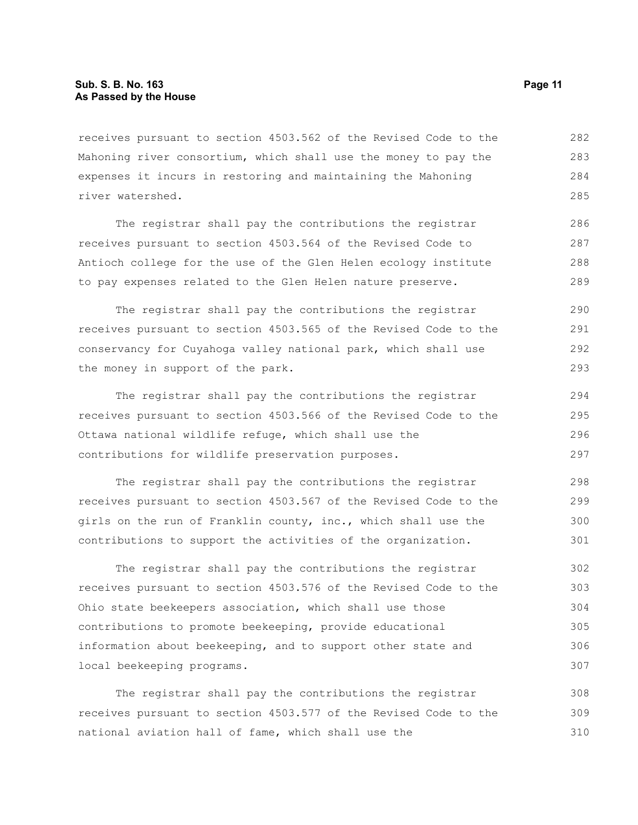receives pursuant to section 4503.562 of the Revised Code to the Mahoning river consortium, which shall use the money to pay the expenses it incurs in restoring and maintaining the Mahoning river watershed. 282 283 284 285

The registrar shall pay the contributions the registrar receives pursuant to section 4503.564 of the Revised Code to Antioch college for the use of the Glen Helen ecology institute to pay expenses related to the Glen Helen nature preserve. 286 287 288 289

The registrar shall pay the contributions the registrar receives pursuant to section 4503.565 of the Revised Code to the conservancy for Cuyahoga valley national park, which shall use the money in support of the park.

The registrar shall pay the contributions the registrar receives pursuant to section 4503.566 of the Revised Code to the Ottawa national wildlife refuge, which shall use the contributions for wildlife preservation purposes. 294 295 296 297

The registrar shall pay the contributions the registrar receives pursuant to section 4503.567 of the Revised Code to the girls on the run of Franklin county, inc., which shall use the contributions to support the activities of the organization. 298 299 300 301

The registrar shall pay the contributions the registrar receives pursuant to section 4503.576 of the Revised Code to the Ohio state beekeepers association, which shall use those contributions to promote beekeeping, provide educational information about beekeeping, and to support other state and local beekeeping programs. 302 303 304 305 306 307

The registrar shall pay the contributions the registrar receives pursuant to section 4503.577 of the Revised Code to the national aviation hall of fame, which shall use the 308 309 310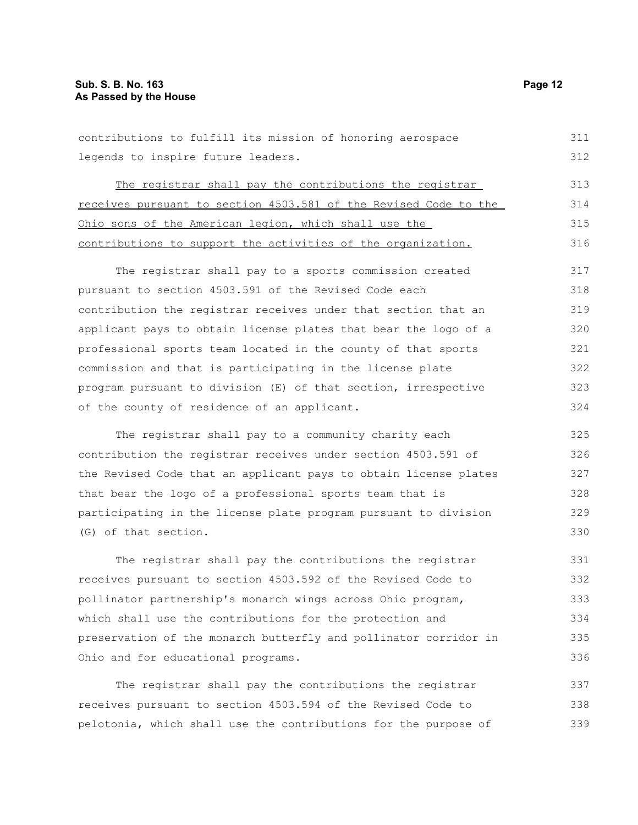| contributions to fulfill its mission of honoring aerospace       | 311 |
|------------------------------------------------------------------|-----|
| legends to inspire future leaders.                               | 312 |
| The registrar shall pay the contributions the registrar          | 313 |
| receives pursuant to section 4503.581 of the Revised Code to the | 314 |
| Ohio sons of the American legion, which shall use the            | 315 |
| contributions to support the activities of the organization.     | 316 |
| The registrar shall pay to a sports commission created           | 317 |
| pursuant to section 4503.591 of the Revised Code each            | 318 |
| contribution the registrar receives under that section that an   | 319 |
| applicant pays to obtain license plates that bear the logo of a  | 320 |
| professional sports team located in the county of that sports    | 321 |
| commission and that is participating in the license plate        | 322 |
| program pursuant to division (E) of that section, irrespective   | 323 |
| of the county of residence of an applicant.                      | 324 |
| The registrar shall pay to a community charity each              | 325 |
| contribution the registrar receives under section 4503.591 of    | 326 |
| the Revised Code that an applicant pays to obtain license plates | 327 |
| that bear the logo of a professional sports team that is         | 328 |
| participating in the license plate program pursuant to division  | 329 |
| (G) of that section.                                             | 330 |
| The registrar shall pay the contributions the registrar          | 331 |
| receives pursuant to section 4503.592 of the Revised Code to     | 332 |
| pollinator partnership's monarch wings across Ohio program,      | 333 |
| which shall use the contributions for the protection and         | 334 |
| preservation of the monarch butterfly and pollinator corridor in | 335 |
| Ohio and for educational programs.                               | 336 |
| The registrar shall pay the contributions the registrar          | 337 |
|                                                                  |     |

receives pursuant to section 4503.594 of the Revised Code to pelotonia, which shall use the contributions for the purpose of 338 339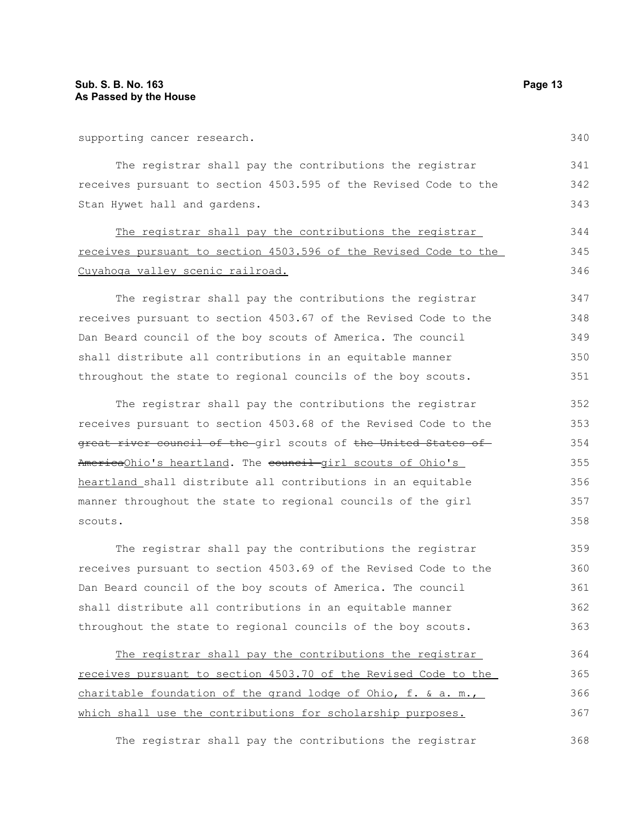supporting cancer research.

The registrar shall pay the contributions the registrar receives pursuant to section 4503.595 of the Revised Code to the Stan Hywet hall and gardens. 341 343

The registrar shall pay the contributions the registrar receives pursuant to section 4503.596 of the Revised Code to the Cuyahoga valley scenic railroad.

The registrar shall pay the contributions the registrar receives pursuant to section 4503.67 of the Revised Code to the Dan Beard council of the boy scouts of America. The council shall distribute all contributions in an equitable manner throughout the state to regional councils of the boy scouts.

The registrar shall pay the contributions the registrar receives pursuant to section 4503.68 of the Revised Code to the great river council of the girl scouts of the United States of AmericaOhio's heartland. The council girl scouts of Ohio's heartland shall distribute all contributions in an equitable manner throughout the state to regional councils of the girl scouts. 352 353 354 355 356 357 358

The registrar shall pay the contributions the registrar receives pursuant to section 4503.69 of the Revised Code to the Dan Beard council of the boy scouts of America. The council shall distribute all contributions in an equitable manner throughout the state to regional councils of the boy scouts. 359 360 361 362 363

The registrar shall pay the contributions the registrar receives pursuant to section 4503.70 of the Revised Code to the charitable foundation of the grand lodge of Ohio, f. & a. m., which shall use the contributions for scholarship purposes. 364 365 366 367

The registrar shall pay the contributions the registrar 368

342

344 345 346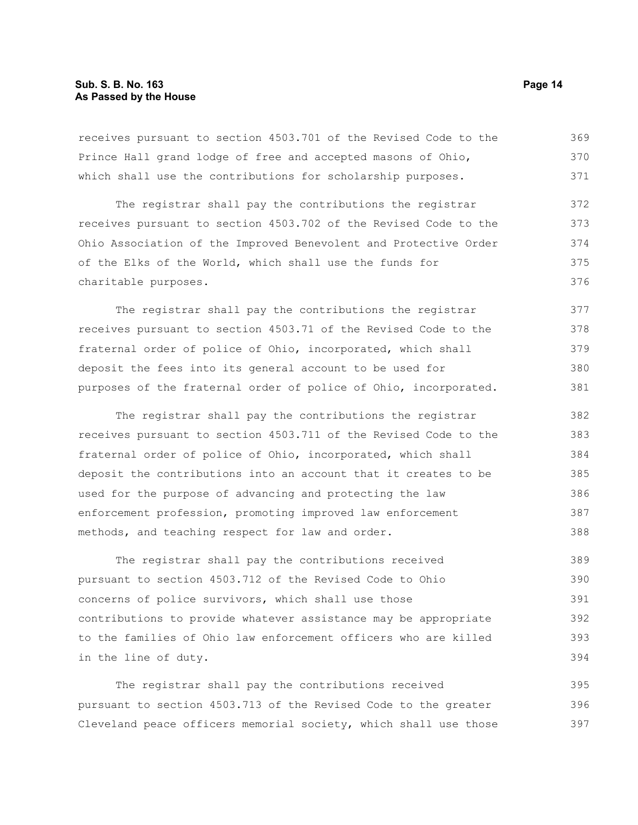#### **Sub. S. B. No. 163 Page 14 As Passed by the House**

receives pursuant to section 4503.701 of the Revised Code to the Prince Hall grand lodge of free and accepted masons of Ohio, which shall use the contributions for scholarship purposes. 369 370 371

The registrar shall pay the contributions the registrar receives pursuant to section 4503.702 of the Revised Code to the Ohio Association of the Improved Benevolent and Protective Order of the Elks of the World, which shall use the funds for charitable purposes. 372 373 374 375 376

The registrar shall pay the contributions the registrar receives pursuant to section 4503.71 of the Revised Code to the fraternal order of police of Ohio, incorporated, which shall deposit the fees into its general account to be used for purposes of the fraternal order of police of Ohio, incorporated. 377 378 379 380 381

The registrar shall pay the contributions the registrar receives pursuant to section 4503.711 of the Revised Code to the fraternal order of police of Ohio, incorporated, which shall deposit the contributions into an account that it creates to be used for the purpose of advancing and protecting the law enforcement profession, promoting improved law enforcement methods, and teaching respect for law and order. 382 383 384 385 386 387 388

The registrar shall pay the contributions received pursuant to section 4503.712 of the Revised Code to Ohio concerns of police survivors, which shall use those contributions to provide whatever assistance may be appropriate to the families of Ohio law enforcement officers who are killed in the line of duty. 389 390 391 392 393 394

The registrar shall pay the contributions received pursuant to section 4503.713 of the Revised Code to the greater Cleveland peace officers memorial society, which shall use those 395 396 397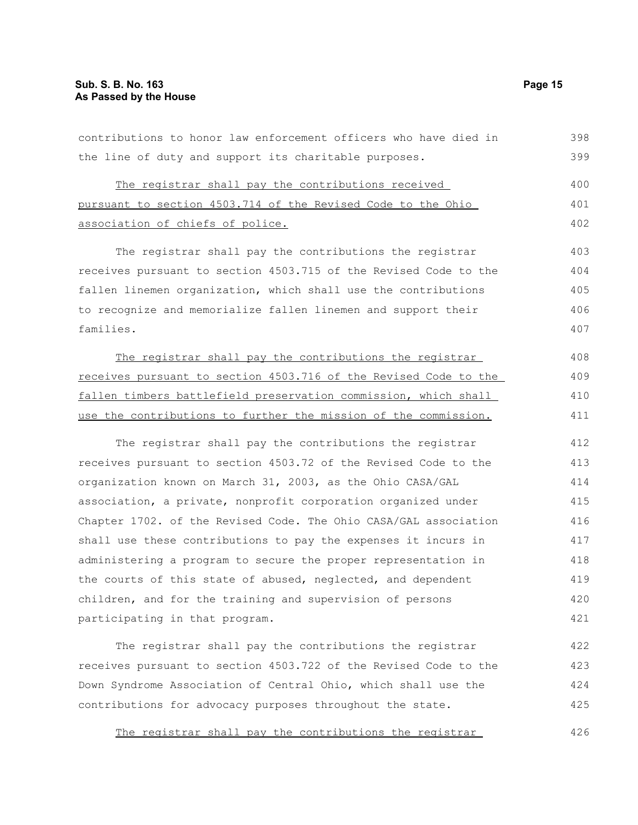the line of duty and support its charitable purposes. The registrar shall pay the contributions received pursuant to section 4503.714 of the Revised Code to the Ohio association of chiefs of police. The registrar shall pay the contributions the registrar receives pursuant to section 4503.715 of the Revised Code to the fallen linemen organization, which shall use the contributions to recognize and memorialize fallen linemen and support their families. The registrar shall pay the contributions the registrar receives pursuant to section 4503.716 of the Revised Code to the fallen timbers battlefield preservation commission, which shall use the contributions to further the mission of the commission. The registrar shall pay the contributions the registrar receives pursuant to section 4503.72 of the Revised Code to the organization known on March 31, 2003, as the Ohio CASA/GAL association, a private, nonprofit corporation organized under Chapter 1702. of the Revised Code. The Ohio CASA/GAL association shall use these contributions to pay the expenses it incurs in administering a program to secure the proper representation in the courts of this state of abused, neglected, and dependent children, and for the training and supervision of persons participating in that program. The registrar shall pay the contributions the registrar receives pursuant to section 4503.722 of the Revised Code to the Down Syndrome Association of Central Ohio, which shall use the contributions for advocacy purposes throughout the state. 399 400 401 402 403 404 405 406 407 408 409 410 411 412 413 414 415 416 417 418 419 420 421 422 423 424 425

contributions to honor law enforcement officers who have died in

The registrar shall pay the contributions the registrar 426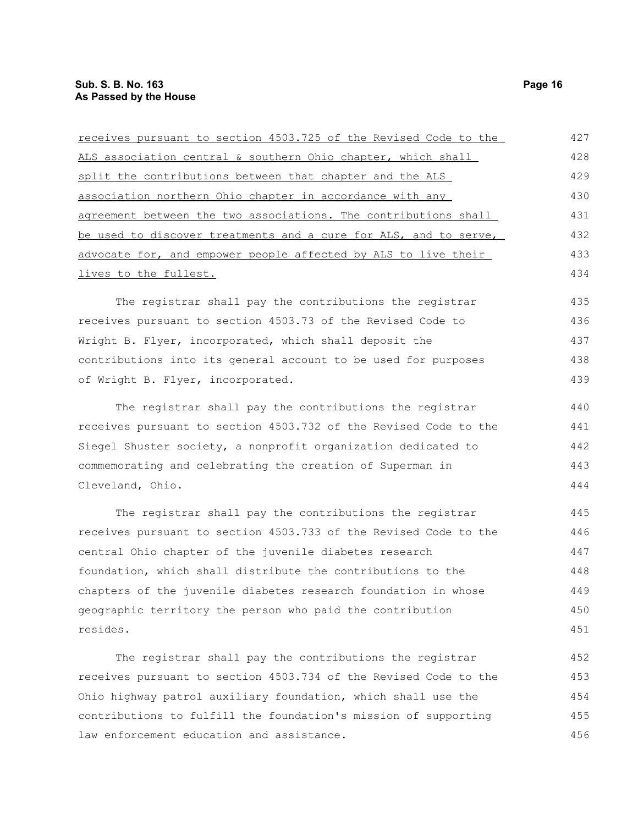| receives pursuant to section 4503.725 of the Revised Code to the | 427 |
|------------------------------------------------------------------|-----|
| ALS association central & southern Ohio chapter, which shall     | 428 |
| split the contributions between that chapter and the ALS         | 429 |
| association northern Ohio chapter in accordance with any         | 430 |
| agreement between the two associations. The contributions shall  | 431 |
| be used to discover treatments and a cure for ALS, and to serve, | 432 |
| advocate for, and empower people affected by ALS to live their   | 433 |
| lives to the fullest.                                            | 434 |
| The registrar shall pay the contributions the registrar          | 435 |
| receives pursuant to section 4503.73 of the Revised Code to      | 436 |
| Wright B. Flyer, incorporated, which shall deposit the           | 437 |
| contributions into its general account to be used for purposes   | 438 |
| of Wright B. Flyer, incorporated.                                | 439 |
| The registrar shall pay the contributions the registrar          | 440 |
| receives pursuant to section 4503.732 of the Revised Code to the | 441 |
| Siegel Shuster society, a nonprofit organization dedicated to    | 442 |
| commemorating and celebrating the creation of Superman in        | 443 |
| Cleveland, Ohio.                                                 | 444 |
| The registrar shall pay the contributions the registrar          | 445 |
| receives pursuant to section 4503.733 of the Revised Code to the | 446 |
| central Ohio chapter of the juvenile diabetes research           | 447 |
| foundation, which shall distribute the contributions to the      | 448 |
| chapters of the juvenile diabetes research foundation in whose   | 449 |
| geographic territory the person who paid the contribution        | 450 |
| resides.                                                         | 451 |
| The registrar shall pay the contributions the registrar          | 452 |
| receives pursuant to section 4503.734 of the Revised Code to the | 453 |
| Ohio highway patrol auxiliary foundation, which shall use the    | 454 |
| contributions to fulfill the foundation's mission of supporting  | 455 |
| law enforcement education and assistance.                        | 456 |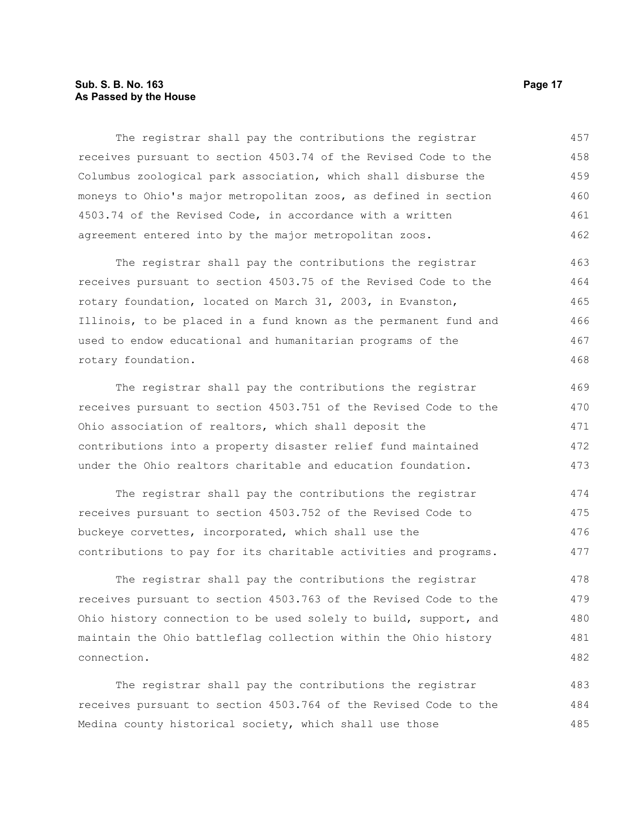### **Sub. S. B. No. 163 Page 17 As Passed by the House**

The registrar shall pay the contributions the registrar receives pursuant to section 4503.74 of the Revised Code to the Columbus zoological park association, which shall disburse the moneys to Ohio's major metropolitan zoos, as defined in section 4503.74 of the Revised Code, in accordance with a written agreement entered into by the major metropolitan zoos. 457 458 459 460 461 462

The registrar shall pay the contributions the registrar receives pursuant to section 4503.75 of the Revised Code to the rotary foundation, located on March 31, 2003, in Evanston, Illinois, to be placed in a fund known as the permanent fund and used to endow educational and humanitarian programs of the rotary foundation. 463 464 465 466 467 468

The registrar shall pay the contributions the registrar receives pursuant to section 4503.751 of the Revised Code to the Ohio association of realtors, which shall deposit the contributions into a property disaster relief fund maintained under the Ohio realtors charitable and education foundation. 469 470 471 472 473

The registrar shall pay the contributions the registrar receives pursuant to section 4503.752 of the Revised Code to buckeye corvettes, incorporated, which shall use the contributions to pay for its charitable activities and programs. 474 475 476 477

The registrar shall pay the contributions the registrar receives pursuant to section 4503.763 of the Revised Code to the Ohio history connection to be used solely to build, support, and maintain the Ohio battleflag collection within the Ohio history connection. 478 479 480 481 482

The registrar shall pay the contributions the registrar receives pursuant to section 4503.764 of the Revised Code to the Medina county historical society, which shall use those 483 484 485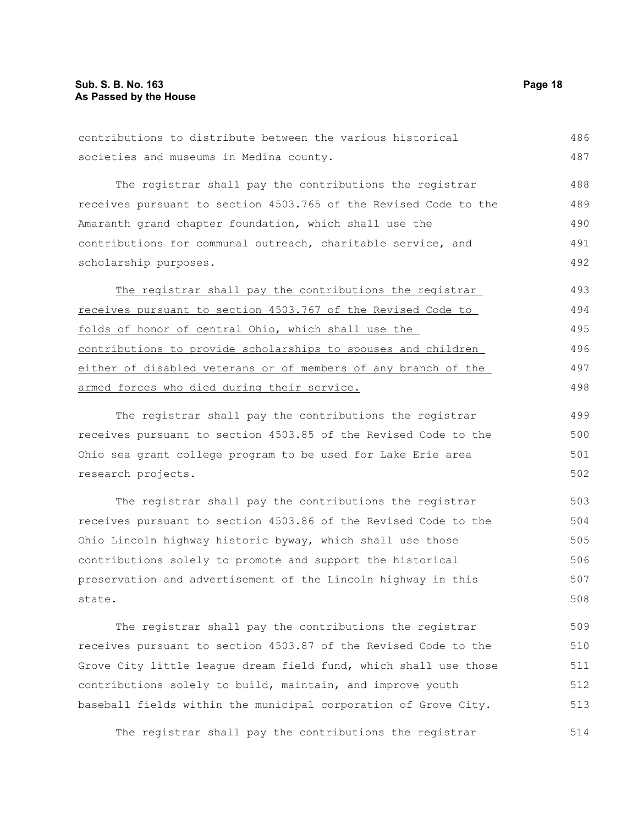contributions to distribute between the various historical societies and museums in Medina county. The registrar shall pay the contributions the registrar receives pursuant to section 4503.765 of the Revised Code to the Amaranth grand chapter foundation, which shall use the contributions for communal outreach, charitable service, and scholarship purposes. The registrar shall pay the contributions the registrar receives pursuant to section 4503.767 of the Revised Code to folds of honor of central Ohio, which shall use the contributions to provide scholarships to spouses and children either of disabled veterans or of members of any branch of the armed forces who died during their service. The registrar shall pay the contributions the registrar receives pursuant to section 4503.85 of the Revised Code to the Ohio sea grant college program to be used for Lake Erie area research projects. The registrar shall pay the contributions the registrar receives pursuant to section 4503.86 of the Revised Code to the Ohio Lincoln highway historic byway, which shall use those contributions solely to promote and support the historical preservation and advertisement of the Lincoln highway in this state. 486 487 488 489 490 491 492 493 494 495 496 497 498 499 500 501 502 503 504 505 506 507 508

The registrar shall pay the contributions the registrar receives pursuant to section 4503.87 of the Revised Code to the Grove City little league dream field fund, which shall use those contributions solely to build, maintain, and improve youth baseball fields within the municipal corporation of Grove City. 509 510 511 512 513

The registrar shall pay the contributions the registrar 514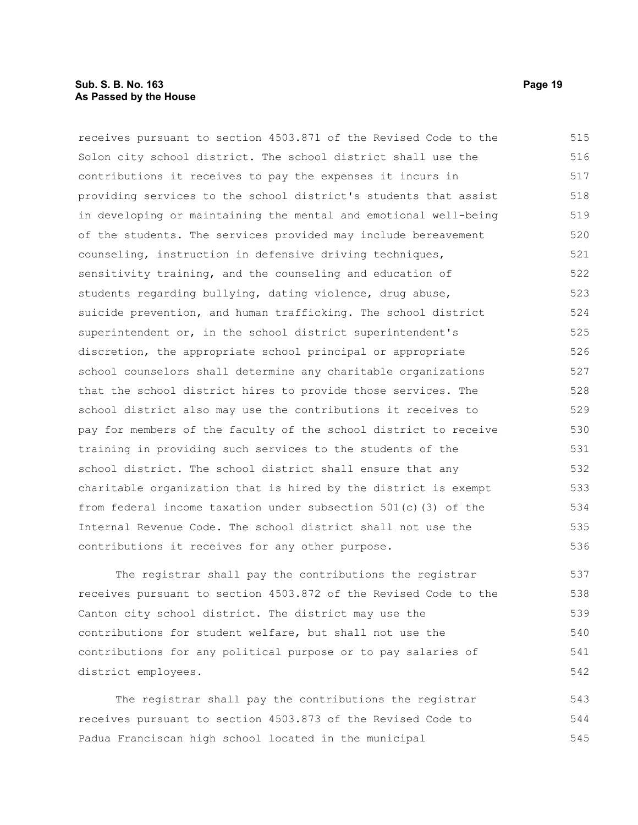#### **Sub. S. B. No. 163 Page 19 As Passed by the House**

receives pursuant to section 4503.871 of the Revised Code to the Solon city school district. The school district shall use the contributions it receives to pay the expenses it incurs in providing services to the school district's students that assist in developing or maintaining the mental and emotional well-being of the students. The services provided may include bereavement counseling, instruction in defensive driving techniques, sensitivity training, and the counseling and education of students regarding bullying, dating violence, drug abuse, suicide prevention, and human trafficking. The school district superintendent or, in the school district superintendent's discretion, the appropriate school principal or appropriate school counselors shall determine any charitable organizations that the school district hires to provide those services. The school district also may use the contributions it receives to pay for members of the faculty of the school district to receive training in providing such services to the students of the school district. The school district shall ensure that any charitable organization that is hired by the district is exempt from federal income taxation under subsection 501(c)(3) of the Internal Revenue Code. The school district shall not use the contributions it receives for any other purpose. 515 516 517 518 519 520 521 522 523 524 525 526 527 528 529 530 531 532 533 534 535 536

The registrar shall pay the contributions the registrar receives pursuant to section 4503.872 of the Revised Code to the Canton city school district. The district may use the contributions for student welfare, but shall not use the contributions for any political purpose or to pay salaries of district employees. 537 538 539 540 541 542

The registrar shall pay the contributions the registrar receives pursuant to section 4503.873 of the Revised Code to Padua Franciscan high school located in the municipal 543 544 545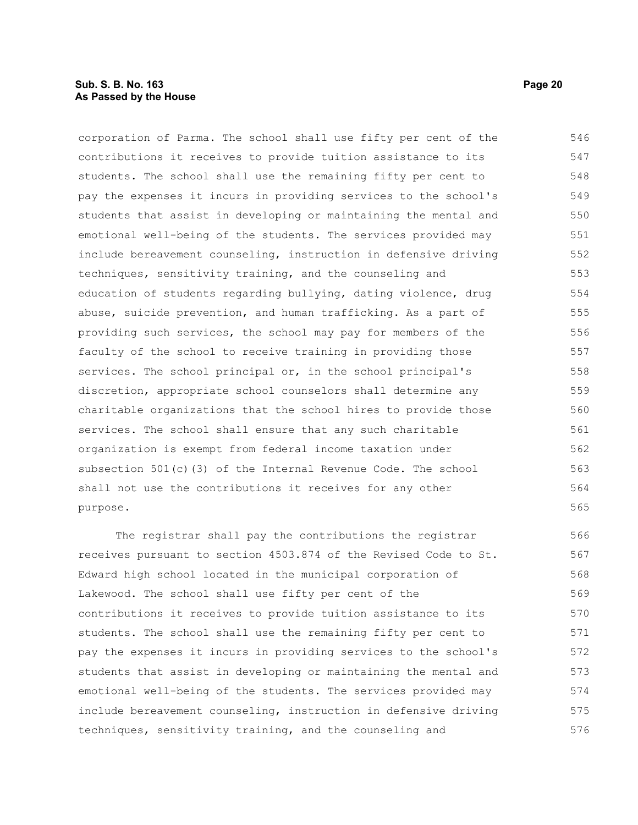#### **Sub. S. B. No. 163 Page 20 As Passed by the House**

corporation of Parma. The school shall use fifty per cent of the contributions it receives to provide tuition assistance to its students. The school shall use the remaining fifty per cent to pay the expenses it incurs in providing services to the school's students that assist in developing or maintaining the mental and emotional well-being of the students. The services provided may include bereavement counseling, instruction in defensive driving techniques, sensitivity training, and the counseling and education of students regarding bullying, dating violence, drug abuse, suicide prevention, and human trafficking. As a part of providing such services, the school may pay for members of the faculty of the school to receive training in providing those services. The school principal or, in the school principal's discretion, appropriate school counselors shall determine any charitable organizations that the school hires to provide those services. The school shall ensure that any such charitable organization is exempt from federal income taxation under subsection 501(c)(3) of the Internal Revenue Code. The school shall not use the contributions it receives for any other purpose. 546 547 548 549 550 551 552 553 554 555 556 557 558 559 560 561 562 563 564 565

The registrar shall pay the contributions the registrar receives pursuant to section 4503.874 of the Revised Code to St. Edward high school located in the municipal corporation of Lakewood. The school shall use fifty per cent of the contributions it receives to provide tuition assistance to its students. The school shall use the remaining fifty per cent to pay the expenses it incurs in providing services to the school's students that assist in developing or maintaining the mental and emotional well-being of the students. The services provided may include bereavement counseling, instruction in defensive driving techniques, sensitivity training, and the counseling and 566 567 568 569 570 571 572 573 574 575 576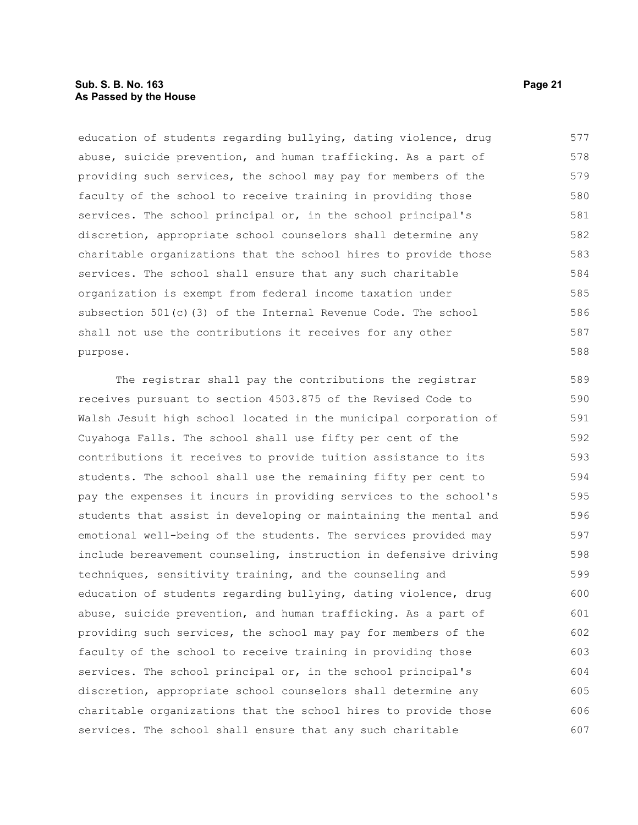### **Sub. S. B. No. 163 Page 21 As Passed by the House**

education of students regarding bullying, dating violence, drug abuse, suicide prevention, and human trafficking. As a part of providing such services, the school may pay for members of the faculty of the school to receive training in providing those services. The school principal or, in the school principal's discretion, appropriate school counselors shall determine any charitable organizations that the school hires to provide those services. The school shall ensure that any such charitable organization is exempt from federal income taxation under subsection 501(c)(3) of the Internal Revenue Code. The school shall not use the contributions it receives for any other purpose. 577 578 579 580 581 582 583 584 585 586 587 588

The registrar shall pay the contributions the registrar receives pursuant to section 4503.875 of the Revised Code to Walsh Jesuit high school located in the municipal corporation of Cuyahoga Falls. The school shall use fifty per cent of the contributions it receives to provide tuition assistance to its students. The school shall use the remaining fifty per cent to pay the expenses it incurs in providing services to the school's students that assist in developing or maintaining the mental and emotional well-being of the students. The services provided may include bereavement counseling, instruction in defensive driving techniques, sensitivity training, and the counseling and education of students regarding bullying, dating violence, drug abuse, suicide prevention, and human trafficking. As a part of providing such services, the school may pay for members of the faculty of the school to receive training in providing those services. The school principal or, in the school principal's discretion, appropriate school counselors shall determine any charitable organizations that the school hires to provide those services. The school shall ensure that any such charitable 589 590 591 592 593 594 595 596 597 598 599 600 601 602 603 604 605 606 607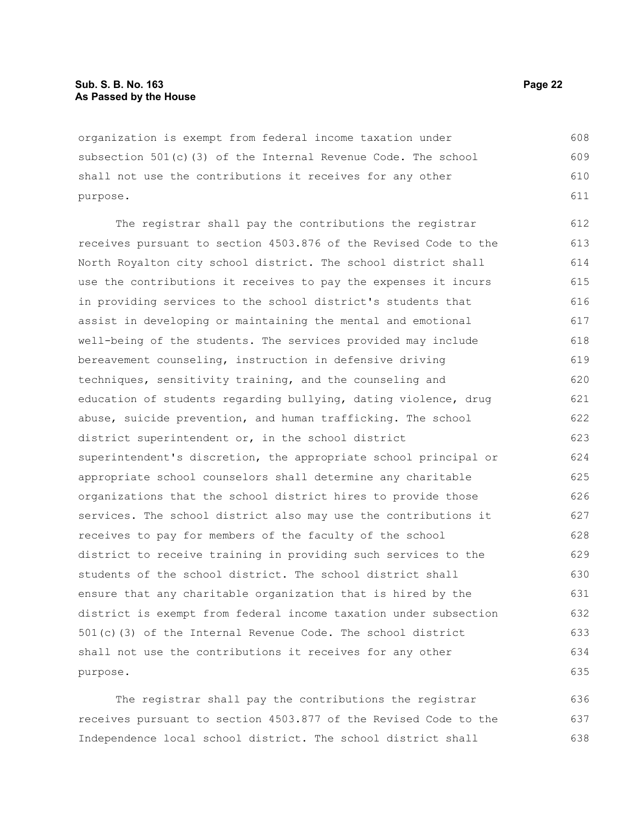organization is exempt from federal income taxation under subsection 501(c)(3) of the Internal Revenue Code. The school shall not use the contributions it receives for any other purpose. 608 609 610 611

The registrar shall pay the contributions the registrar receives pursuant to section 4503.876 of the Revised Code to the North Royalton city school district. The school district shall use the contributions it receives to pay the expenses it incurs in providing services to the school district's students that assist in developing or maintaining the mental and emotional well-being of the students. The services provided may include bereavement counseling, instruction in defensive driving techniques, sensitivity training, and the counseling and education of students regarding bullying, dating violence, drug abuse, suicide prevention, and human trafficking. The school district superintendent or, in the school district superintendent's discretion, the appropriate school principal or appropriate school counselors shall determine any charitable organizations that the school district hires to provide those services. The school district also may use the contributions it receives to pay for members of the faculty of the school district to receive training in providing such services to the students of the school district. The school district shall ensure that any charitable organization that is hired by the district is exempt from federal income taxation under subsection 501(c)(3) of the Internal Revenue Code. The school district shall not use the contributions it receives for any other purpose. 612 613 614 615 616 617 618 619 620 621 622 623 624 625 626 627 628 629 630 631 632 633 634 635

The registrar shall pay the contributions the registrar receives pursuant to section 4503.877 of the Revised Code to the Independence local school district. The school district shall 636 637 638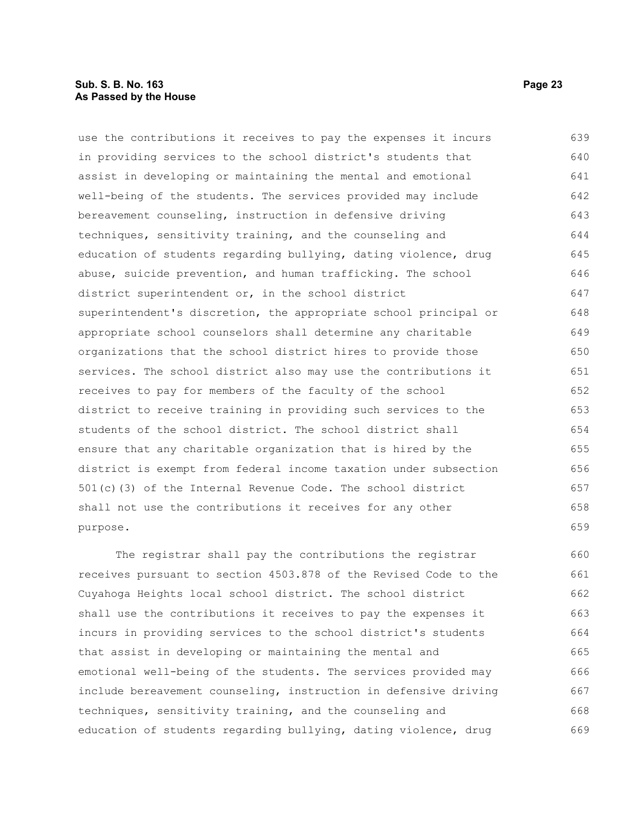#### **Sub. S. B. No. 163 Page 23 As Passed by the House**

use the contributions it receives to pay the expenses it incurs in providing services to the school district's students that assist in developing or maintaining the mental and emotional well-being of the students. The services provided may include bereavement counseling, instruction in defensive driving techniques, sensitivity training, and the counseling and education of students regarding bullying, dating violence, drug abuse, suicide prevention, and human trafficking. The school district superintendent or, in the school district superintendent's discretion, the appropriate school principal or appropriate school counselors shall determine any charitable organizations that the school district hires to provide those services. The school district also may use the contributions it receives to pay for members of the faculty of the school district to receive training in providing such services to the students of the school district. The school district shall ensure that any charitable organization that is hired by the district is exempt from federal income taxation under subsection 501(c)(3) of the Internal Revenue Code. The school district shall not use the contributions it receives for any other purpose. 639 640 641 642 643 644 645 646 647 648 649 650 651 652 653 654 655 656 657 658 659

The registrar shall pay the contributions the registrar receives pursuant to section 4503.878 of the Revised Code to the Cuyahoga Heights local school district. The school district shall use the contributions it receives to pay the expenses it incurs in providing services to the school district's students that assist in developing or maintaining the mental and emotional well-being of the students. The services provided may include bereavement counseling, instruction in defensive driving techniques, sensitivity training, and the counseling and education of students regarding bullying, dating violence, drug 660 661 662 663 664 665 666 667 668 669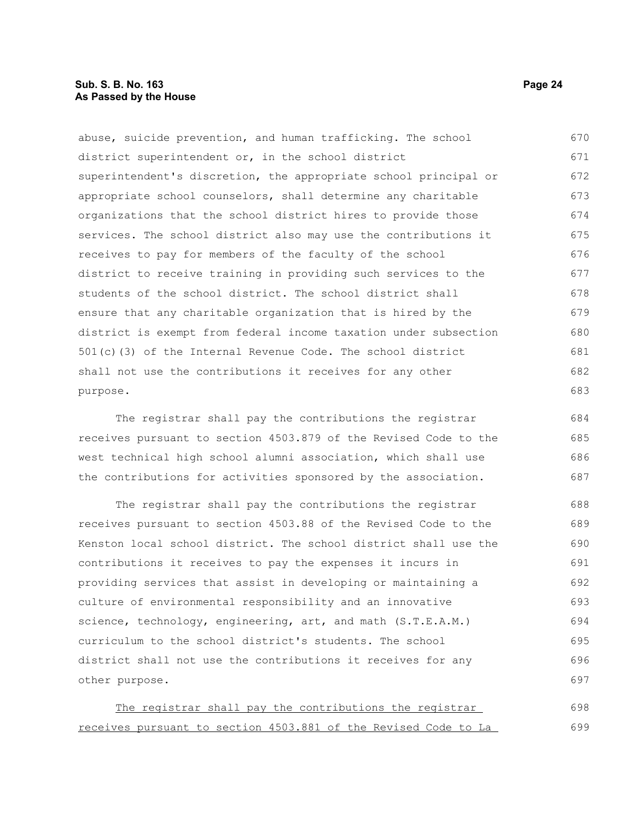abuse, suicide prevention, and human trafficking. The school district superintendent or, in the school district superintendent's discretion, the appropriate school principal or appropriate school counselors, shall determine any charitable organizations that the school district hires to provide those services. The school district also may use the contributions it receives to pay for members of the faculty of the school district to receive training in providing such services to the students of the school district. The school district shall ensure that any charitable organization that is hired by the district is exempt from federal income taxation under subsection 501(c)(3) of the Internal Revenue Code. The school district shall not use the contributions it receives for any other purpose. 670 671 672 673 674 675 676 677 678 679 680 681 682 683

The registrar shall pay the contributions the registrar receives pursuant to section 4503.879 of the Revised Code to the west technical high school alumni association, which shall use the contributions for activities sponsored by the association. 684 685 686 687

The registrar shall pay the contributions the registrar receives pursuant to section 4503.88 of the Revised Code to the Kenston local school district. The school district shall use the contributions it receives to pay the expenses it incurs in providing services that assist in developing or maintaining a culture of environmental responsibility and an innovative science, technology, engineering, art, and math (S.T.E.A.M.) curriculum to the school district's students. The school district shall not use the contributions it receives for any other purpose. 688 689 690 691 692 693 694 695 696 697

The registrar shall pay the contributions the registrar receives pursuant to section 4503.881 of the Revised Code to La 698 699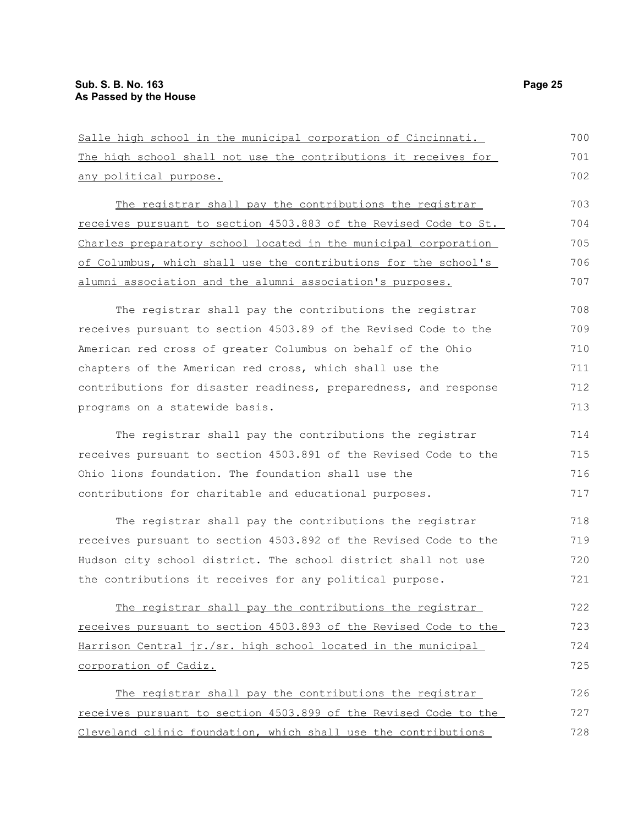| Salle high school in the municipal corporation of Cincinnati.    | 700 |
|------------------------------------------------------------------|-----|
| The high school shall not use the contributions it receives for  | 701 |
| any political purpose.                                           | 702 |
| The registrar shall pay the contributions the registrar          | 703 |
| receives pursuant to section 4503.883 of the Revised Code to St. | 704 |
| Charles preparatory school located in the municipal corporation  | 705 |
| of Columbus, which shall use the contributions for the school's  | 706 |
| alumni association and the alumni association's purposes.        | 707 |
| The registrar shall pay the contributions the registrar          | 708 |
| receives pursuant to section 4503.89 of the Revised Code to the  | 709 |
| American red cross of greater Columbus on behalf of the Ohio     | 710 |
| chapters of the American red cross, which shall use the          | 711 |
| contributions for disaster readiness, preparedness, and response | 712 |
| programs on a statewide basis.                                   | 713 |
| The registrar shall pay the contributions the registrar          | 714 |
| receives pursuant to section 4503.891 of the Revised Code to the | 715 |
| Ohio lions foundation. The foundation shall use the              | 716 |
| contributions for charitable and educational purposes.           | 717 |
| The registrar shall pay the contributions the registrar          | 718 |
| receives pursuant to section 4503.892 of the Revised Code to the | 719 |
| Hudson city school district. The school district shall not use   | 720 |
| the contributions it receives for any political purpose.         | 721 |
| The registrar shall pay the contributions the registrar          | 722 |
| receives pursuant to section 4503.893 of the Revised Code to the | 723 |
| Harrison Central jr./sr. high school located in the municipal    | 724 |
| corporation of Cadiz.                                            | 725 |
| The registrar shall pay the contributions the registrar          | 726 |
| receives pursuant to section 4503.899 of the Revised Code to the | 727 |
| Cleveland clinic foundation, which shall use the contributions   | 728 |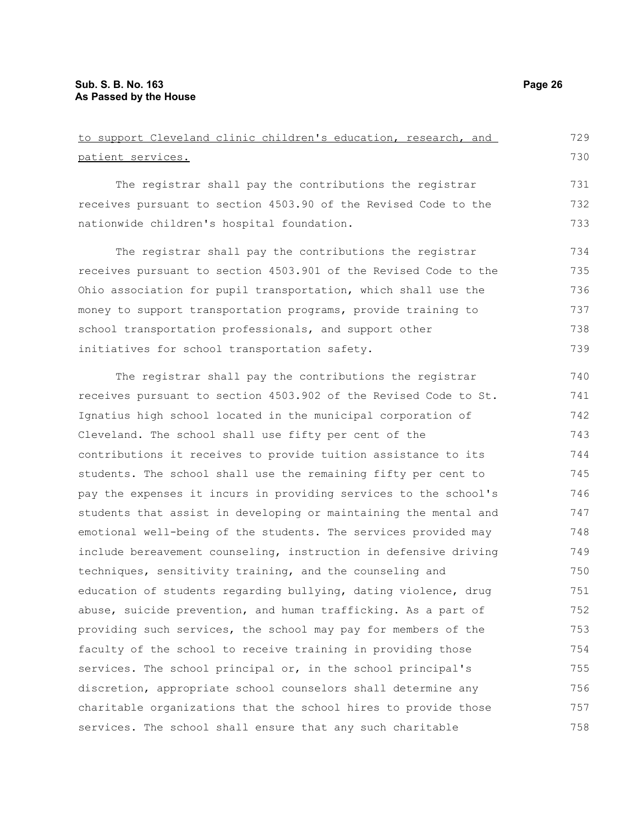| to support Cleveland clinic children's education, research, and  | 729 |
|------------------------------------------------------------------|-----|
| patient services.                                                | 730 |
| The registrar shall pay the contributions the registrar          | 731 |
| receives pursuant to section 4503.90 of the Revised Code to the  | 732 |
| nationwide children's hospital foundation.                       | 733 |
| The registrar shall pay the contributions the registrar          | 734 |
| receives pursuant to section 4503.901 of the Revised Code to the | 735 |
| Ohio association for pupil transportation, which shall use the   | 736 |
| money to support transportation programs, provide training to    | 737 |
| school transportation professionals, and support other           | 738 |
| initiatives for school transportation safety.                    | 739 |
| The registrar shall pay the contributions the registrar          | 740 |
| receives pursuant to section 4503.902 of the Revised Code to St. | 741 |
| Ignatius high school located in the municipal corporation of     | 742 |
| Cleveland. The school shall use fifty per cent of the            | 743 |
| contributions it receives to provide tuition assistance to its   | 744 |
| students. The school shall use the remaining fifty per cent to   | 745 |
| pay the expenses it incurs in providing services to the school's | 746 |
| students that assist in developing or maintaining the mental and | 747 |
| emotional well-being of the students. The services provided may  | 748 |
| include bereavement counseling, instruction in defensive driving | 749 |
| techniques, sensitivity training, and the counseling and         | 750 |
| education of students regarding bullying, dating violence, drug  | 751 |
| abuse, suicide prevention, and human trafficking. As a part of   | 752 |
| providing such services, the school may pay for members of the   | 753 |
| faculty of the school to receive training in providing those     | 754 |
| services. The school principal or, in the school principal's     | 755 |
| discretion, appropriate school counselors shall determine any    | 756 |
| charitable organizations that the school hires to provide those  | 757 |
| services. The school shall ensure that any such charitable       | 758 |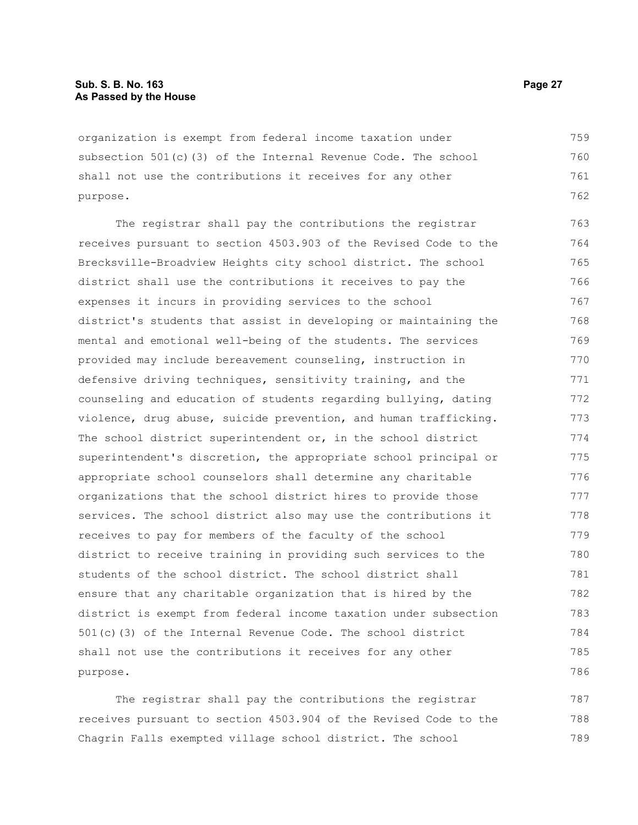organization is exempt from federal income taxation under subsection 501(c)(3) of the Internal Revenue Code. The school shall not use the contributions it receives for any other purpose. 759 760 761 762

The registrar shall pay the contributions the registrar receives pursuant to section 4503.903 of the Revised Code to the Brecksville-Broadview Heights city school district. The school district shall use the contributions it receives to pay the expenses it incurs in providing services to the school district's students that assist in developing or maintaining the mental and emotional well-being of the students. The services provided may include bereavement counseling, instruction in defensive driving techniques, sensitivity training, and the counseling and education of students regarding bullying, dating violence, drug abuse, suicide prevention, and human trafficking. The school district superintendent or, in the school district superintendent's discretion, the appropriate school principal or appropriate school counselors shall determine any charitable organizations that the school district hires to provide those services. The school district also may use the contributions it receives to pay for members of the faculty of the school district to receive training in providing such services to the students of the school district. The school district shall ensure that any charitable organization that is hired by the district is exempt from federal income taxation under subsection 501(c)(3) of the Internal Revenue Code. The school district shall not use the contributions it receives for any other purpose. 763 764 765 766 767 768 769 770 771 772 773 774 775 776 777 778 779 780 781 782 783 784 785 786

The registrar shall pay the contributions the registrar receives pursuant to section 4503.904 of the Revised Code to the Chagrin Falls exempted village school district. The school 787 788 789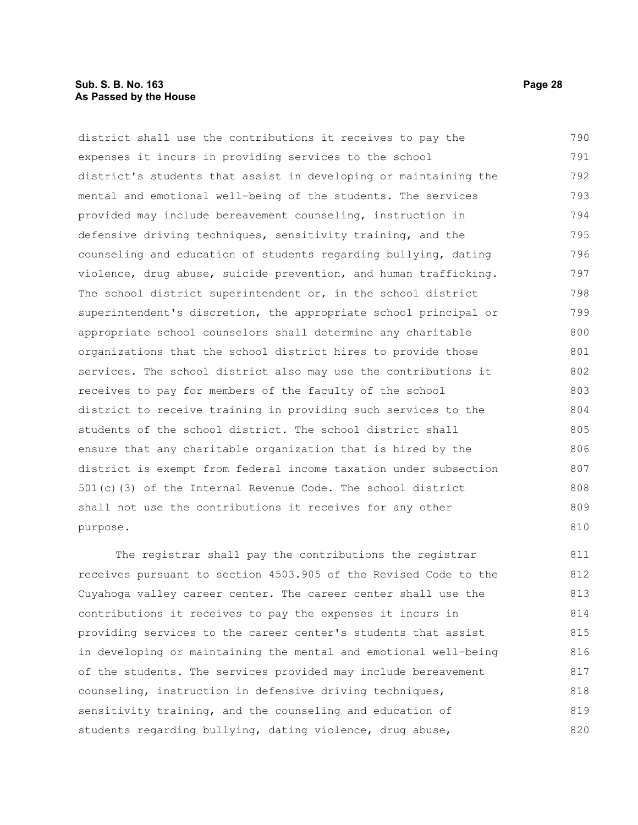#### **Sub. S. B. No. 163 Page 28 As Passed by the House**

district shall use the contributions it receives to pay the expenses it incurs in providing services to the school district's students that assist in developing or maintaining the mental and emotional well-being of the students. The services provided may include bereavement counseling, instruction in defensive driving techniques, sensitivity training, and the counseling and education of students regarding bullying, dating violence, drug abuse, suicide prevention, and human trafficking. The school district superintendent or, in the school district superintendent's discretion, the appropriate school principal or appropriate school counselors shall determine any charitable organizations that the school district hires to provide those services. The school district also may use the contributions it receives to pay for members of the faculty of the school district to receive training in providing such services to the students of the school district. The school district shall ensure that any charitable organization that is hired by the district is exempt from federal income taxation under subsection 501(c)(3) of the Internal Revenue Code. The school district shall not use the contributions it receives for any other purpose. 790 791 792 793 794 795 796 797 798 799 800 801 802 803 804 805 806 807 808 809 810

The registrar shall pay the contributions the registrar receives pursuant to section 4503.905 of the Revised Code to the Cuyahoga valley career center. The career center shall use the contributions it receives to pay the expenses it incurs in providing services to the career center's students that assist in developing or maintaining the mental and emotional well-being of the students. The services provided may include bereavement counseling, instruction in defensive driving techniques, sensitivity training, and the counseling and education of students regarding bullying, dating violence, drug abuse, 811 812 813 814 815 816 817 818 819 820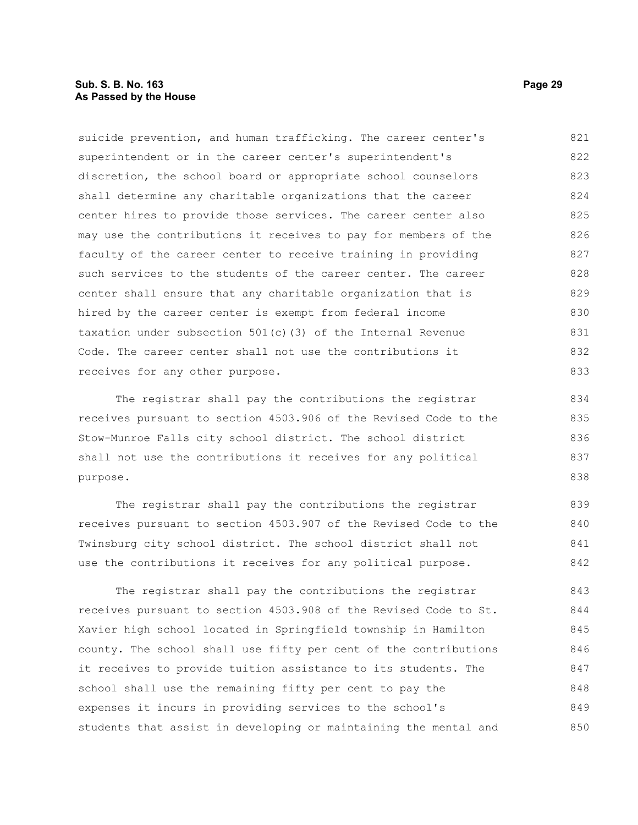#### **Sub. S. B. No. 163 Page 29 As Passed by the House**

suicide prevention, and human trafficking. The career center's superintendent or in the career center's superintendent's discretion, the school board or appropriate school counselors shall determine any charitable organizations that the career center hires to provide those services. The career center also may use the contributions it receives to pay for members of the faculty of the career center to receive training in providing such services to the students of the career center. The career center shall ensure that any charitable organization that is hired by the career center is exempt from federal income taxation under subsection 501(c)(3) of the Internal Revenue Code. The career center shall not use the contributions it receives for any other purpose. The registrar shall pay the contributions the registrar 821 822 823 824 825 826 827 828 829 830 831 832 833 834

receives pursuant to section 4503.906 of the Revised Code to the Stow-Munroe Falls city school district. The school district shall not use the contributions it receives for any political purpose. 835 836 837 838

The registrar shall pay the contributions the registrar receives pursuant to section 4503.907 of the Revised Code to the Twinsburg city school district. The school district shall not use the contributions it receives for any political purpose. 839 840 841 842

The registrar shall pay the contributions the registrar receives pursuant to section 4503.908 of the Revised Code to St. Xavier high school located in Springfield township in Hamilton county. The school shall use fifty per cent of the contributions it receives to provide tuition assistance to its students. The school shall use the remaining fifty per cent to pay the expenses it incurs in providing services to the school's students that assist in developing or maintaining the mental and 843 844 845 846 847 848 849 850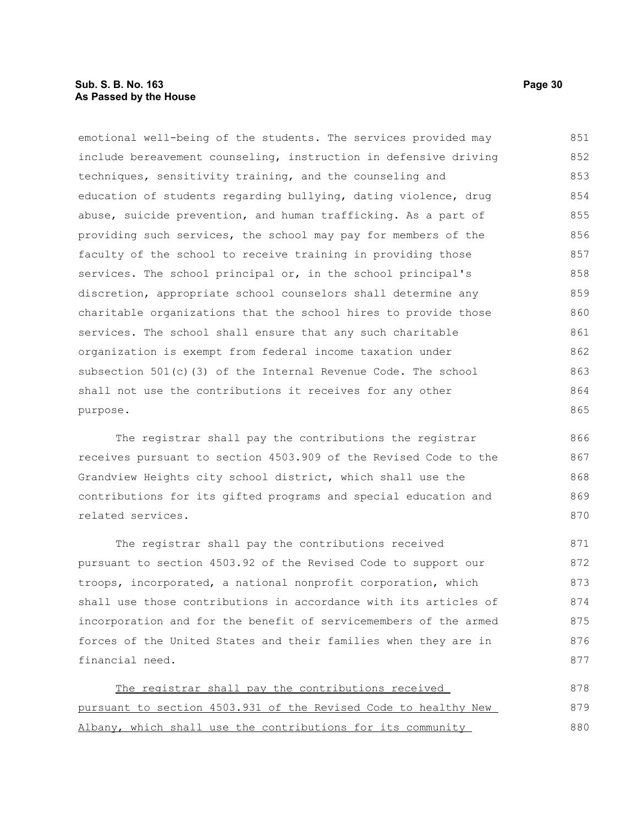emotional well-being of the students. The services provided may include bereavement counseling, instruction in defensive driving techniques, sensitivity training, and the counseling and education of students regarding bullying, dating violence, drug abuse, suicide prevention, and human trafficking. As a part of providing such services, the school may pay for members of the faculty of the school to receive training in providing those services. The school principal or, in the school principal's discretion, appropriate school counselors shall determine any charitable organizations that the school hires to provide those services. The school shall ensure that any such charitable organization is exempt from federal income taxation under subsection 501(c)(3) of the Internal Revenue Code. The school shall not use the contributions it receives for any other purpose. 851 852 853 854 855 856 857 858 859 860 861 862 863 864 865

The registrar shall pay the contributions the registrar receives pursuant to section 4503.909 of the Revised Code to the Grandview Heights city school district, which shall use the contributions for its gifted programs and special education and related services.

The registrar shall pay the contributions received pursuant to section 4503.92 of the Revised Code to support our troops, incorporated, a national nonprofit corporation, which shall use those contributions in accordance with its articles of incorporation and for the benefit of servicemembers of the armed forces of the United States and their families when they are in financial need. 871 872 873 874 875 876 877

The registrar shall pay the contributions received pursuant to section 4503.931 of the Revised Code to healthy New Albany, which shall use the contributions for its community 878 879 880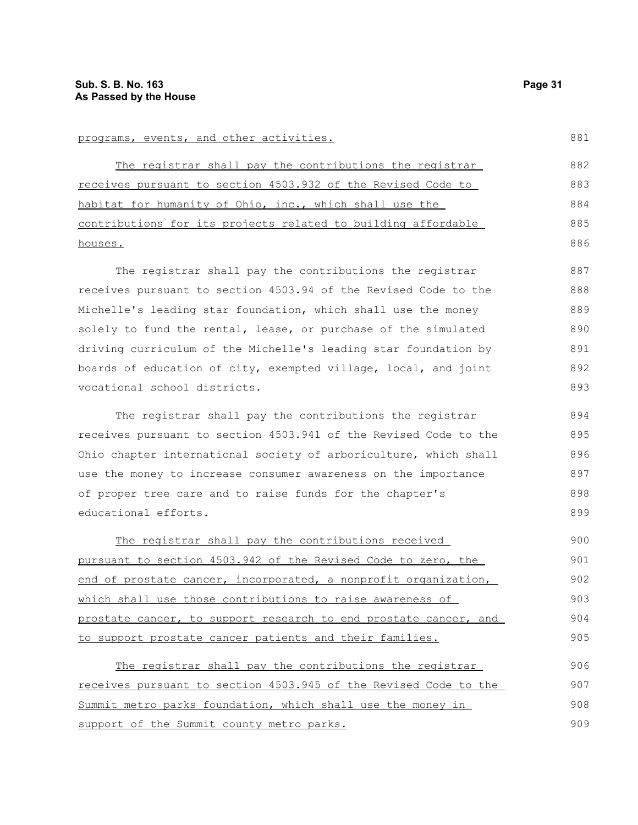The registrar shall pay the contributions the registrar receives pursuant to section 4503.932 of the Revised Code to habitat for humanity of Ohio, inc., which shall use the contributions for its projects related to building affordable houses. 882 883 885 886

The registrar shall pay the contributions the registrar receives pursuant to section 4503.94 of the Revised Code to the Michelle's leading star foundation, which shall use the money solely to fund the rental, lease, or purchase of the simulated driving curriculum of the Michelle's leading star foundation by boards of education of city, exempted village, local, and joint vocational school districts.

The registrar shall pay the contributions the registrar receives pursuant to section 4503.941 of the Revised Code to the Ohio chapter international society of arboriculture, which shall use the money to increase consumer awareness on the importance of proper tree care and to raise funds for the chapter's educational efforts.

The registrar shall pay the contributions received pursuant to section 4503.942 of the Revised Code to zero, the end of prostate cancer, incorporated, a nonprofit organization, which shall use those contributions to raise awareness of prostate cancer, to support research to end prostate cancer, and to support prostate cancer patients and their families. 900 901 902 903 904 905

The registrar shall pay the contributions the registrar receives pursuant to section 4503.945 of the Revised Code to the Summit metro parks foundation, which shall use the money in support of the Summit county metro parks. 906 907 908 909

884

881

893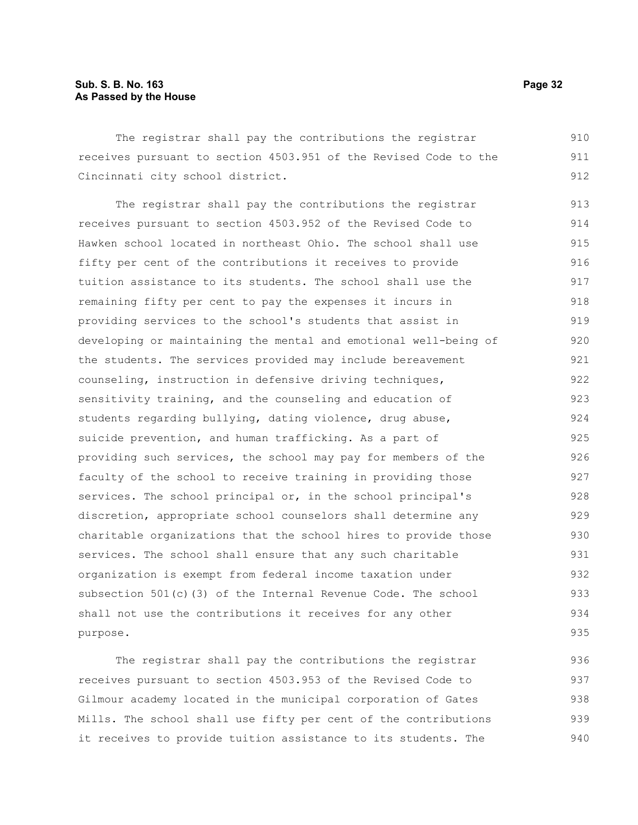### **Sub. S. B. No. 163 Page 32 As Passed by the House**

The registrar shall pay the contributions the registrar receives pursuant to section 4503.951 of the Revised Code to the Cincinnati city school district. 910 911 912

The registrar shall pay the contributions the registrar receives pursuant to section 4503.952 of the Revised Code to Hawken school located in northeast Ohio. The school shall use fifty per cent of the contributions it receives to provide tuition assistance to its students. The school shall use the remaining fifty per cent to pay the expenses it incurs in providing services to the school's students that assist in developing or maintaining the mental and emotional well-being of the students. The services provided may include bereavement counseling, instruction in defensive driving techniques, sensitivity training, and the counseling and education of students regarding bullying, dating violence, drug abuse, suicide prevention, and human trafficking. As a part of providing such services, the school may pay for members of the faculty of the school to receive training in providing those services. The school principal or, in the school principal's discretion, appropriate school counselors shall determine any charitable organizations that the school hires to provide those services. The school shall ensure that any such charitable organization is exempt from federal income taxation under subsection 501(c)(3) of the Internal Revenue Code. The school shall not use the contributions it receives for any other purpose. 913 914 915 916 917 918 919 920 921 922 923 924 925 926 927 928 929 930 931 932 933 934 935

The registrar shall pay the contributions the registrar receives pursuant to section 4503.953 of the Revised Code to Gilmour academy located in the municipal corporation of Gates Mills. The school shall use fifty per cent of the contributions it receives to provide tuition assistance to its students. The 936 937 938 939 940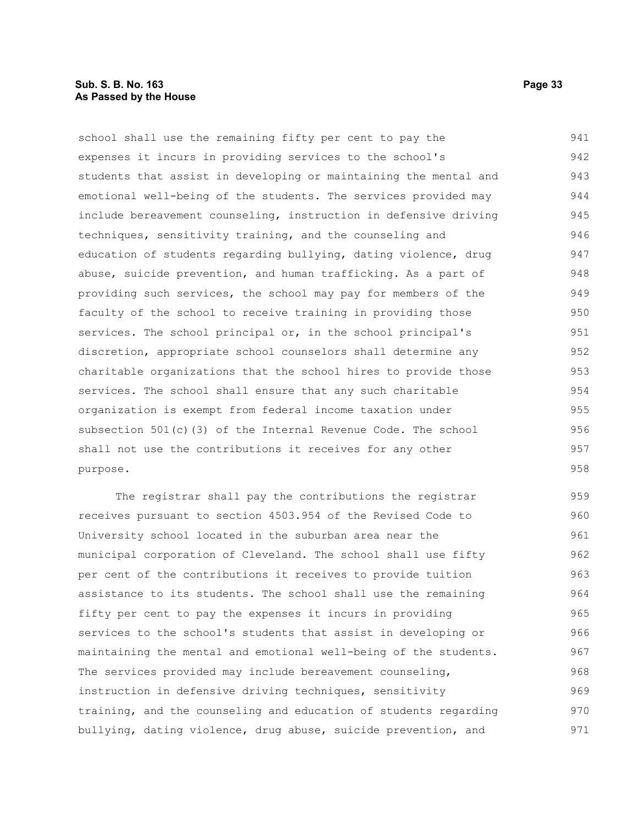#### **Sub. S. B. No. 163 Page 33 As Passed by the House**

school shall use the remaining fifty per cent to pay the expenses it incurs in providing services to the school's students that assist in developing or maintaining the mental and emotional well-being of the students. The services provided may include bereavement counseling, instruction in defensive driving techniques, sensitivity training, and the counseling and education of students regarding bullying, dating violence, drug abuse, suicide prevention, and human trafficking. As a part of providing such services, the school may pay for members of the faculty of the school to receive training in providing those services. The school principal or, in the school principal's discretion, appropriate school counselors shall determine any charitable organizations that the school hires to provide those services. The school shall ensure that any such charitable organization is exempt from federal income taxation under subsection 501(c)(3) of the Internal Revenue Code. The school shall not use the contributions it receives for any other purpose. 941 942 943 944 945 946 947 948 949 950 951 952 953 954 955 956 957 958

The registrar shall pay the contributions the registrar receives pursuant to section 4503.954 of the Revised Code to University school located in the suburban area near the municipal corporation of Cleveland. The school shall use fifty per cent of the contributions it receives to provide tuition assistance to its students. The school shall use the remaining fifty per cent to pay the expenses it incurs in providing services to the school's students that assist in developing or maintaining the mental and emotional well-being of the students. The services provided may include bereavement counseling, instruction in defensive driving techniques, sensitivity training, and the counseling and education of students regarding bullying, dating violence, drug abuse, suicide prevention, and 959 960 961 962 963 964 965 966 967 968 969 970 971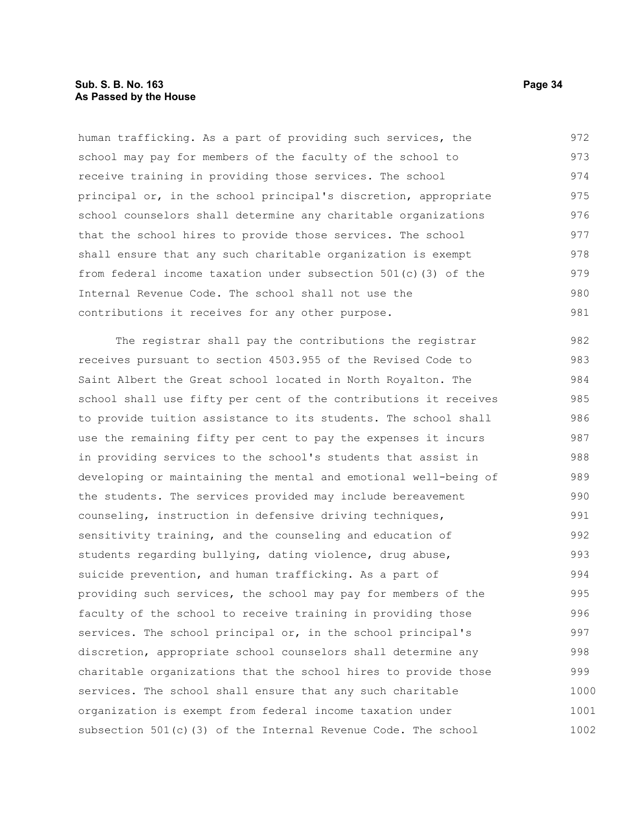human trafficking. As a part of providing such services, the school may pay for members of the faculty of the school to receive training in providing those services. The school principal or, in the school principal's discretion, appropriate school counselors shall determine any charitable organizations that the school hires to provide those services. The school shall ensure that any such charitable organization is exempt from federal income taxation under subsection 501(c)(3) of the Internal Revenue Code. The school shall not use the contributions it receives for any other purpose. 972 973 974 975 976 977 978 979 980 981

The registrar shall pay the contributions the registrar receives pursuant to section 4503.955 of the Revised Code to Saint Albert the Great school located in North Royalton. The school shall use fifty per cent of the contributions it receives to provide tuition assistance to its students. The school shall use the remaining fifty per cent to pay the expenses it incurs in providing services to the school's students that assist in developing or maintaining the mental and emotional well-being of the students. The services provided may include bereavement counseling, instruction in defensive driving techniques, sensitivity training, and the counseling and education of students regarding bullying, dating violence, drug abuse, suicide prevention, and human trafficking. As a part of providing such services, the school may pay for members of the faculty of the school to receive training in providing those services. The school principal or, in the school principal's discretion, appropriate school counselors shall determine any charitable organizations that the school hires to provide those services. The school shall ensure that any such charitable organization is exempt from federal income taxation under subsection 501(c)(3) of the Internal Revenue Code. The school 982 983 984 985 986 987 988 989 990 991 992 993 994 995 996 997 998 999 1000 1001 1002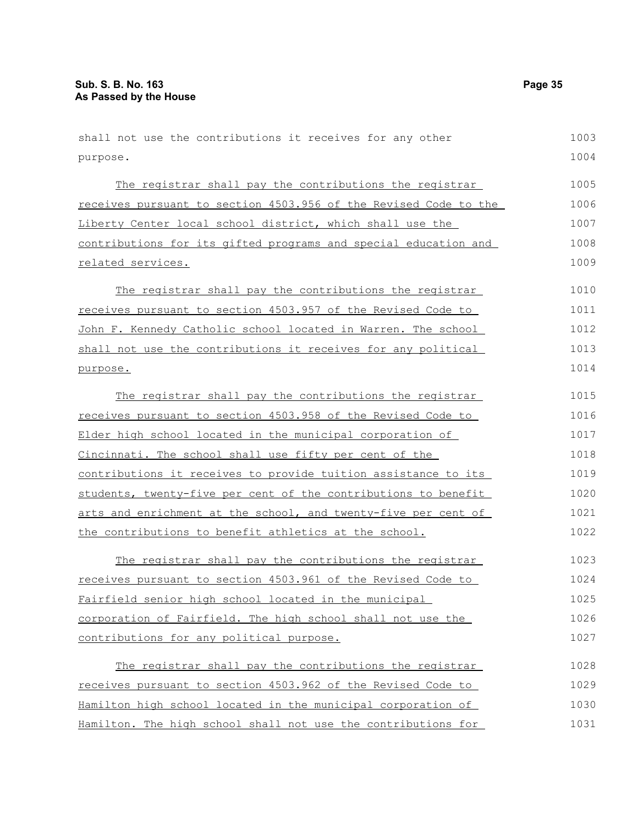shall not use the contributions it receives for any other purpose. The registrar shall pay the contributions the registrar receives pursuant to section 4503.956 of the Revised Code to the Liberty Center local school district, which shall use the contributions for its gifted programs and special education and related services. The registrar shall pay the contributions the registrar receives pursuant to section 4503.957 of the Revised Code to John F. Kennedy Catholic school located in Warren. The school shall not use the contributions it receives for any political purpose. The registrar shall pay the contributions the registrar receives pursuant to section 4503.958 of the Revised Code to Elder high school located in the municipal corporation of Cincinnati. The school shall use fifty per cent of the contributions it receives to provide tuition assistance to its students, twenty-five per cent of the contributions to benefit arts and enrichment at the school, and twenty-five per cent of the contributions to benefit athletics at the school. The registrar shall pay the contributions the registrar receives pursuant to section 4503.961 of the Revised Code to Fairfield senior high school located in the municipal corporation of Fairfield. The high school shall not use the contributions for any political purpose. The registrar shall pay the contributions the registrar receives pursuant to section 4503.962 of the Revised Code to Hamilton high school located in the municipal corporation of Hamilton. The high school shall not use the contributions for 1003 1004 1005 1006 1007 1008 1009 1010 1011 1012 1013 1014 1015 1016 1017 1018 1019 1020 1021 1022 1023 1024 1025 1026 1027 1028 1029 1030 1031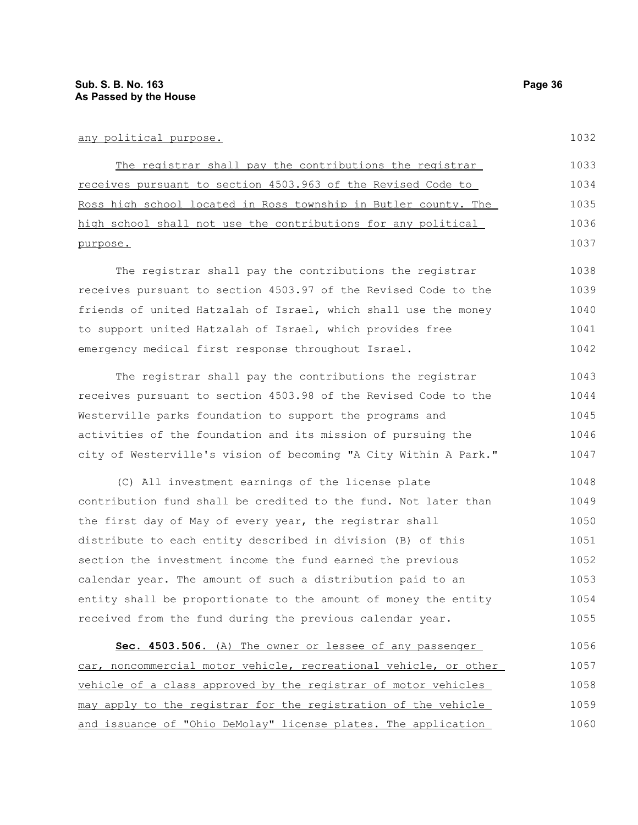#### any political purpose.

1032

| The registrar shall pay the contributions the registrar         | 1033 |
|-----------------------------------------------------------------|------|
| receives pursuant to section 4503.963 of the Revised Code to    | 1034 |
| Ross high school located in Ross township in Butler county. The | 1035 |
| high school shall not use the contributions for any political   | 1036 |
| purpose.                                                        | 1037 |

The registrar shall pay the contributions the registrar receives pursuant to section 4503.97 of the Revised Code to the friends of united Hatzalah of Israel, which shall use the money to support united Hatzalah of Israel, which provides free emergency medical first response throughout Israel. 1038 1039 1040 1041 1042

The registrar shall pay the contributions the registrar receives pursuant to section 4503.98 of the Revised Code to the Westerville parks foundation to support the programs and activities of the foundation and its mission of pursuing the city of Westerville's vision of becoming "A City Within A Park." 1043 1044 1045 1046 1047

(C) All investment earnings of the license plate contribution fund shall be credited to the fund. Not later than the first day of May of every year, the registrar shall distribute to each entity described in division (B) of this section the investment income the fund earned the previous calendar year. The amount of such a distribution paid to an entity shall be proportionate to the amount of money the entity received from the fund during the previous calendar year. 1048 1049 1050 1051 1052 1053 1054 1055

 **Sec. 4503.506.** (A) The owner or lessee of any passenger car, noncommercial motor vehicle, recreational vehicle, or other vehicle of a class approved by the registrar of motor vehicles may apply to the registrar for the registration of the vehicle and issuance of "Ohio DeMolay" license plates. The application 1056 1057 1058 1059 1060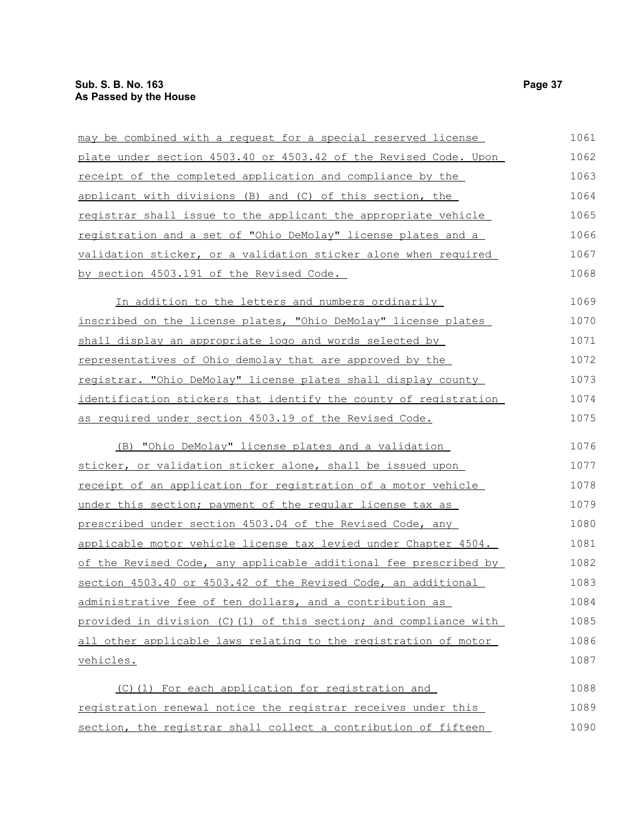| may be combined with a request for a special reserved license     | 1061 |
|-------------------------------------------------------------------|------|
| plate under section 4503.40 or 4503.42 of the Revised Code. Upon  | 1062 |
| receipt of the completed application and compliance by the        | 1063 |
| applicant with divisions (B) and (C) of this section, the         | 1064 |
| registrar shall issue to the applicant the appropriate vehicle    | 1065 |
| registration and a set of "Ohio DeMolay" license plates and a     | 1066 |
| validation sticker, or a validation sticker alone when required   | 1067 |
| by section 4503.191 of the Revised Code.                          | 1068 |
| In addition to the letters and numbers ordinarily                 | 1069 |
| inscribed on the license plates, "Ohio DeMolay" license plates    | 1070 |
| shall display an appropriate logo and words selected by           | 1071 |
| representatives of Ohio demolay that are approved by the          | 1072 |
| registrar. "Ohio DeMolay" license plates shall display county     | 1073 |
| identification stickers that identify the county of registration  | 1074 |
| as required under section 4503.19 of the Revised Code.            | 1075 |
| (B) "Ohio DeMolay" license plates and a validation                | 1076 |
| sticker, or validation sticker alone, shall be issued upon        | 1077 |
| receipt of an application for registration of a motor vehicle     | 1078 |
| under this section; payment of the regular license tax as         | 1079 |
| prescribed under section 4503.04 of the Revised Code, any         | 1080 |
| applicable motor vehicle license tax levied under Chapter 4504.   | 1081 |
| of the Revised Code, any applicable additional fee prescribed by  | 1082 |
| section 4503.40 or 4503.42 of the Revised Code, an additional     | 1083 |
| administrative fee of ten dollars, and a contribution as          | 1084 |
| provided in division (C) (1) of this section; and compliance with | 1085 |
| all other applicable laws relating to the registration of motor   | 1086 |
| <u>vehicles.</u>                                                  | 1087 |
| (C)(1) For each application for registration and                  | 1088 |
| registration renewal notice the registrar receives under this     | 1089 |
| section, the registrar shall collect a contribution of fifteen    | 1090 |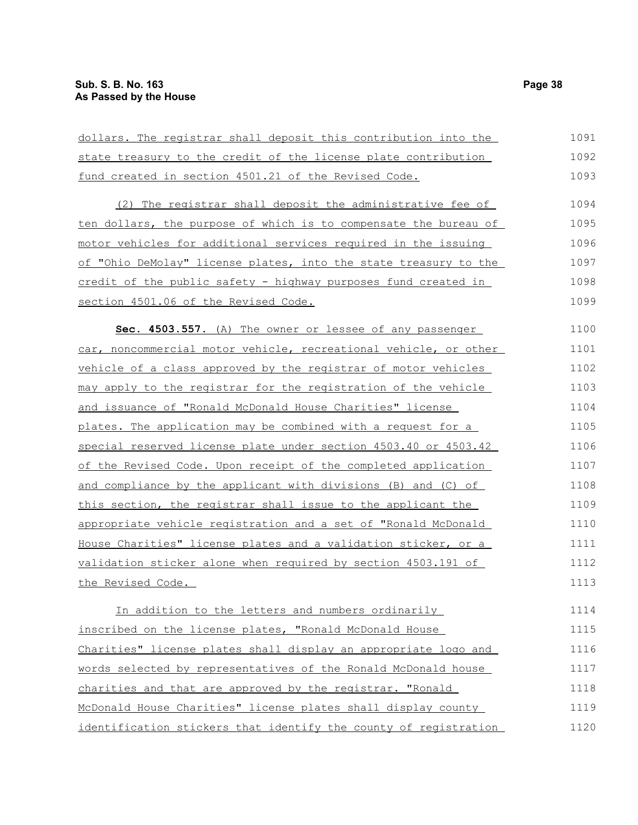| dollars. The registrar shall deposit this contribution into the  | 1091 |
|------------------------------------------------------------------|------|
| state treasury to the credit of the license plate contribution   | 1092 |
| fund created in section 4501.21 of the Revised Code.             | 1093 |
| (2) The registrar shall deposit the administrative fee of        | 1094 |
| ten dollars, the purpose of which is to compensate the bureau of | 1095 |
| motor vehicles for additional services required in the issuing   | 1096 |
| of "Ohio DeMolay" license plates, into the state treasury to the | 1097 |
| credit of the public safety - highway purposes fund created in   | 1098 |
| section 4501.06 of the Revised Code.                             | 1099 |
| Sec. 4503.557. (A) The owner or lessee of any passenger          | 1100 |
| car, noncommercial motor vehicle, recreational vehicle, or other | 1101 |
| vehicle of a class approved by the registrar of motor vehicles   | 1102 |
| may apply to the registrar for the registration of the vehicle   | 1103 |
| and issuance of "Ronald McDonald House Charities" license        | 1104 |
| plates. The application may be combined with a request for a     | 1105 |
| special reserved license plate under section 4503.40 or 4503.42  | 1106 |
| of the Revised Code. Upon receipt of the completed application   | 1107 |
| and compliance by the applicant with divisions (B) and (C) of    | 1108 |
| this section, the registrar shall issue to the applicant the     | 1109 |
| appropriate vehicle registration and a set of "Ronald McDonald   | 1110 |
| House Charities" license plates and a validation sticker, or a   | 1111 |
| validation sticker alone when required by section 4503.191 of    | 1112 |
| the Revised Code.                                                | 1113 |
| In addition to the letters and numbers ordinarily                | 1114 |
| inscribed on the license plates, "Ronald McDonald House          | 1115 |
| Charities" license plates shall display an appropriate logo and  | 1116 |
| words selected by representatives of the Ronald McDonald house   | 1117 |
| charities and that are approved by the registrar. "Ronald        | 1118 |
| McDonald House Charities" license plates shall display county    | 1119 |
| identification stickers that identify the county of registration | 1120 |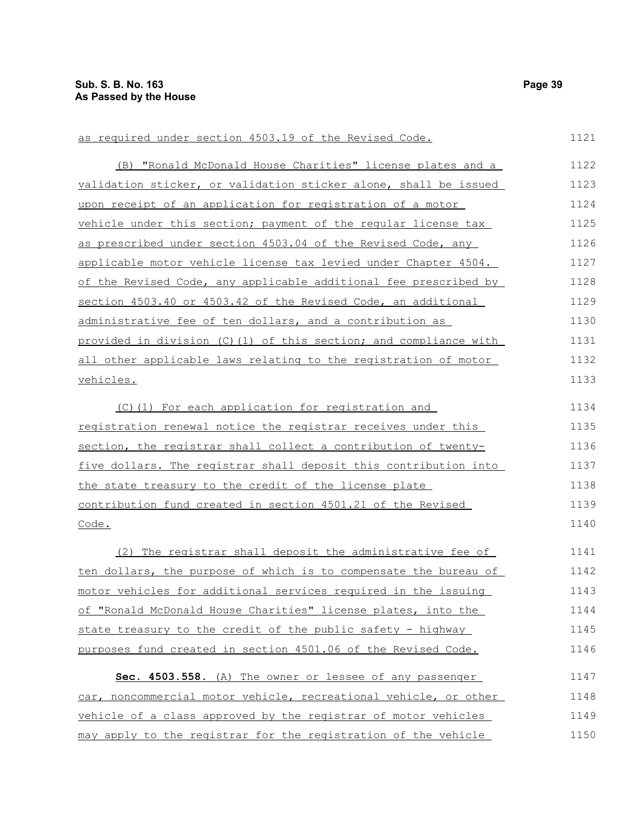as required under section 4503.19 of the Revised Code.

| (B) "Ronald McDonald House Charities" license plates and a       | 1122 |
|------------------------------------------------------------------|------|
| validation sticker, or validation sticker alone, shall be issued | 1123 |
| upon receipt of an application for registration of a motor       | 1124 |
| vehicle under this section; payment of the regular license tax   | 1125 |
| as prescribed under section 4503.04 of the Revised Code, any     | 1126 |
| applicable motor vehicle license tax levied under Chapter 4504.  | 1127 |
| of the Revised Code, any applicable additional fee prescribed by | 1128 |
| section 4503.40 or 4503.42 of the Revised Code, an additional    | 1129 |
| administrative fee of ten dollars, and a contribution as         | 1130 |
| provided in division (C)(1) of this section; and compliance with | 1131 |
| all other applicable laws relating to the registration of motor  | 1132 |
| vehicles.                                                        | 1133 |
| (C)(1) For each application for registration and                 | 1134 |
| registration renewal notice the registrar receives under this    | 1135 |
| section, the registrar shall collect a contribution of twenty-   | 1136 |
| five dollars. The registrar shall deposit this contribution into | 1137 |
| the state treasury to the credit of the license plate            | 1138 |
| contribution fund created in section 4501.21 of the Revised      | 1139 |
| Code.                                                            | 1140 |
| (2) The registrar shall deposit the administrative fee of        | 1141 |
| ten dollars, the purpose of which is to compensate the bureau of | 1142 |
| motor vehicles for additional services required in the issuing   | 1143 |
| of "Ronald McDonald House Charities" license plates, into the    | 1144 |
| state treasury to the credit of the public safety - highway      | 1145 |
| purposes fund created in section 4501.06 of the Revised Code.    | 1146 |
| Sec. 4503.558. (A) The owner or lessee of any passenger          | 1147 |
| car, noncommercial motor vehicle, recreational vehicle, or other | 1148 |
| vehicle of a class approved by the registrar of motor vehicles   | 1149 |
| may apply to the registrar for the registration of the vehicle   | 1150 |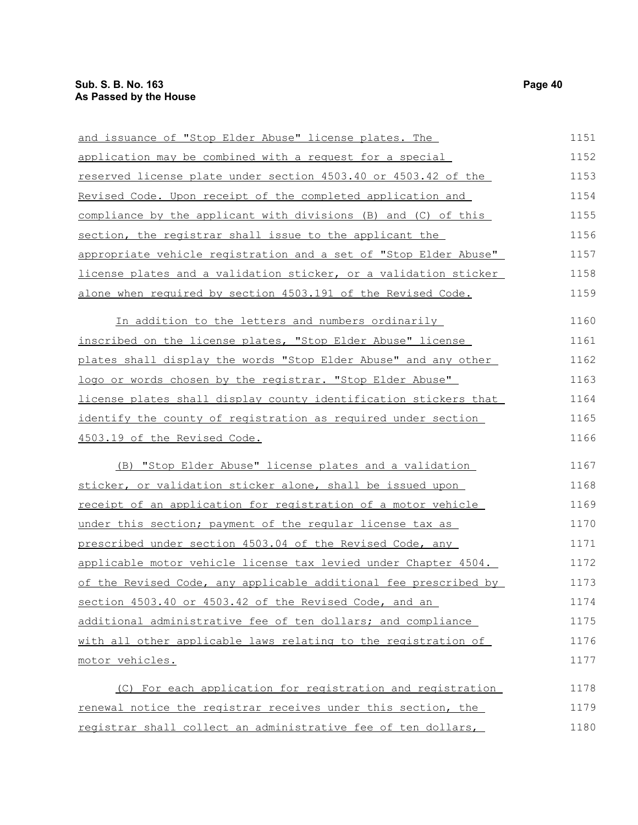| and issuance of "Stop Elder Abuse" license plates. The           | 1151 |
|------------------------------------------------------------------|------|
| application may be combined with a request for a special         | 1152 |
| reserved license plate under section 4503.40 or 4503.42 of the   | 1153 |
| Revised Code. Upon receipt of the completed application and      | 1154 |
| compliance by the applicant with divisions (B) and (C) of this   | 1155 |
| section, the registrar shall issue to the applicant the          | 1156 |
| appropriate vehicle registration and a set of "Stop Elder Abuse" | 1157 |
| license plates and a validation sticker, or a validation sticker | 1158 |
| alone when required by section 4503.191 of the Revised Code.     | 1159 |
| In addition to the letters and numbers ordinarily                | 1160 |
| inscribed on the license plates, "Stop Elder Abuse" license      | 1161 |
| plates shall display the words "Stop Elder Abuse" and any other  | 1162 |
| logo or words chosen by the registrar. "Stop Elder Abuse"        | 1163 |
| license plates shall display county identification stickers that | 1164 |
| identify the county of registration as required under section    | 1165 |
| <u>4503.19 of the Revised Code.</u>                              | 1166 |
| (B) "Stop Elder Abuse" license plates and a validation           | 1167 |
| sticker, or validation sticker alone, shall be issued upon       | 1168 |
| receipt of an application for registration of a motor vehicle    | 1169 |
| under this section; payment of the reqular license tax as        | 1170 |
| prescribed under section 4503.04 of the Revised Code, any        | 1171 |
| applicable motor vehicle license tax levied under Chapter 4504.  | 1172 |
| of the Revised Code, any applicable additional fee prescribed by | 1173 |
| section 4503.40 or 4503.42 of the Revised Code, and an           | 1174 |
| additional administrative fee of ten dollars; and compliance     | 1175 |
| with all other applicable laws relating to the registration of   | 1176 |
| motor vehicles.                                                  | 1177 |
| (C) For each application for registration and registration       | 1178 |
| renewal notice the registrar receives under this section, the    | 1179 |

registrar shall collect an administrative fee of ten dollars, 1180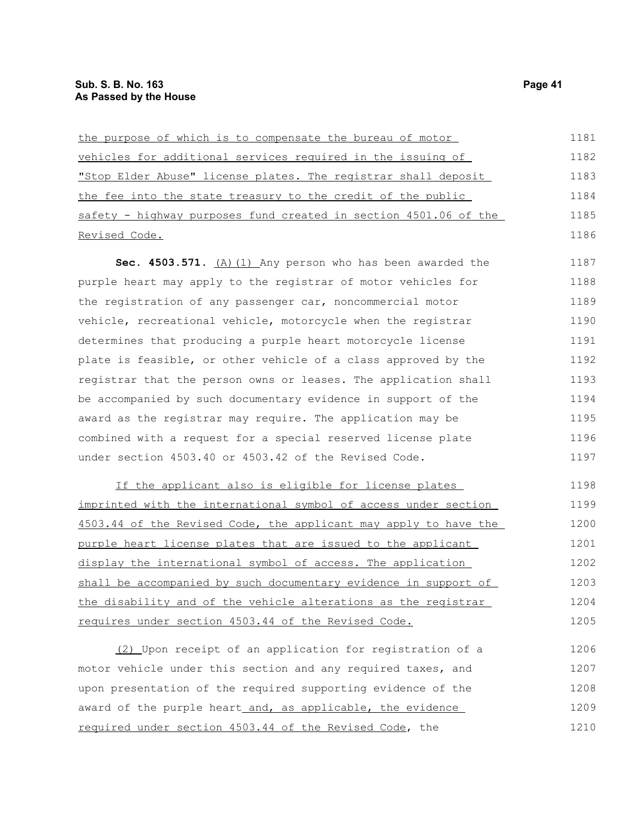| the purpose of which is to compensate the bureau of motor        | 1181 |
|------------------------------------------------------------------|------|
| vehicles for additional services required in the issuing of      | 1182 |
| "Stop Elder Abuse" license plates. The registrar shall deposit   | 1183 |
| the fee into the state treasury to the credit of the public      | 1184 |
| safety - highway purposes fund created in section 4501.06 of the | 1185 |
| Revised Code.                                                    | 1186 |
| Sec. 4503.571. $(A)$ (1) Any person who has been awarded the     | 1187 |
| purple heart may apply to the registrar of motor vehicles for    | 1188 |
| the registration of any passenger car, noncommercial motor       | 1189 |
| vehicle, recreational vehicle, motorcycle when the registrar     | 1190 |
| determines that producing a purple heart motorcycle license      | 1191 |
| plate is feasible, or other vehicle of a class approved by the   | 1192 |
| registrar that the person owns or leases. The application shall  | 1193 |
| be accompanied by such documentary evidence in support of the    | 1194 |
| award as the registrar may require. The application may be       | 1195 |
| combined with a request for a special reserved license plate     | 1196 |
| under section 4503.40 or 4503.42 of the Revised Code.            | 1197 |

If the applicant also is eligible for license plates imprinted with the international symbol of access under section 4503.44 of the Revised Code, the applicant may apply to have the purple heart license plates that are issued to the applicant display the international symbol of access. The application shall be accompanied by such documentary evidence in support of the disability and of the vehicle alterations as the registrar requires under section 4503.44 of the Revised Code. 1198 1199 1200 1201 1202 1203 1204 1205

(2) Upon receipt of an application for registration of a motor vehicle under this section and any required taxes, and upon presentation of the required supporting evidence of the award of the purple heart and, as applicable, the evidence required under section 4503.44 of the Revised Code, the 1206 1207 1208 1209 1210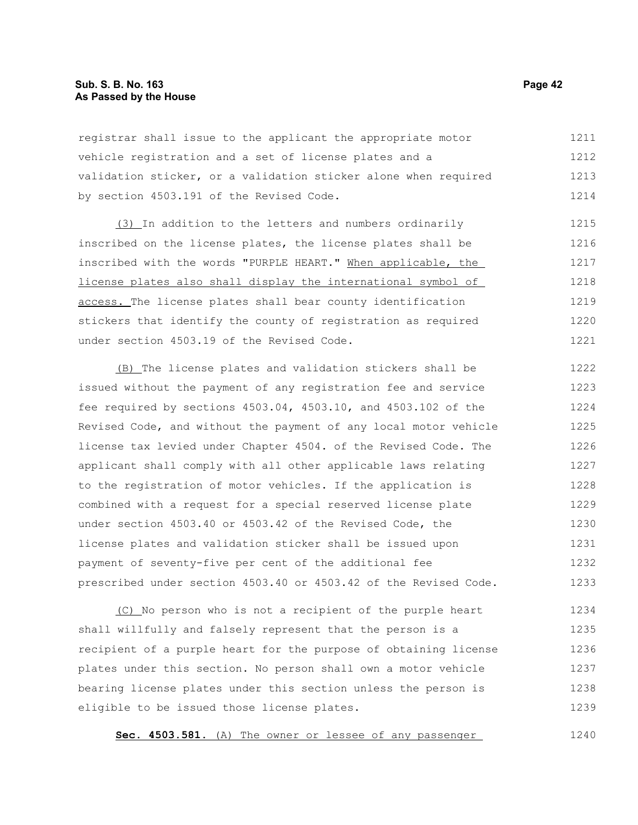registrar shall issue to the applicant the appropriate motor vehicle registration and a set of license plates and a validation sticker, or a validation sticker alone when required by section 4503.191 of the Revised Code. 1211 1212 1213 1214

(3) In addition to the letters and numbers ordinarily inscribed on the license plates, the license plates shall be inscribed with the words "PURPLE HEART." When applicable, the license plates also shall display the international symbol of access. The license plates shall bear county identification stickers that identify the county of registration as required under section 4503.19 of the Revised Code. 1215 1216 1217 1218 1219 1220 1221

(B) The license plates and validation stickers shall be issued without the payment of any registration fee and service fee required by sections 4503.04, 4503.10, and 4503.102 of the Revised Code, and without the payment of any local motor vehicle license tax levied under Chapter 4504. of the Revised Code. The applicant shall comply with all other applicable laws relating to the registration of motor vehicles. If the application is combined with a request for a special reserved license plate under section 4503.40 or 4503.42 of the Revised Code, the license plates and validation sticker shall be issued upon payment of seventy-five per cent of the additional fee prescribed under section 4503.40 or 4503.42 of the Revised Code. 1222 1223 1224 1225 1226 1227 1228 1229 1230 1231 1232 1233

(C) No person who is not a recipient of the purple heart shall willfully and falsely represent that the person is a recipient of a purple heart for the purpose of obtaining license plates under this section. No person shall own a motor vehicle bearing license plates under this section unless the person is eligible to be issued those license plates. 1234 1235 1236 1237 1238 1239

**Sec. 4503.581.** (A) The owner or lessee of any passenger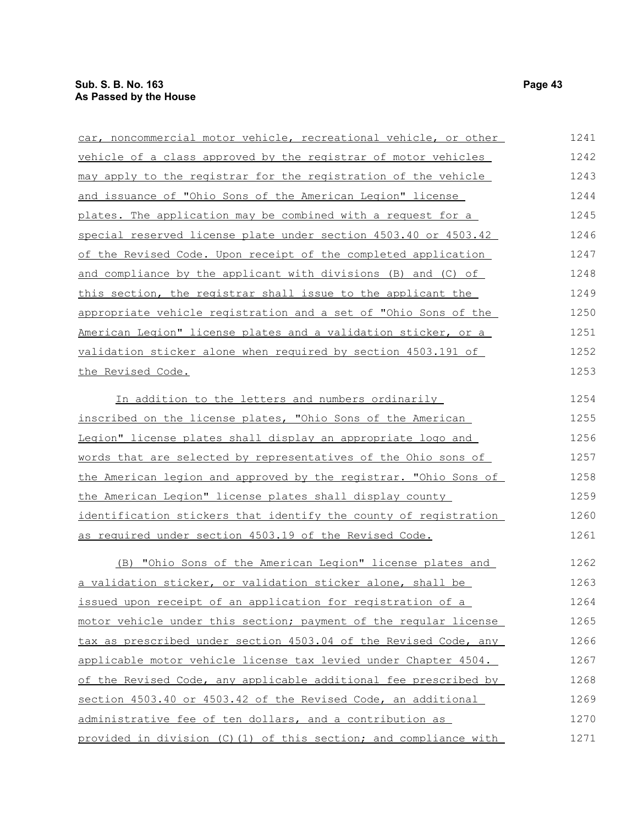| car, noncommercial motor vehicle, recreational vehicle, or other | 1241 |
|------------------------------------------------------------------|------|
| vehicle of a class approved by the registrar of motor vehicles   | 1242 |
| may apply to the registrar for the registration of the vehicle   | 1243 |
| and issuance of "Ohio Sons of the American Legion" license       | 1244 |
| plates. The application may be combined with a request for a     | 1245 |
| special reserved license plate under section 4503.40 or 4503.42  | 1246 |
| of the Revised Code. Upon receipt of the completed application   | 1247 |
| and compliance by the applicant with divisions (B) and (C) of    | 1248 |
| this section, the registrar shall issue to the applicant the     | 1249 |
| appropriate vehicle registration and a set of "Ohio Sons of the  | 1250 |
| American Legion" license plates and a validation sticker, or a   | 1251 |
| validation sticker alone when required by section 4503.191 of    | 1252 |
| the Revised Code.                                                | 1253 |
| In addition to the letters and numbers ordinarily                | 1254 |
| inscribed on the license plates, "Ohio Sons of the American      | 1255 |
| Legion" license plates shall display an appropriate logo and     | 1256 |
| words that are selected by representatives of the Ohio sons of   | 1257 |
| the American legion and approved by the registrar. "Ohio Sons of | 1258 |
| the American Legion" license plates shall display county         | 1259 |
| identification stickers that identify the county of registration | 1260 |
| as required under section 4503.19 of the Revised Code.           | 1261 |
| (B) "Ohio Sons of the American Legion" license plates and        | 1262 |
| a validation sticker, or validation sticker alone, shall be      | 1263 |
| issued upon receipt of an application for registration of a      | 1264 |
| motor vehicle under this section; payment of the reqular license | 1265 |
| tax as prescribed under section 4503.04 of the Revised Code, any | 1266 |
| applicable motor vehicle license tax levied under Chapter 4504.  | 1267 |
| of the Revised Code, any applicable additional fee prescribed by | 1268 |
| section 4503.40 or 4503.42 of the Revised Code, an additional    | 1269 |
| administrative fee of ten dollars, and a contribution as         | 1270 |
|                                                                  |      |

provided in division (C)(1) of this section; and compliance with 1271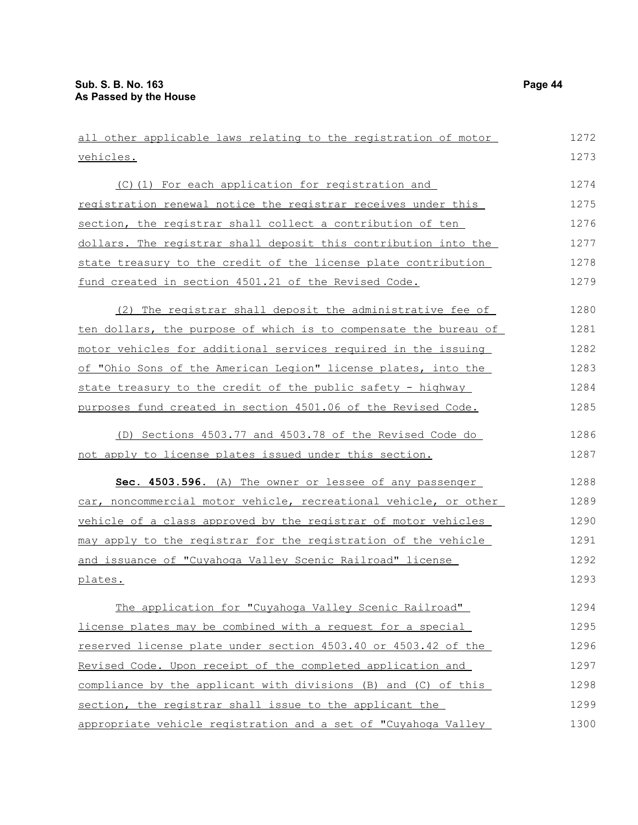all other applicable laws relating to the registration of motor vehicles. (C)(1) For each application for registration and registration renewal notice the registrar receives under this section, the registrar shall collect a contribution of ten dollars. The registrar shall deposit this contribution into the state treasury to the credit of the license plate contribution fund created in section 4501.21 of the Revised Code. (2) The registrar shall deposit the administrative fee of ten dollars, the purpose of which is to compensate the bureau of motor vehicles for additional services required in the issuing of "Ohio Sons of the American Legion" license plates, into the state treasury to the credit of the public safety - highway purposes fund created in section 4501.06 of the Revised Code. (D) Sections 4503.77 and 4503.78 of the Revised Code do not apply to license plates issued under this section. **Sec. 4503.596.** (A) The owner or lessee of any passenger car, noncommercial motor vehicle, recreational vehicle, or other vehicle of a class approved by the registrar of motor vehicles may apply to the registrar for the registration of the vehicle and issuance of "Cuyahoga Valley Scenic Railroad" license plates. The application for "Cuyahoga Valley Scenic Railroad" license plates may be combined with a request for a special reserved license plate under section 4503.40 or 4503.42 of the Revised Code. Upon receipt of the completed application and compliance by the applicant with divisions (B) and (C) of this section, the registrar shall issue to the applicant the appropriate vehicle registration and a set of "Cuyahoga Valley 1272 1273 1274 1275 1276 1277 1278 1279 1280 1281 1282 1283 1284 1285 1286 1287 1288 1289 1290 1291 1292 1293 1294 1295 1296 1297 1298 1299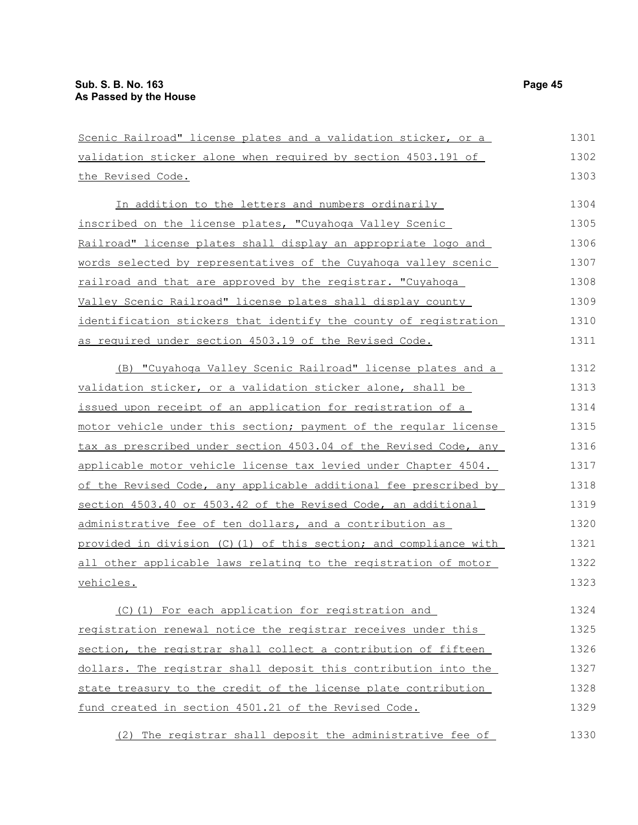| Scenic Railroad" license plates and a validation sticker, or a   | 1301 |
|------------------------------------------------------------------|------|
| validation sticker alone when required by section 4503.191 of    | 1302 |
| the Revised Code.                                                | 1303 |
| In addition to the letters and numbers ordinarily                | 1304 |
| inscribed on the license plates, "Cuyahoga Valley Scenic         | 1305 |
| Railroad" license plates shall display an appropriate logo and   | 1306 |
| words selected by representatives of the Cuyahoga valley scenic  | 1307 |
| railroad and that are approved by the registrar. "Cuyahoga       | 1308 |
| Valley Scenic Railroad" license plates shall display county      | 1309 |
| identification stickers that identify the county of registration | 1310 |
| as required under section 4503.19 of the Revised Code.           | 1311 |
| (B) "Cuyahoga Valley Scenic Railroad" license plates and a       | 1312 |
| validation sticker, or a validation sticker alone, shall be      | 1313 |
| issued upon receipt of an application for registration of a      | 1314 |
| motor vehicle under this section; payment of the reqular license | 1315 |
| tax as prescribed under section 4503.04 of the Revised Code, any | 1316 |
| applicable motor vehicle license tax levied under Chapter 4504.  | 1317 |
| of the Revised Code, any applicable additional fee prescribed by | 1318 |
| section 4503.40 or 4503.42 of the Revised Code, an additional    | 1319 |
| administrative fee of ten dollars, and a contribution as         | 1320 |
| provided in division (C)(1) of this section; and compliance with | 1321 |
| all other applicable laws relating to the registration of motor  | 1322 |
| <u>vehicles.</u>                                                 | 1323 |
| (C)(1) For each application for registration and                 | 1324 |
| registration renewal notice the registrar receives under this    | 1325 |
| section, the registrar shall collect a contribution of fifteen   | 1326 |
| dollars. The registrar shall deposit this contribution into the  | 1327 |
| state treasury to the credit of the license plate contribution   | 1328 |
| fund created in section 4501.21 of the Revised Code.             | 1329 |

(2) The registrar shall deposit the administrative fee of 1330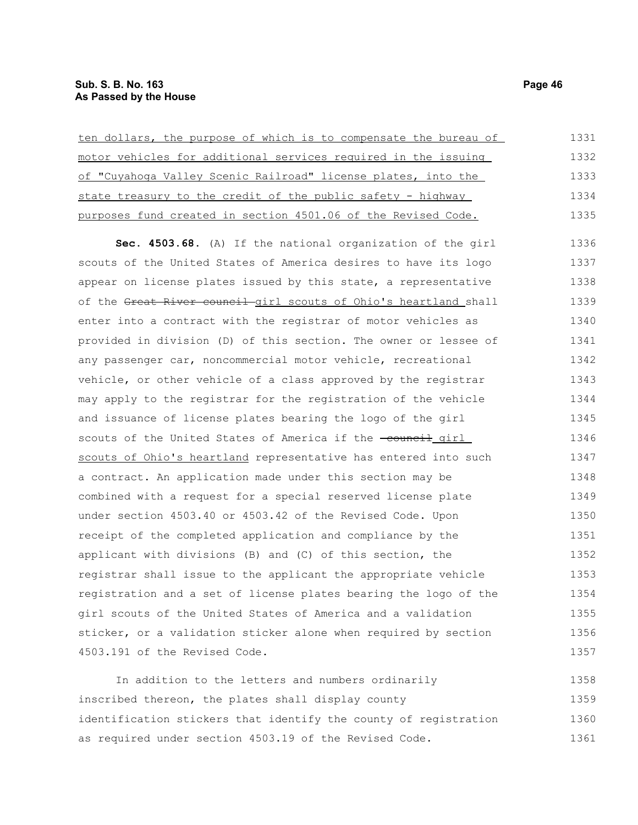| ten dollars, the purpose of which is to compensate the bureau of | 1331 |
|------------------------------------------------------------------|------|
| motor vehicles for additional services required in the issuing   | 1332 |
| of "Cuyahoga Valley Scenic Railroad" license plates, into the    | 1333 |
| state treasury to the credit of the public safety - highway      | 1334 |
| purposes fund created in section 4501.06 of the Revised Code.    | 1335 |
| Sec. 4503.68. (A) If the national organization of the girl       | 1336 |
| scouts of the United States of America desires to have its logo  | 1337 |
| appear on license plates issued by this state, a representative  | 1338 |
| of the Great River council girl scouts of Ohio's heartland shall | 1339 |
| enter into a contract with the registrar of motor vehicles as    | 1340 |
| provided in division (D) of this section. The owner or lessee of | 1341 |
| any passenger car, noncommercial motor vehicle, recreational     | 1342 |
| vehicle, or other vehicle of a class approved by the registrar   | 1343 |
| may apply to the registrar for the registration of the vehicle   | 1344 |
| and issuance of license plates bearing the logo of the girl      | 1345 |
| scouts of the United States of America if the -council girl      | 1346 |
| scouts of Ohio's heartland representative has entered into such  | 1347 |
| a contract. An application made under this section may be        | 1348 |
| combined with a request for a special reserved license plate     | 1349 |
| under section 4503.40 or 4503.42 of the Revised Code. Upon       | 1350 |
| receipt of the completed application and compliance by the       | 1351 |
| applicant with divisions (B) and (C) of this section, the        | 1352 |
| registrar shall issue to the applicant the appropriate vehicle   | 1353 |
| registration and a set of license plates bearing the logo of the | 1354 |
| girl scouts of the United States of America and a validation     | 1355 |
| sticker, or a validation sticker alone when required by section  | 1356 |
| 4503.191 of the Revised Code.                                    | 1357 |

In addition to the letters and numbers ordinarily inscribed thereon, the plates shall display county identification stickers that identify the county of registration as required under section 4503.19 of the Revised Code. 1358 1359 1360 1361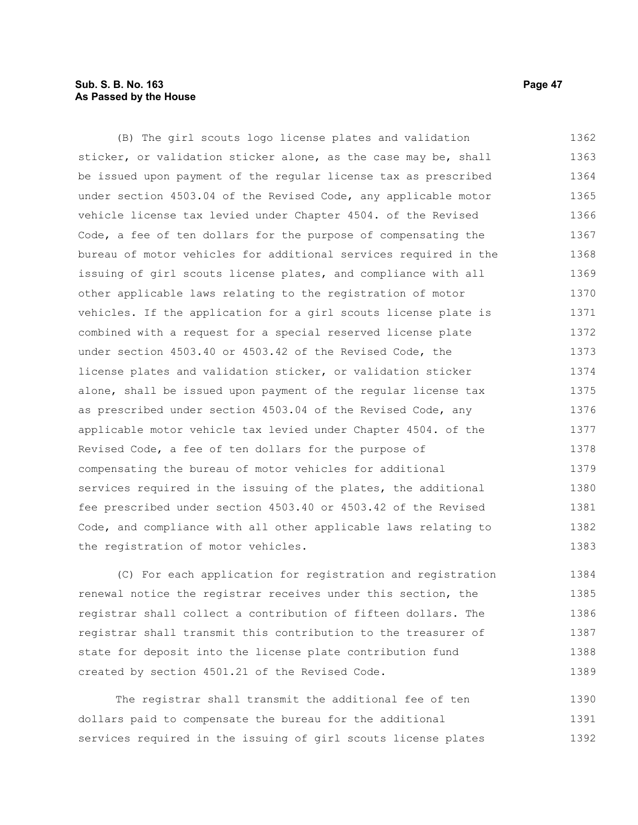## **Sub. S. B. No. 163 Page 47 As Passed by the House**

(B) The girl scouts logo license plates and validation sticker, or validation sticker alone, as the case may be, shall be issued upon payment of the regular license tax as prescribed under section 4503.04 of the Revised Code, any applicable motor vehicle license tax levied under Chapter 4504. of the Revised Code, a fee of ten dollars for the purpose of compensating the bureau of motor vehicles for additional services required in the issuing of girl scouts license plates, and compliance with all other applicable laws relating to the registration of motor vehicles. If the application for a girl scouts license plate is combined with a request for a special reserved license plate under section 4503.40 or 4503.42 of the Revised Code, the license plates and validation sticker, or validation sticker alone, shall be issued upon payment of the regular license tax as prescribed under section 4503.04 of the Revised Code, any applicable motor vehicle tax levied under Chapter 4504. of the Revised Code, a fee of ten dollars for the purpose of compensating the bureau of motor vehicles for additional services required in the issuing of the plates, the additional fee prescribed under section 4503.40 or 4503.42 of the Revised Code, and compliance with all other applicable laws relating to the registration of motor vehicles. 1362 1363 1364 1365 1366 1367 1368 1369 1370 1371 1372 1373 1374 1375 1376 1377 1378 1379 1380 1381 1382 1383

(C) For each application for registration and registration renewal notice the registrar receives under this section, the registrar shall collect a contribution of fifteen dollars. The registrar shall transmit this contribution to the treasurer of state for deposit into the license plate contribution fund created by section 4501.21 of the Revised Code. 1384 1385 1386 1387 1388 1389

The registrar shall transmit the additional fee of ten dollars paid to compensate the bureau for the additional services required in the issuing of girl scouts license plates 1390 1391 1392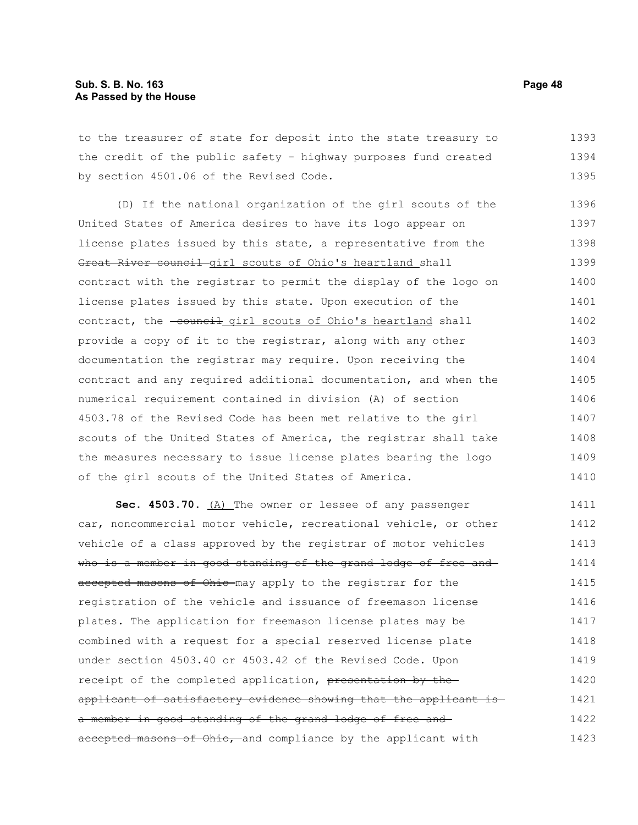## **Sub. S. B. No. 163 Page 48 As Passed by the House**

to the treasurer of state for deposit into the state treasury to the credit of the public safety - highway purposes fund created by section 4501.06 of the Revised Code. 1393 1394 1395

(D) If the national organization of the girl scouts of the United States of America desires to have its logo appear on license plates issued by this state, a representative from the Great River council girl scouts of Ohio's heartland shall contract with the registrar to permit the display of the logo on license plates issued by this state. Upon execution of the contract, the -council girl scouts of Ohio's heartland shall provide a copy of it to the registrar, along with any other documentation the registrar may require. Upon receiving the contract and any required additional documentation, and when the numerical requirement contained in division (A) of section 4503.78 of the Revised Code has been met relative to the girl scouts of the United States of America, the registrar shall take the measures necessary to issue license plates bearing the logo of the girl scouts of the United States of America. 1396 1397 1398 1399 1400 1401 1402 1403 1404 1405 1406 1407 1408 1409 1410

Sec. 4503.70. (A) The owner or lessee of any passenger car, noncommercial motor vehicle, recreational vehicle, or other vehicle of a class approved by the registrar of motor vehicles who is a member in good standing of the grand lodge of free and accepted masons of Ohio may apply to the registrar for the registration of the vehicle and issuance of freemason license plates. The application for freemason license plates may be combined with a request for a special reserved license plate under section 4503.40 or 4503.42 of the Revised Code. Upon receipt of the completed application, presentation by the applicant of satisfactory evidence showing that the applicant is a member in good standing of the grand lodge of free and accepted masons of Ohio, and compliance by the applicant with 1411 1412 1413 1414 1415 1416 1417 1418 1419 1420 1421 1422 1423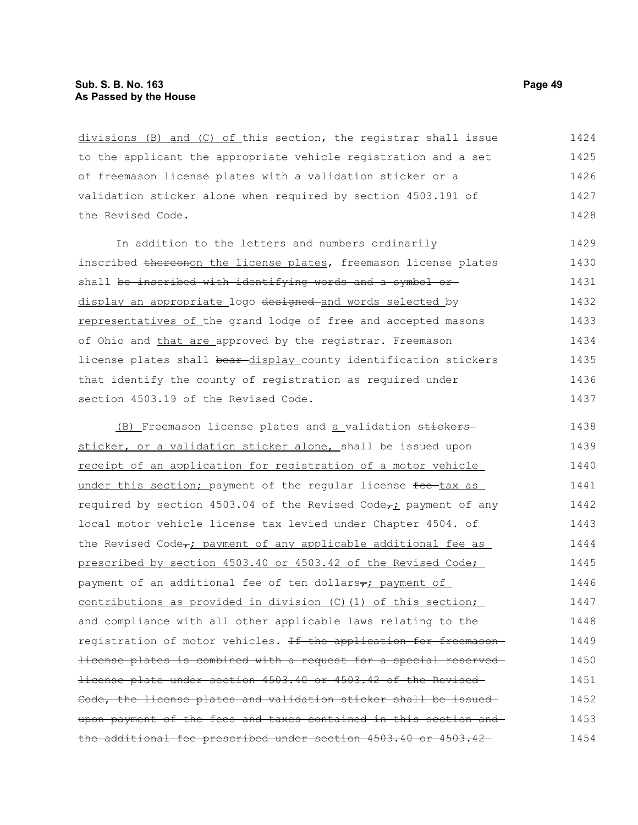divisions (B) and (C) of this section, the registrar shall issue to the applicant the appropriate vehicle registration and a set of freemason license plates with a validation sticker or a validation sticker alone when required by section 4503.191 of the Revised Code. 1424 1425 1426 1427 1428

In addition to the letters and numbers ordinarily inscribed thereonon the license plates, freemason license plates shall be inscribed with identifying words and a symbol ordisplay an appropriate logo designed and words selected by representatives of the grand lodge of free and accepted masons of Ohio and that are approved by the registrar. Freemason license plates shall bear-display\_county identification stickers that identify the county of registration as required under section 4503.19 of the Revised Code. 1429 1430 1431 1432 1433 1434 1435 1436 1437

(B) Freemason license plates and a validation stickerssticker, or a validation sticker alone, shall be issued upon receipt of an application for registration of a motor vehicle under this section; payment of the regular license fee-tax as required by section 4503.04 of the Revised Code $\tau_i$  payment of any local motor vehicle license tax levied under Chapter 4504. of the Revised Code<sub>r</sub>; payment of any applicable additional fee as prescribed by section 4503.40 or 4503.42 of the Revised Code; payment of an additional fee of ten dollars, payment of contributions as provided in division (C)(1) of this section; and compliance with all other applicable laws relating to the registration of motor vehicles. <del>If the application for freemason</del> license plates is combined with a request for a special reserved license plate under section 4503.40 or 4503.42 of the Revised Code, the license plates and validation sticker shall be issued upon payment of the fees and taxes contained in this section and the additional fee prescribed under section 4503.40 or 4503.42 1438 1439 1440 1441 1442 1443 1444 1445 1446 1447 1448 1449 1450 1451 1452 1453 1454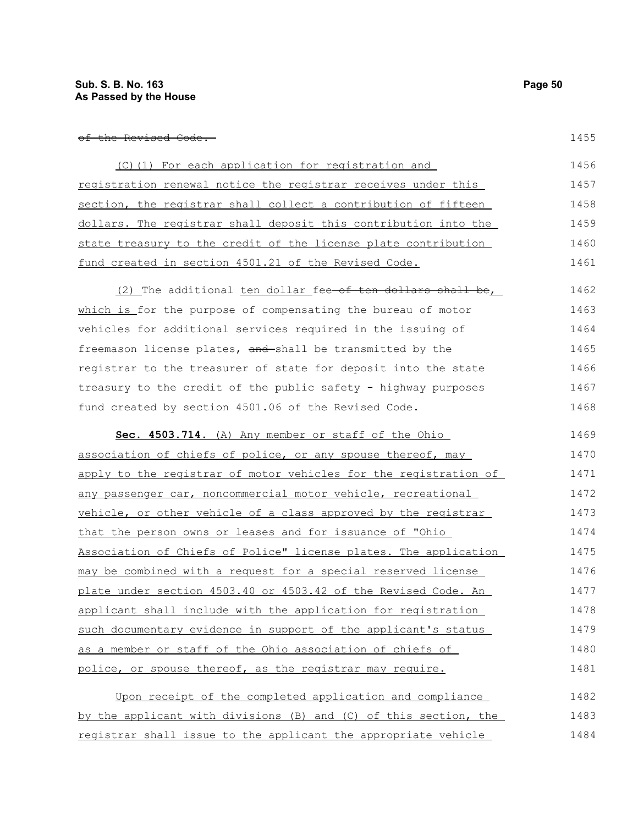1455

| (C)(1) For each application for registration and                | 1456 |
|-----------------------------------------------------------------|------|
| registration renewal notice the registrar receives under this   | 1457 |
| section, the registrar shall collect a contribution of fifteen  | 1458 |
| dollars. The registrar shall deposit this contribution into the | 1459 |
| state treasury to the credit of the license plate contribution  | 1460 |
| fund created in section 4501.21 of the Revised Code.            | 1461 |
|                                                                 |      |

(2) The additional ten dollar fee of ten dollars shall be, which is for the purpose of compensating the bureau of motor vehicles for additional services required in the issuing of freemason license plates, and shall be transmitted by the registrar to the treasurer of state for deposit into the state treasury to the credit of the public safety - highway purposes fund created by section 4501.06 of the Revised Code. 1462 1463 1464 1465 1466 1467 1468

 **Sec. 4503.714.** (A) Any member or staff of the Ohio association of chiefs of police, or any spouse thereof, may apply to the registrar of motor vehicles for the registration of any passenger car, noncommercial motor vehicle, recreational vehicle, or other vehicle of a class approved by the registrar that the person owns or leases and for issuance of "Ohio Association of Chiefs of Police" license plates. The application may be combined with a request for a special reserved license plate under section 4503.40 or 4503.42 of the Revised Code. An applicant shall include with the application for registration such documentary evidence in support of the applicant's status as a member or staff of the Ohio association of chiefs of police, or spouse thereof, as the registrar may require. 1469 1470 1471 1472 1473 1474 1475 1476 1477 1478 1479 1480 1481

| Upon receipt of the completed application and compliance         | 1482 |
|------------------------------------------------------------------|------|
| by the applicant with divisions (B) and (C) of this section, the | 1483 |
| registrar shall issue to the applicant the appropriate vehicle   | 1484 |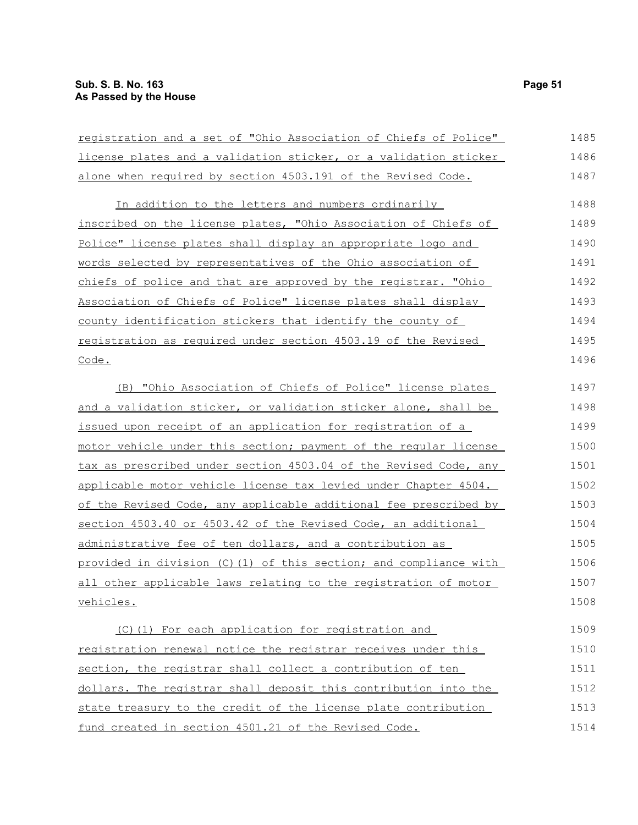| registration and a set of "Ohio Association of Chiefs of Police"  | 1485 |
|-------------------------------------------------------------------|------|
| license plates and a validation sticker, or a validation sticker  | 1486 |
| alone when required by section 4503.191 of the Revised Code.      | 1487 |
| In addition to the letters and numbers ordinarily                 | 1488 |
| inscribed on the license plates, "Ohio Association of Chiefs of   | 1489 |
| Police" license plates shall display an appropriate logo and      | 1490 |
| words selected by representatives of the Ohio association of      | 1491 |
| chiefs of police and that are approved by the registrar. "Ohio    | 1492 |
| Association of Chiefs of Police" license plates shall display     | 1493 |
| county identification stickers that identify the county of        | 1494 |
| registration as required under section 4503.19 of the Revised     | 1495 |
| Code.                                                             | 1496 |
| (B) "Ohio Association of Chiefs of Police" license plates         | 1497 |
| and a validation sticker, or validation sticker alone, shall be   | 1498 |
| issued upon receipt of an application for registration of a       | 1499 |
| motor vehicle under this section; payment of the regular license  | 1500 |
| tax as prescribed under section 4503.04 of the Revised Code, any  | 1501 |
| applicable motor vehicle license tax levied under Chapter 4504.   | 1502 |
| of the Revised Code, any applicable additional fee prescribed by  | 1503 |
| section 4503.40 or 4503.42 of the Revised Code, an additional     | 1504 |
| administrative fee of ten dollars, and a contribution as          | 1505 |
| provided in division (C) (1) of this section; and compliance with | 1506 |
| all other applicable laws relating to the registration of motor   | 1507 |
| vehicles.                                                         | 1508 |
| (C)(1) For each application for registration and                  | 1509 |
| registration renewal notice the registrar receives under this     | 1510 |
| section, the registrar shall collect a contribution of ten        | 1511 |
| dollars. The registrar shall deposit this contribution into the   | 1512 |
| state treasury to the credit of the license plate contribution    | 1513 |
| fund created in section 4501.21 of the Revised Code.              | 1514 |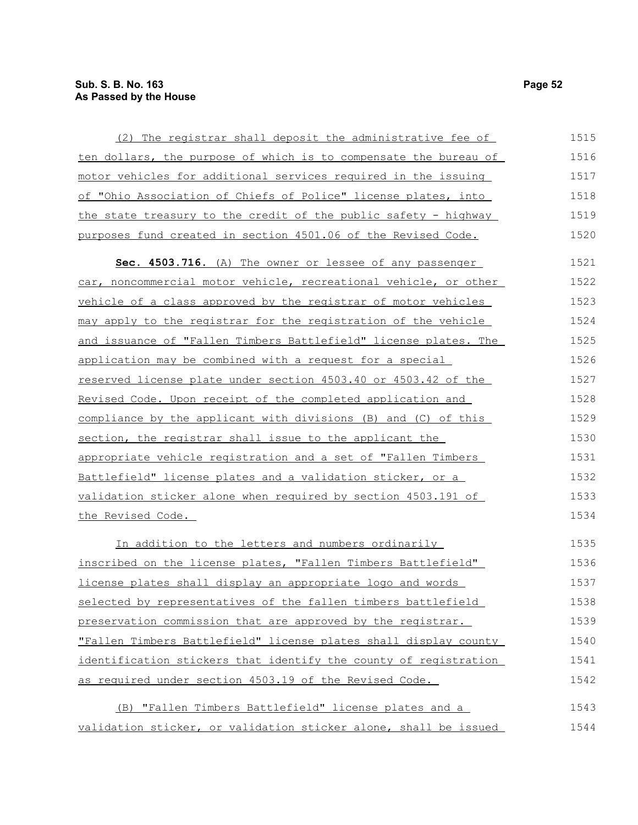| (2) The registrar shall deposit the administrative fee of        | 1515 |
|------------------------------------------------------------------|------|
| ten dollars, the purpose of which is to compensate the bureau of | 1516 |
| motor vehicles for additional services required in the issuing   | 1517 |
| of "Ohio Association of Chiefs of Police" license plates, into   | 1518 |
| the state treasury to the credit of the public safety - highway  | 1519 |
| purposes fund created in section 4501.06 of the Revised Code.    | 1520 |
| Sec. 4503.716. (A) The owner or lessee of any passenger          | 1521 |
| car, noncommercial motor vehicle, recreational vehicle, or other | 1522 |
| vehicle of a class approved by the registrar of motor vehicles   | 1523 |
| may apply to the registrar for the registration of the vehicle   | 1524 |
| and issuance of "Fallen Timbers Battlefield" license plates. The | 1525 |
| application may be combined with a request for a special         | 1526 |
| reserved license plate under section 4503.40 or 4503.42 of the   | 1527 |
| Revised Code. Upon receipt of the completed application and      | 1528 |
| compliance by the applicant with divisions (B) and (C) of this   | 1529 |
| section, the registrar shall issue to the applicant the          | 1530 |
| appropriate vehicle registration and a set of "Fallen Timbers    | 1531 |
| Battlefield" license plates and a validation sticker, or a       | 1532 |
| validation sticker alone when required by section 4503.191 of    | 1533 |
| the Revised Code.                                                | 1534 |
| In addition to the letters and numbers ordinarily                | 1535 |
| inscribed on the license plates, "Fallen Timbers Battlefield"    | 1536 |
| license plates shall display an appropriate logo and words       | 1537 |
| selected by representatives of the fallen timbers battlefield    | 1538 |
| preservation commission that are approved by the registrar.      | 1539 |
| "Fallen Timbers Battlefield" license plates shall display county | 1540 |
| identification stickers that identify the county of registration | 1541 |
| as required under section 4503.19 of the Revised Code.           | 1542 |
| (B) "Fallen Timbers Battlefield" license plates and a            | 1543 |

validation sticker, or validation sticker alone, shall be issued 1544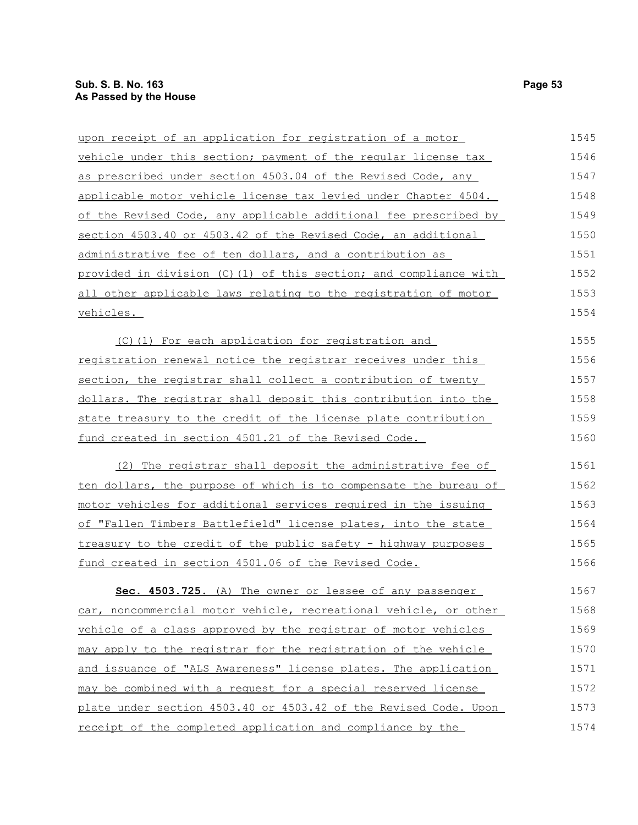| upon receipt of an application for registration of a motor       | 1545 |
|------------------------------------------------------------------|------|
| vehicle under this section; payment of the reqular license tax   | 1546 |
| as prescribed under section 4503.04 of the Revised Code, any     | 1547 |
| applicable motor vehicle license tax levied under Chapter 4504.  | 1548 |
| of the Revised Code, any applicable additional fee prescribed by | 1549 |
| section 4503.40 or 4503.42 of the Revised Code, an additional    | 1550 |
| administrative fee of ten dollars, and a contribution as         | 1551 |
| provided in division (C)(1) of this section; and compliance with | 1552 |
| all other applicable laws relating to the registration of motor  | 1553 |
| vehicles.                                                        | 1554 |
| (C)(1) For each application for registration and                 | 1555 |
| registration renewal notice the registrar receives under this    | 1556 |
| section, the registrar shall collect a contribution of twenty    | 1557 |
| dollars. The registrar shall deposit this contribution into the  | 1558 |
| state treasury to the credit of the license plate contribution   | 1559 |
| fund created in section 4501.21 of the Revised Code.             | 1560 |
| (2) The registrar shall deposit the administrative fee of        | 1561 |
| ten dollars, the purpose of which is to compensate the bureau of | 1562 |
| motor vehicles for additional services required in the issuing   | 1563 |
| of "Fallen Timbers Battlefield" license plates, into the state   | 1564 |
| treasury to the credit of the public safety - highway purposes   | 1565 |
| fund created in section 4501.06 of the Revised Code.             | 1566 |
| Sec. 4503.725. (A) The owner or lessee of any passenger          | 1567 |
| car, noncommercial motor vehicle, recreational vehicle, or other | 1568 |
| vehicle of a class approved by the registrar of motor vehicles   | 1569 |
| may apply to the registrar for the registration of the vehicle   | 1570 |
| and issuance of "ALS Awareness" license plates. The application  | 1571 |
| may be combined with a request for a special reserved license    | 1572 |
| plate under section 4503.40 or 4503.42 of the Revised Code. Upon | 1573 |
| receipt of the completed application and compliance by the       | 1574 |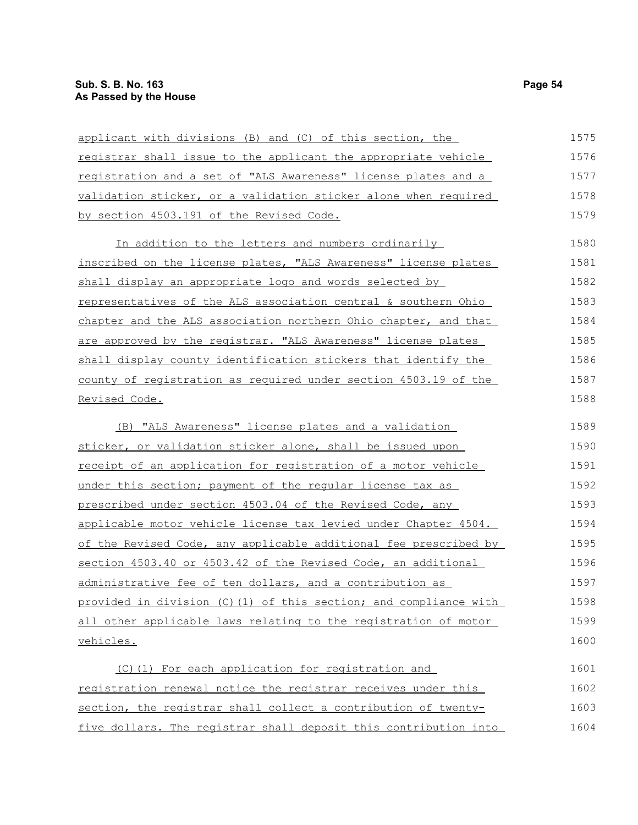| applicant with divisions (B) and (C) of this section, the         | 1575 |
|-------------------------------------------------------------------|------|
| registrar shall issue to the applicant the appropriate vehicle    | 1576 |
| registration and a set of "ALS Awareness" license plates and a    | 1577 |
| validation sticker, or a validation sticker alone when required   | 1578 |
| by section 4503.191 of the Revised Code.                          | 1579 |
| In addition to the letters and numbers ordinarily                 | 1580 |
| inscribed on the license plates, "ALS Awareness" license plates   | 1581 |
| shall display an appropriate logo and words selected by           | 1582 |
| representatives of the ALS association central & southern Ohio    | 1583 |
| chapter and the ALS association northern Ohio chapter, and that   | 1584 |
| are approved by the registrar. "ALS Awareness" license plates     | 1585 |
| shall display county identification stickers that identify the    | 1586 |
| county of registration as required under section 4503.19 of the   | 1587 |
| Revised Code.                                                     | 1588 |
| (B) "ALS Awareness" license plates and a validation               | 1589 |
| sticker, or validation sticker alone, shall be issued upon        | 1590 |
| receipt of an application for registration of a motor vehicle     | 1591 |
| under this section; payment of the reqular license tax as         | 1592 |
| prescribed under section 4503.04 of the Revised Code, any         | 1593 |
| applicable motor vehicle license tax levied under Chapter 4504.   | 1594 |
| of the Revised Code, any applicable additional fee prescribed by  | 1595 |
| section 4503.40 or 4503.42 of the Revised Code, an additional     | 1596 |
| administrative fee of ten dollars, and a contribution as          | 1597 |
| provided in division (C) (1) of this section; and compliance with | 1598 |
| all other applicable laws relating to the registration of motor   | 1599 |
| vehicles.                                                         | 1600 |
| (C)(1) For each application for registration and                  | 1601 |
| registration renewal notice the registrar receives under this     | 1602 |
| section, the registrar shall collect a contribution of twenty-    | 1603 |
| five dollars. The registrar shall deposit this contribution into  | 1604 |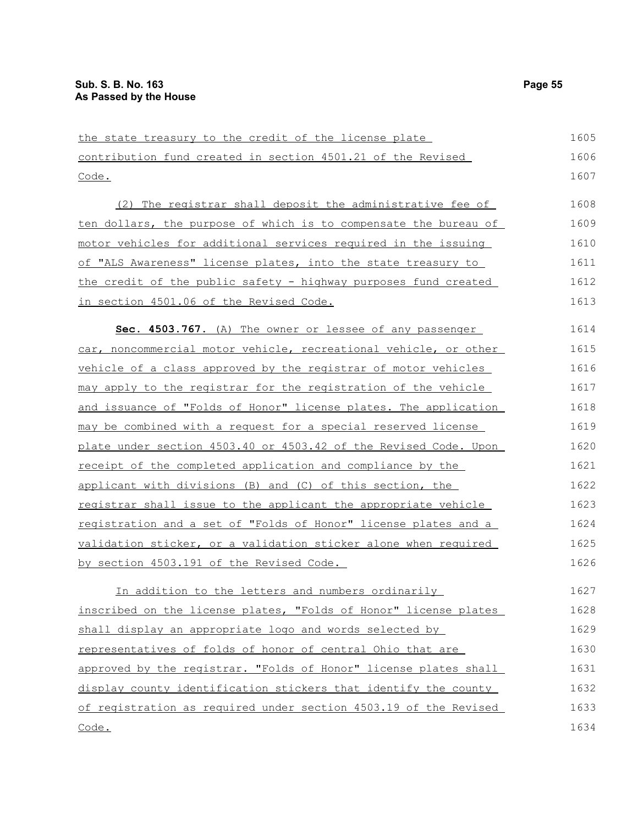| the state treasury to the credit of the license plate                   | 1605 |
|-------------------------------------------------------------------------|------|
| contribution fund created in section 4501.21 of the Revised             | 1606 |
| Code.                                                                   | 1607 |
| (2) The registrar shall deposit the administrative fee of               | 1608 |
| ten dollars, the purpose of which is to compensate the bureau of        | 1609 |
| <u>motor vehicles for additional services required in the issuing</u>   | 1610 |
| of "ALS Awareness" license plates, into the state treasury to           | 1611 |
| the credit of the public safety - highway purposes fund created         | 1612 |
| in section 4501.06 of the Revised Code.                                 | 1613 |
| Sec. 4503.767. (A) The owner or lessee of any passenger                 | 1614 |
| car, noncommercial motor vehicle, recreational vehicle, or other        | 1615 |
| vehicle of a class approved by the registrar of motor vehicles          | 1616 |
| may apply to the registrar for the registration of the vehicle          | 1617 |
| and issuance of "Folds of Honor" license plates. The application        | 1618 |
| may be combined with a request for a special reserved license           | 1619 |
| <u>plate under section 4503.40 or 4503.42 of the Revised Code. Upon</u> | 1620 |
| receipt of the completed application and compliance by the              | 1621 |
| applicant with divisions (B) and (C) of this section, the               | 1622 |
| registrar shall issue to the applicant the appropriate vehicle          | 1623 |
| registration and a set of "Folds of Honor" license plates and a         | 1624 |
| validation sticker, or a validation sticker alone when required         | 1625 |
| by section 4503.191 of the Revised Code.                                | 1626 |
| In addition to the letters and numbers ordinarily                       | 1627 |
| inscribed on the license plates, "Folds of Honor" license plates        | 1628 |
| shall display an appropriate logo and words selected by                 | 1629 |
| representatives of folds of honor of central Ohio that are              | 1630 |
| approved by the registrar. "Folds of Honor" license plates shall        | 1631 |
| display county identification stickers that identify the county         | 1632 |
| of reqistration as required under section 4503.19 of the Revised        | 1633 |
| Code.                                                                   | 1634 |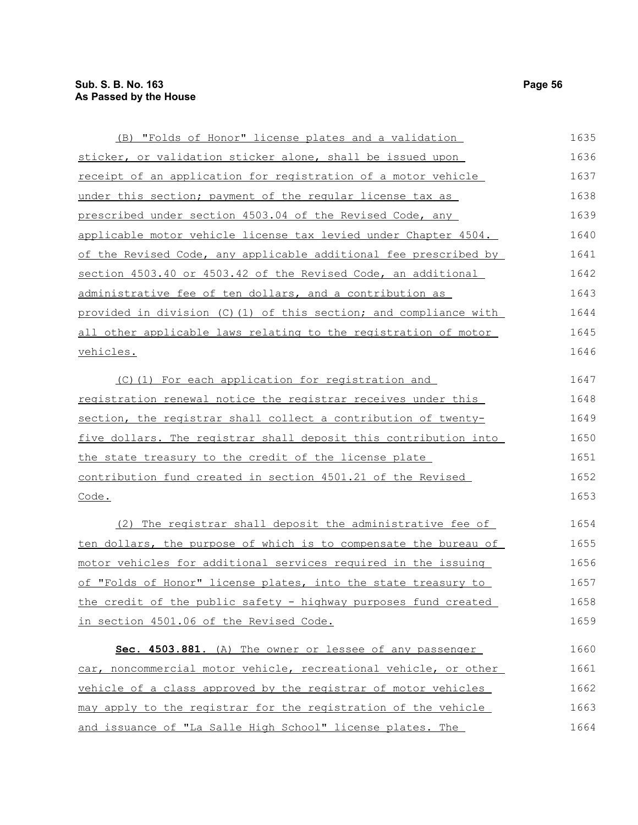| (B) "Folds of Honor" license plates and a validation             | 1635 |
|------------------------------------------------------------------|------|
| sticker, or validation sticker alone, shall be issued upon       | 1636 |
| receipt of an application for registration of a motor vehicle    | 1637 |
| under this section; payment of the reqular license tax as        | 1638 |
| prescribed under section 4503.04 of the Revised Code, any        | 1639 |
| applicable motor vehicle license tax levied under Chapter 4504.  | 1640 |
| of the Revised Code, any applicable additional fee prescribed by | 1641 |
| section 4503.40 or 4503.42 of the Revised Code, an additional    | 1642 |
| administrative fee of ten dollars, and a contribution as         | 1643 |
| provided in division (C)(1) of this section; and compliance with | 1644 |
| all other applicable laws relating to the registration of motor  | 1645 |
| vehicles.                                                        | 1646 |
| (C)(1) For each application for registration and                 | 1647 |
| registration renewal notice the registrar receives under this    | 1648 |
| section, the registrar shall collect a contribution of twenty-   | 1649 |
| five dollars. The registrar shall deposit this contribution into | 1650 |
| the state treasury to the credit of the license plate            | 1651 |
| contribution fund created in section 4501.21 of the Revised      | 1652 |
| Code.                                                            | 1653 |
| (2) The registrar shall deposit the administrative fee of        | 1654 |
| ten dollars, the purpose of which is to compensate the bureau of | 1655 |
| motor vehicles for additional services required in the issuing   | 1656 |
| of "Folds of Honor" license plates, into the state treasury to   | 1657 |
| the credit of the public safety - highway purposes fund created  | 1658 |
| in section 4501.06 of the Revised Code.                          | 1659 |
| Sec. 4503.881. (A) The owner or lessee of any passenger          | 1660 |
| car, noncommercial motor vehicle, recreational vehicle, or other | 1661 |
| vehicle of a class approved by the registrar of motor vehicles   | 1662 |
| may apply to the registrar for the registration of the vehicle   | 1663 |
| and issuance of "La Salle High School" license plates. The       | 1664 |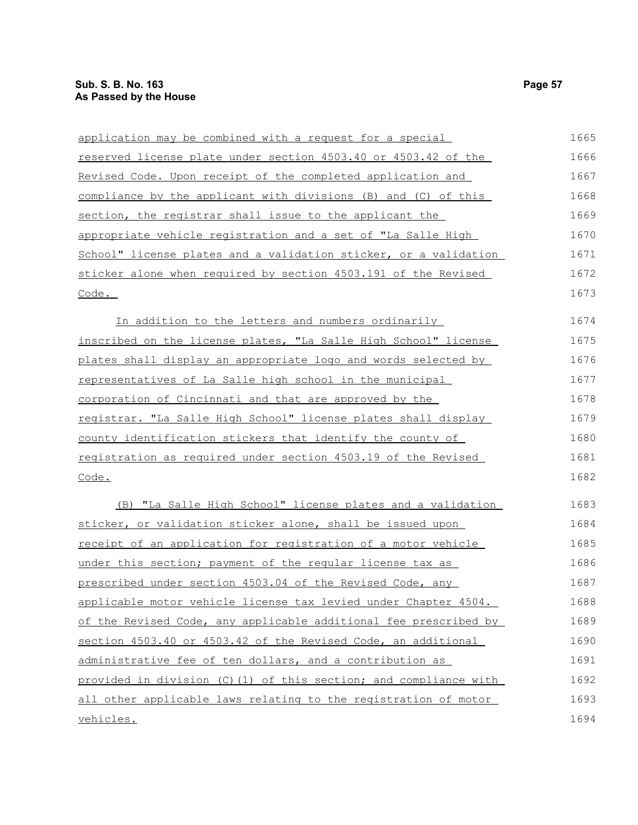| application may be combined with a request for a special         | 1665 |
|------------------------------------------------------------------|------|
| reserved license plate under section 4503.40 or 4503.42 of the   | 1666 |
| Revised Code. Upon receipt of the completed application and      | 1667 |
| compliance by the applicant with divisions (B) and (C) of this   | 1668 |
| section, the registrar shall issue to the applicant the          | 1669 |
| appropriate vehicle registration and a set of "La Salle High     | 1670 |
| School" license plates and a validation sticker, or a validation | 1671 |
| sticker alone when required by section 4503.191 of the Revised   | 1672 |
| Code.                                                            | 1673 |
| In addition to the letters and numbers ordinarily                | 1674 |
| inscribed on the license plates, "La Salle High School" license  | 1675 |
| plates shall display an appropriate logo and words selected by   | 1676 |
| representatives of La Salle high school in the municipal         | 1677 |
| corporation of Cincinnati and that are approved by the           | 1678 |
| registrar. "La Salle High School" license plates shall display   | 1679 |
| county identification stickers that identify the county of       | 1680 |
| registration as required under section 4503.19 of the Revised    | 1681 |
| Code.                                                            | 1682 |
| (B) "La Salle High School" license plates and a validation       | 1683 |
| sticker, or validation sticker alone, shall be issued upon       | 1684 |
| receipt of an application for registration of a motor vehicle    | 1685 |
| under this section; payment of the reqular license tax as        | 1686 |
| prescribed under section 4503.04 of the Revised Code, any        | 1687 |
| applicable motor vehicle license tax levied under Chapter 4504.  | 1688 |
| of the Revised Code, any applicable additional fee prescribed by | 1689 |
| section 4503.40 or 4503.42 of the Revised Code, an additional    | 1690 |
| administrative fee of ten dollars, and a contribution as         | 1691 |
| provided in division (C)(1) of this section; and compliance with | 1692 |
| all other applicable laws relating to the registration of motor  | 1693 |
| vehicles.                                                        | 1694 |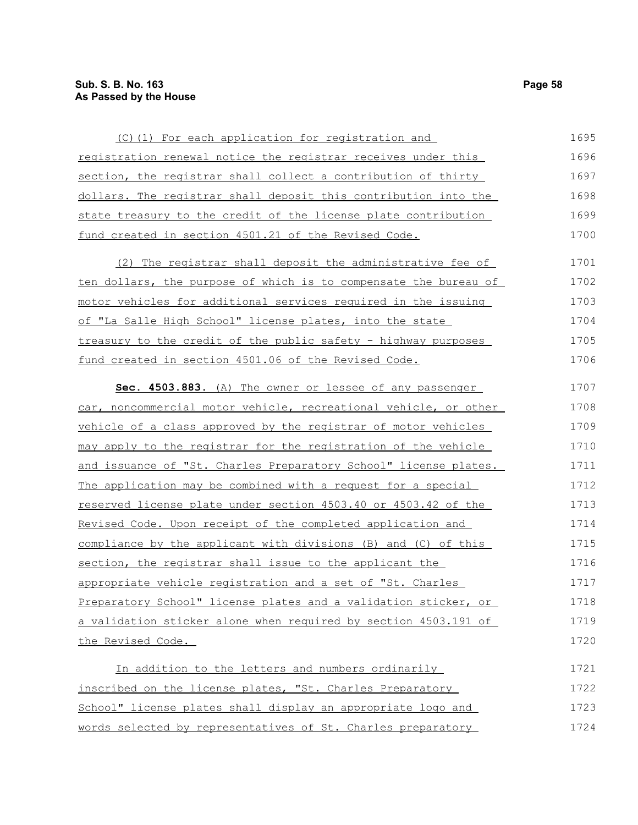| (C)(1) For each application for registration and                 | 1695 |
|------------------------------------------------------------------|------|
| registration renewal notice the registrar receives under this    | 1696 |
| section, the registrar shall collect a contribution of thirty    | 1697 |
| dollars. The registrar shall deposit this contribution into the  | 1698 |
| state treasury to the credit of the license plate contribution   | 1699 |
| fund created in section 4501.21 of the Revised Code.             | 1700 |
| (2) The registrar shall deposit the administrative fee of        | 1701 |
| ten dollars, the purpose of which is to compensate the bureau of | 1702 |
| motor vehicles for additional services required in the issuing   | 1703 |
| of "La Salle High School" license plates, into the state         | 1704 |
| treasury to the credit of the public safety - highway purposes   | 1705 |
| fund created in section 4501.06 of the Revised Code.             | 1706 |
| Sec. 4503.883. (A) The owner or lessee of any passenger          | 1707 |
| car, noncommercial motor vehicle, recreational vehicle, or other | 1708 |
| vehicle of a class approved by the registrar of motor vehicles   | 1709 |
| may apply to the registrar for the registration of the vehicle   | 1710 |
| and issuance of "St. Charles Preparatory School" license plates. | 1711 |
| The application may be combined with a request for a special     | 1712 |
| reserved license plate under section 4503.40 or 4503.42 of the   | 1713 |
| Revised Code. Upon receipt of the completed application and      | 1714 |
| compliance by the applicant with divisions (B) and (C) of this   | 1715 |
| section, the registrar shall issue to the applicant the          | 1716 |
| appropriate vehicle registration and a set of "St. Charles       | 1717 |
| Preparatory School" license plates and a validation sticker, or  | 1718 |
| a validation sticker alone when required by section 4503.191 of  | 1719 |
| the Revised Code.                                                | 1720 |

In addition to the letters and numbers ordinarily inscribed on the license plates, "St. Charles Preparatory School" license plates shall display an appropriate logo and words selected by representatives of St. Charles preparatory 1721 1722 1723 1724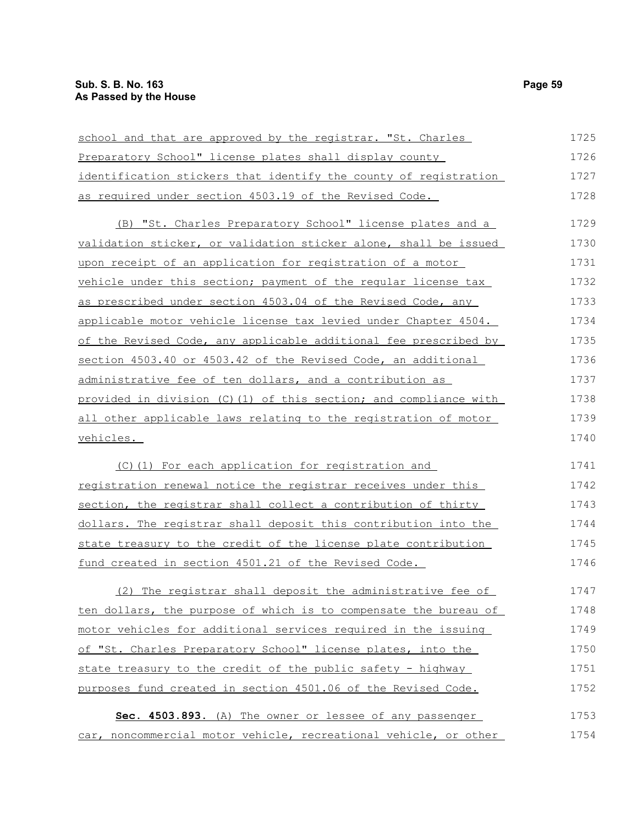| school and that are approved by the registrar. "St. Charles      | 1725 |
|------------------------------------------------------------------|------|
| Preparatory School" license plates shall display county          | 1726 |
| identification stickers that identify the county of registration | 1727 |
| as required under section 4503.19 of the Revised Code.           | 1728 |
| (B) "St. Charles Preparatory School" license plates and a        | 1729 |
| validation sticker, or validation sticker alone, shall be issued | 1730 |
| upon receipt of an application for registration of a motor       | 1731 |
| vehicle under this section; payment of the regular license tax   | 1732 |
| as prescribed under section 4503.04 of the Revised Code, any     | 1733 |
| applicable motor vehicle license tax levied under Chapter 4504.  | 1734 |
| of the Revised Code, any applicable additional fee prescribed by | 1735 |
| section 4503.40 or 4503.42 of the Revised Code, an additional    | 1736 |
| administrative fee of ten dollars, and a contribution as         | 1737 |
| provided in division (C)(1) of this section; and compliance with | 1738 |
| all other applicable laws relating to the registration of motor  | 1739 |
| vehicles.                                                        | 1740 |
| (C)(1) For each application for registration and                 | 1741 |
| registration renewal notice the registrar receives under this    | 1742 |
| section, the registrar shall collect a contribution of thirty    | 1743 |
| dollars. The registrar shall deposit this contribution into the  | 1744 |
| state treasury to the credit of the license plate contribution   | 1745 |
| fund created in section 4501.21 of the Revised Code.             | 1746 |
| (2) The registrar shall deposit the administrative fee of        | 1747 |
| ten dollars, the purpose of which is to compensate the bureau of | 1748 |
| motor vehicles for additional services required in the issuing   | 1749 |
| of "St. Charles Preparatory School" license plates, into the     | 1750 |
| state treasury to the credit of the public safety - highway      | 1751 |
| purposes fund created in section 4501.06 of the Revised Code.    | 1752 |
| Sec. 4503.893. (A) The owner or lessee of any passenger          | 1753 |
| car, noncommercial motor vehicle, recreational vehicle, or other | 1754 |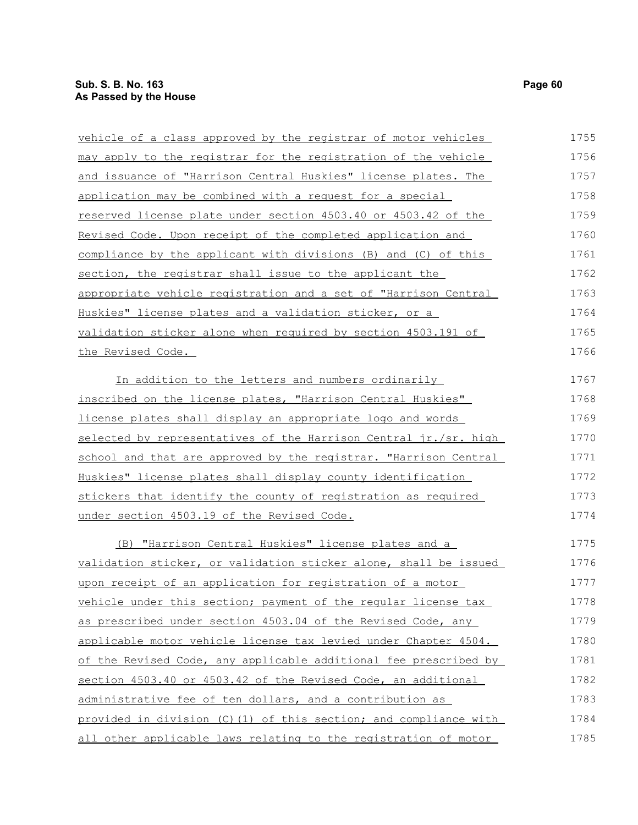| vehicle of a class approved by the registrar of motor vehicles    | 1755 |
|-------------------------------------------------------------------|------|
| may apply to the registrar for the registration of the vehicle    | 1756 |
| and issuance of "Harrison Central Huskies" license plates. The    | 1757 |
| application may be combined with a request for a special          | 1758 |
| reserved license plate under section 4503.40 or 4503.42 of the    | 1759 |
| Revised Code. Upon receipt of the completed application and       | 1760 |
| compliance by the applicant with divisions (B) and (C) of this    | 1761 |
| section, the registrar shall issue to the applicant the           | 1762 |
| appropriate vehicle registration and a set of "Harrison Central   | 1763 |
| Huskies" license plates and a validation sticker, or a            | 1764 |
| validation sticker alone when required by section 4503.191 of     | 1765 |
| the Revised Code.                                                 | 1766 |
| In addition to the letters and numbers ordinarily                 | 1767 |
| inscribed on the license plates, "Harrison Central Huskies"       | 1768 |
| license plates shall display an appropriate logo and words        | 1769 |
| selected by representatives of the Harrison Central jr./sr. high  | 1770 |
| school and that are approved by the registrar. "Harrison Central  | 1771 |
| Huskies" license plates shall display county identification       | 1772 |
| stickers that identify the county of registration as required     | 1773 |
| under section 4503.19 of the Revised Code.                        | 1774 |
| (B) "Harrison Central Huskies" license plates and a               | 1775 |
| validation sticker, or validation sticker alone, shall be issued  | 1776 |
| upon receipt of an application for registration of a motor        | 1777 |
| vehicle under this section; payment of the regular license tax    | 1778 |
| as prescribed under section 4503.04 of the Revised Code, any      | 1779 |
| applicable motor vehicle license tax levied under Chapter 4504.   | 1780 |
| of the Revised Code, any applicable additional fee prescribed by  | 1781 |
| section 4503.40 or 4503.42 of the Revised Code, an additional     | 1782 |
| administrative fee of ten dollars, and a contribution as          | 1783 |
| provided in division (C) (1) of this section; and compliance with | 1784 |
| all other applicable laws relating to the registration of motor   | 1785 |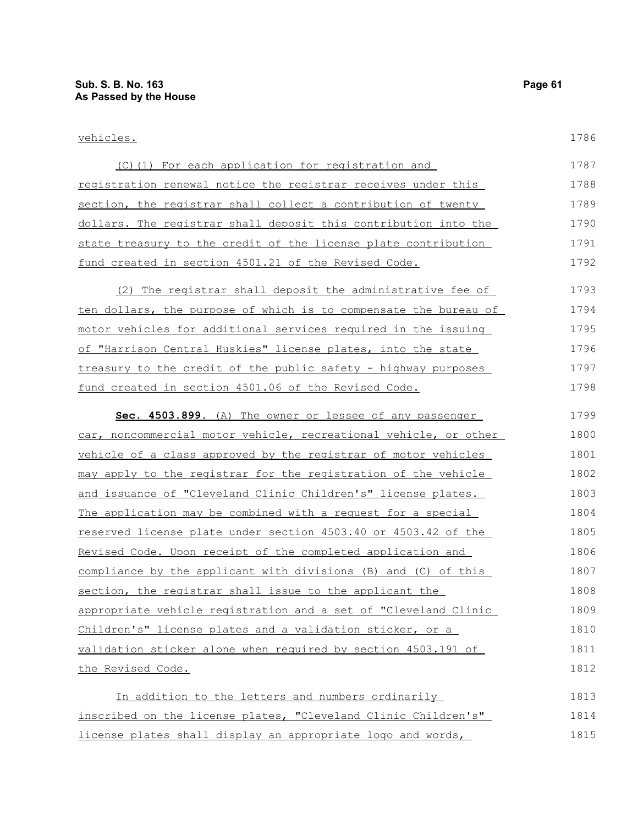1786

| (C)(1) For each application for registration and                 | 1787 |
|------------------------------------------------------------------|------|
| registration renewal notice the registrar receives under this    | 1788 |
| section, the registrar shall collect a contribution of twenty    | 1789 |
| dollars. The registrar shall deposit this contribution into the  | 1790 |
| state treasury to the credit of the license plate contribution   | 1791 |
| fund created in section 4501.21 of the Revised Code.             | 1792 |
| (2) The registrar shall deposit the administrative fee of        | 1793 |
| ten dollars, the purpose of which is to compensate the bureau of | 1794 |
| motor vehicles for additional services required in the issuing   | 1795 |
| of "Harrison Central Huskies" license plates, into the state     | 1796 |
| treasury to the credit of the public safety - highway purposes   | 1797 |
| fund created in section 4501.06 of the Revised Code.             | 1798 |
|                                                                  |      |

| Sec. 4503.899. (A) The owner or lessee of any passenger          | 1799 |
|------------------------------------------------------------------|------|
| car, noncommercial motor vehicle, recreational vehicle, or other | 1800 |
| vehicle of a class approved by the registrar of motor vehicles   | 1801 |
| may apply to the registrar for the registration of the vehicle   | 1802 |
| and issuance of "Cleveland Clinic Children's" license plates.    | 1803 |
| The application may be combined with a request for a special     | 1804 |
| reserved license plate under section 4503.40 or 4503.42 of the   | 1805 |
| Revised Code. Upon receipt of the completed application and      | 1806 |
| compliance by the applicant with divisions (B) and (C) of this   | 1807 |
| section, the registrar shall issue to the applicant the          | 1808 |
| appropriate vehicle registration and a set of "Cleveland Clinic  | 1809 |
| <u>Children's" license plates and a validation sticker, or a</u> | 1810 |
| validation sticker alone when required by section 4503.191 of    | 1811 |
| the Revised Code.                                                | 1812 |
| In addition to the letters and numbers ordinarily                | 1813 |

In addition to the letters and numbers ordinarily inscribed on the license plates, "Cleveland Clinic Children's" license plates shall display an appropriate logo and words, 1814 1815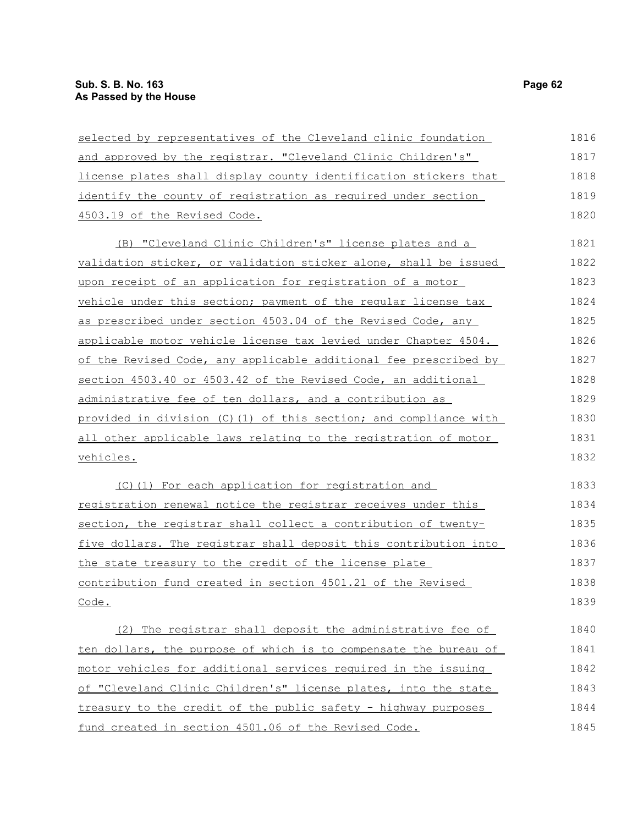| selected by representatives of the Cleveland clinic foundation   | 1816 |
|------------------------------------------------------------------|------|
| and approved by the registrar. "Cleveland Clinic Children's"     | 1817 |
| license plates shall display county identification stickers that | 1818 |
| identify the county of registration as required under section    | 1819 |
| 4503.19 of the Revised Code.                                     | 1820 |
| (B) "Cleveland Clinic Children's" license plates and a           | 1821 |
| validation sticker, or validation sticker alone, shall be issued | 1822 |
| upon receipt of an application for registration of a motor       | 1823 |
| vehicle under this section; payment of the reqular license tax   | 1824 |
| as prescribed under section 4503.04 of the Revised Code, any     | 1825 |
| applicable motor vehicle license tax levied under Chapter 4504.  | 1826 |
| of the Revised Code, any applicable additional fee prescribed by | 1827 |
| section 4503.40 or 4503.42 of the Revised Code, an additional    | 1828 |
| administrative fee of ten dollars, and a contribution as         | 1829 |
| provided in division (C)(1) of this section; and compliance with | 1830 |
| all other applicable laws relating to the registration of motor  | 1831 |
| <u>vehicles.</u>                                                 | 1832 |
| (C)(1) For each application for registration and                 | 1833 |
| registration renewal notice the registrar receives under this    | 1834 |
| section, the registrar shall collect a contribution of twenty-   | 1835 |
| five dollars. The registrar shall deposit this contribution into | 1836 |
| the state treasury to the credit of the license plate            | 1837 |
| contribution fund created in section 4501.21 of the Revised      | 1838 |
| Code.                                                            | 1839 |
| (2) The registrar shall deposit the administrative fee of        | 1840 |
| ten dollars, the purpose of which is to compensate the bureau of | 1841 |
| motor vehicles for additional services required in the issuing   | 1842 |
| of "Cleveland Clinic Children's" license plates, into the state  | 1843 |
| treasury to the credit of the public safety - highway purposes   | 1844 |
| fund created in section 4501.06 of the Revised Code.             | 1845 |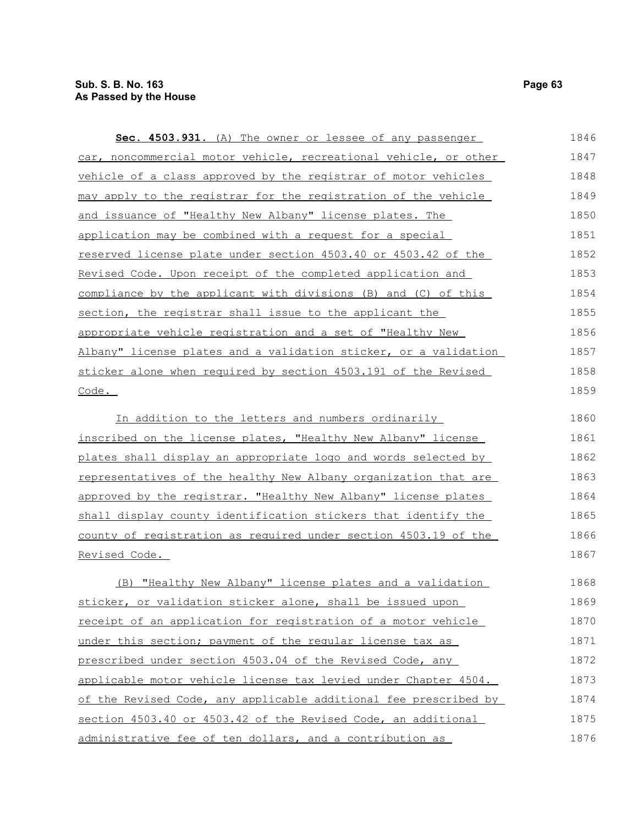| Sec. 4503.931. (A) The owner or lessee of any passenger                | 1846 |
|------------------------------------------------------------------------|------|
| car, noncommercial motor vehicle, recreational vehicle, or other       | 1847 |
| vehicle of a class approved by the registrar of motor vehicles         | 1848 |
| may apply to the registrar for the registration of the vehicle         | 1849 |
| and issuance of "Healthy New Albany" license plates. The               | 1850 |
| application may be combined with a request for a special               | 1851 |
| reserved license plate under section 4503.40 or 4503.42 of the         | 1852 |
| Revised Code. Upon receipt of the completed application and            | 1853 |
| compliance by the applicant with divisions (B) and (C) of this         | 1854 |
| section, the registrar shall issue to the applicant the                | 1855 |
| appropriate vehicle registration and a set of "Healthy New             | 1856 |
| Albany" license plates and a validation sticker, or a validation       | 1857 |
| sticker alone when required by section 4503.191 of the Revised         | 1858 |
| Code.                                                                  | 1859 |
| In addition to the letters and numbers ordinarily                      | 1860 |
| inscribed on the license plates, "Healthy New Albany" license          | 1861 |
| plates shall display an appropriate logo and words selected by         | 1862 |
| <u>representatives of the healthy New Albany organization that are</u> | 1863 |
| approved by the registrar. "Healthy New Albany" license plates         | 1864 |
| shall display county identification stickers that identify the         | 1865 |
| county of registration as required under section 4503.19 of the        | 1866 |
| Revised Code.                                                          | 1867 |
| "Healthy New Albany" license plates and a validation<br>(B)            | 1868 |
| sticker, or validation sticker alone, shall be issued upon             | 1869 |
| receipt of an application for registration of a motor vehicle          | 1870 |
| under this section; payment of the regular license tax as              | 1871 |
| prescribed under section 4503.04 of the Revised Code, any              | 1872 |
| applicable motor vehicle license tax levied under Chapter 4504.        | 1873 |
| of the Revised Code, any applicable additional fee prescribed by       | 1874 |
| section 4503.40 or 4503.42 of the Revised Code, an additional          | 1875 |
| administrative fee of ten dollars, and a contribution as               | 1876 |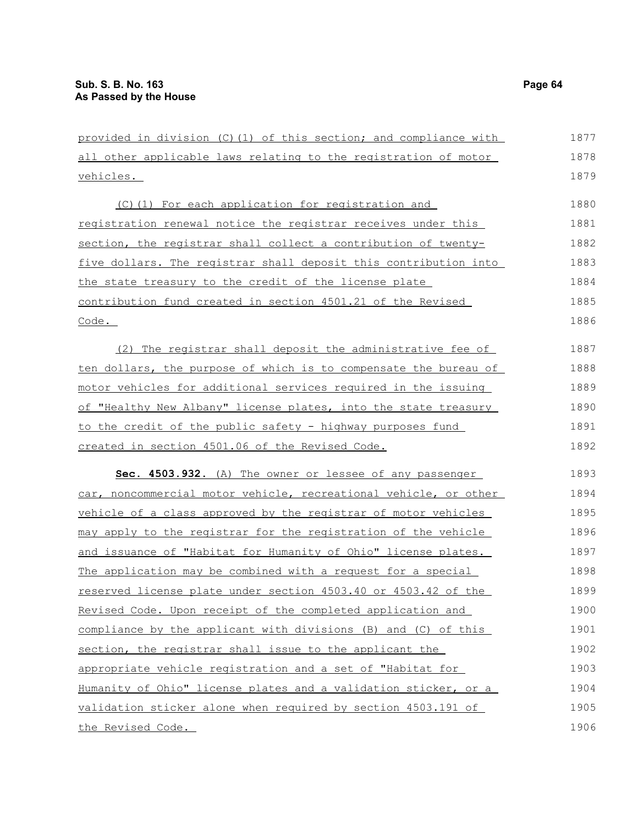| provided in division (C)(1) of this section; and compliance with     | 1877 |
|----------------------------------------------------------------------|------|
| all other applicable laws relating to the registration of motor      | 1878 |
| <u>vehicles.</u>                                                     | 1879 |
| (C)(1) For each application for registration and                     | 1880 |
| <u>registration renewal notice the registrar receives under this</u> | 1881 |
| section, the registrar shall collect a contribution of twenty-       | 1882 |
| five dollars. The registrar shall deposit this contribution into     | 1883 |
| the state treasury to the credit of the license plate                | 1884 |
| contribution fund created in section 4501.21 of the Revised          | 1885 |
| $\frac{\text{Code}}{\text{.}}$                                       | 1886 |
| (2) The registrar shall deposit the administrative fee of            | 1887 |
| ten dollars, the purpose of which is to compensate the bureau of     | 1888 |
| motor vehicles for additional services required in the issuing       | 1889 |
| of "Healthy New Albany" license plates, into the state treasury      | 1890 |
| <u>to the credit of the public safety - highway purposes fund</u>    | 1891 |
| created in section 4501.06 of the Revised Code.                      | 1892 |
| Sec. 4503.932. (A) The owner or lessee of any passenger              | 1893 |
| car, noncommercial motor vehicle, recreational vehicle, or other     | 1894 |
| vehicle of a class approved by the registrar of motor vehicles       | 1895 |
| may apply to the registrar for the registration of the vehicle       | 1896 |
| and issuance of "Habitat for Humanity of Ohio" license plates.       | 1897 |
| The application may be combined with a request for a special         | 1898 |
| reserved license plate under section 4503.40 or 4503.42 of the       | 1899 |
| Revised Code. Upon receipt of the completed application and          | 1900 |
| compliance by the applicant with divisions (B) and (C) of this       | 1901 |
| section, the registrar shall issue to the applicant the              | 1902 |
| appropriate vehicle registration and a set of "Habitat for           | 1903 |
| Humanity of Ohio" license plates and a validation sticker, or a      | 1904 |
| validation sticker alone when required by section 4503.191 of        | 1905 |
| the Revised Code.                                                    | 1906 |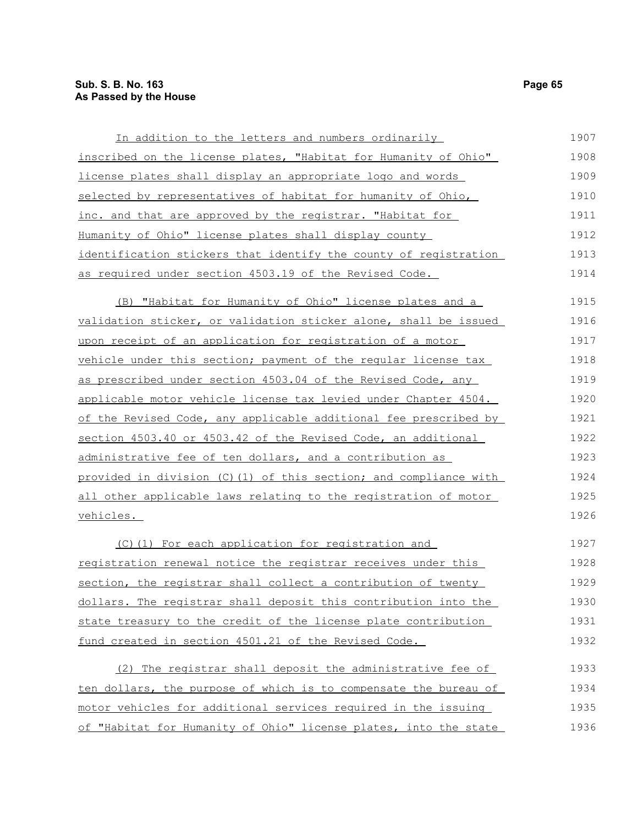| In addition to the letters and numbers ordinarily                | 1907 |
|------------------------------------------------------------------|------|
| inscribed on the license plates, "Habitat for Humanity of Ohio"  | 1908 |
| license plates shall display an appropriate logo and words       | 1909 |
| selected by representatives of habitat for humanity of Ohio,     | 1910 |
| inc. and that are approved by the registrar. "Habitat for        | 1911 |
| Humanity of Ohio" license plates shall display county            | 1912 |
| identification stickers that identify the county of registration | 1913 |
| as required under section 4503.19 of the Revised Code.           | 1914 |
| (B) "Habitat for Humanity of Ohio" license plates and a          | 1915 |
| validation sticker, or validation sticker alone, shall be issued | 1916 |
| upon receipt of an application for registration of a motor       | 1917 |
| vehicle under this section; payment of the regular license tax   | 1918 |
| as prescribed under section 4503.04 of the Revised Code, any     | 1919 |
| applicable motor vehicle license tax levied under Chapter 4504.  | 1920 |
| of the Revised Code, any applicable additional fee prescribed by | 1921 |
| section 4503.40 or 4503.42 of the Revised Code, an additional    | 1922 |
| administrative fee of ten dollars, and a contribution as         | 1923 |
| provided in division (C)(1) of this section; and compliance with | 1924 |
| all other applicable laws relating to the registration of motor  | 1925 |
| vehicles.                                                        | 1926 |
| (C)(1) For each application for registration and                 | 1927 |
| registration renewal notice the registrar receives under this    | 1928 |
| section, the registrar shall collect a contribution of twenty    | 1929 |
| dollars. The registrar shall deposit this contribution into the  | 1930 |

state treasury to the credit of the license plate contribution fund created in section 4501.21 of the Revised Code. 1930 1931 1932

| (2) The registrar shall deposit the administrative fee of        | 1933 |
|------------------------------------------------------------------|------|
| ten dollars, the purpose of which is to compensate the bureau of | 1934 |
| motor vehicles for additional services required in the issuing   | 1935 |
| of "Habitat for Humanity of Ohio" license plates, into the state | 1936 |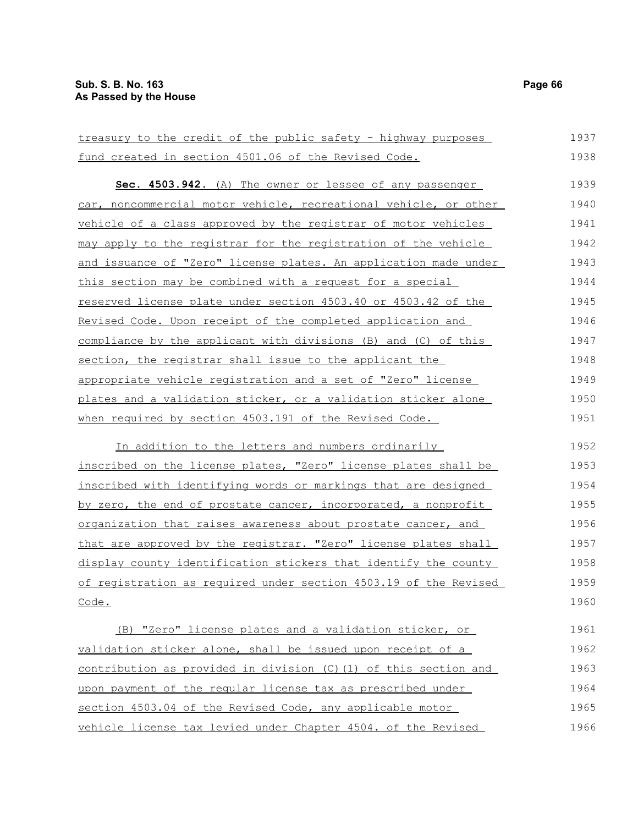treasury to the credit of the public safety - highway purposes fund created in section 4501.06 of the Revised Code. **Sec. 4503.942.** (A) The owner or lessee of any passenger car, noncommercial motor vehicle, recreational vehicle, or other vehicle of a class approved by the registrar of motor vehicles may apply to the registrar for the registration of the vehicle and issuance of "Zero" license plates. An application made under this section may be combined with a request for a special reserved license plate under section 4503.40 or 4503.42 of the Revised Code. Upon receipt of the completed application and compliance by the applicant with divisions (B) and (C) of this section, the registrar shall issue to the applicant the appropriate vehicle registration and a set of "Zero" license plates and a validation sticker, or a validation sticker alone when required by section 4503.191 of the Revised Code. In addition to the letters and numbers ordinarily inscribed on the license plates, "Zero" license plates shall be inscribed with identifying words or markings that are designed by zero, the end of prostate cancer, incorporated, a nonprofit organization that raises awareness about prostate cancer, and that are approved by the registrar. "Zero" license plates shall display county identification stickers that identify the county of registration as required under section 4503.19 of the Revised Code. (B) "Zero" license plates and a validation sticker, or validation sticker alone, shall be issued upon receipt of a contribution as provided in division (C)(1) of this section and upon payment of the regular license tax as prescribed under section 4503.04 of the Revised Code, any applicable motor vehicle license tax levied under Chapter 4504. of the Revised 1937 1938 1939 1940 1941 1942 1943 1944 1945 1946 1947 1948 1949 1950 1951 1952 1953 1954 1955 1956 1957 1958 1959 1960 1961 1962 1963 1964 1965 1966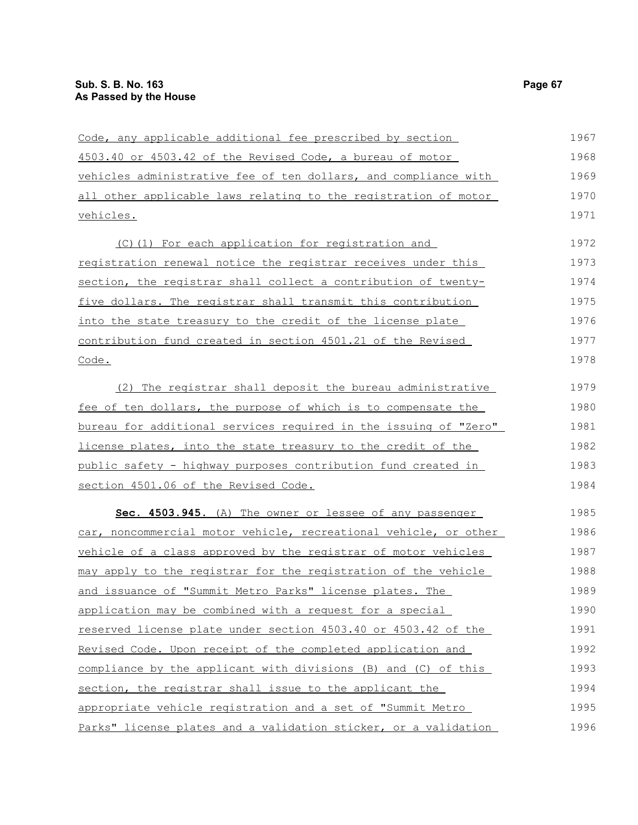| Code, any applicable additional fee prescribed by section            | 1967 |
|----------------------------------------------------------------------|------|
| 4503.40 or 4503.42 of the Revised Code, a bureau of motor            | 1968 |
| vehicles administrative fee of ten dollars, and compliance with      | 1969 |
| all other applicable laws relating to the registration of motor      | 1970 |
| vehicles.                                                            | 1971 |
| (C)(1) For each application for registration and                     | 1972 |
| registration renewal notice the registrar receives under this        | 1973 |
| section, the registrar shall collect a contribution of twenty-       | 1974 |
| five dollars. The registrar shall transmit this contribution         | 1975 |
| into the state treasury to the credit of the license plate           | 1976 |
| contribution fund created in section 4501.21 of the Revised          | 1977 |
| Code.                                                                | 1978 |
| (2) The registrar shall deposit the bureau administrative            | 1979 |
| <u>fee of ten dollars, the purpose of which is to compensate the</u> | 1980 |
| bureau for additional services required in the issuing of "Zero"     | 1981 |
| license plates, into the state treasury to the credit of the         | 1982 |
| public safety - highway purposes contribution fund created in        | 1983 |
| section 4501.06 of the Revised Code.                                 | 1984 |
| Sec. 4503.945. (A) The owner or lessee of any passenger              | 1985 |
| car, noncommercial motor vehicle, recreational vehicle, or other     | 1986 |
| vehicle of a class approved by the registrar of motor vehicles       | 1987 |
| may apply to the registrar for the registration of the vehicle       | 1988 |
| and issuance of "Summit Metro Parks" license plates. The             | 1989 |
| application may be combined with a request for a special             | 1990 |
| reserved license plate under section 4503.40 or 4503.42 of the       | 1991 |
| Revised Code. Upon receipt of the completed application and          | 1992 |
| compliance by the applicant with divisions (B) and (C) of this       | 1993 |
| section, the registrar shall issue to the applicant the              | 1994 |
| appropriate vehicle registration and a set of "Summit Metro          | 1995 |
| Parks" license plates and a validation sticker, or a validation      | 1996 |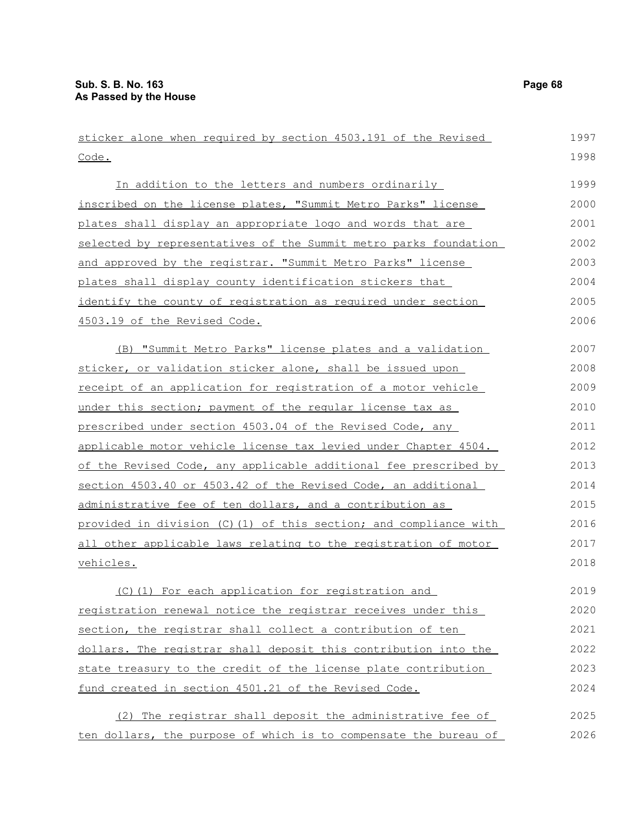| sticker alone when required by section 4503.191 of the Revised   | 1997 |
|------------------------------------------------------------------|------|
| Code.                                                            | 1998 |
| In addition to the letters and numbers ordinarily                | 1999 |
| inscribed on the license plates, "Summit Metro Parks" license    | 2000 |
| plates shall display an appropriate logo and words that are      | 2001 |
| selected by representatives of the Summit metro parks foundation | 2002 |
| and approved by the registrar. "Summit Metro Parks" license      | 2003 |
| plates shall display county identification stickers that         | 2004 |
| identify the county of registration as required under section    | 2005 |
| 4503.19 of the Revised Code.                                     | 2006 |
|                                                                  |      |
| (B) "Summit Metro Parks" license plates and a validation         | 2007 |
| sticker, or validation sticker alone, shall be issued upon       | 2008 |
| receipt of an application for registration of a motor vehicle    | 2009 |
| under this section; payment of the regular license tax as        | 2010 |
| prescribed under section 4503.04 of the Revised Code, any        | 2011 |
| applicable motor vehicle license tax levied under Chapter 4504.  | 2012 |
| of the Revised Code, any applicable additional fee prescribed by | 2013 |
| section 4503.40 or 4503.42 of the Revised Code, an additional    | 2014 |
| administrative fee of ten dollars, and a contribution as         | 2015 |
| provided in division (C)(1) of this section; and compliance with | 2016 |
| all other applicable laws relating to the registration of motor  | 2017 |
| vehicles.                                                        | 2018 |
| (C) (1) For each application for registration and                | 2019 |
| registration renewal notice the registrar receives under this    | 2020 |
| section, the registrar shall collect a contribution of ten       | 2021 |
| dollars. The registrar shall deposit this contribution into the  | 2022 |
| state treasury to the credit of the license plate contribution   | 2023 |
| fund created in section 4501.21 of the Revised Code.             | 2024 |
|                                                                  |      |
| (2) The registrar shall deposit the administrative fee of        | 2025 |
| ten dollars, the purpose of which is to compensate the bureau of | 2026 |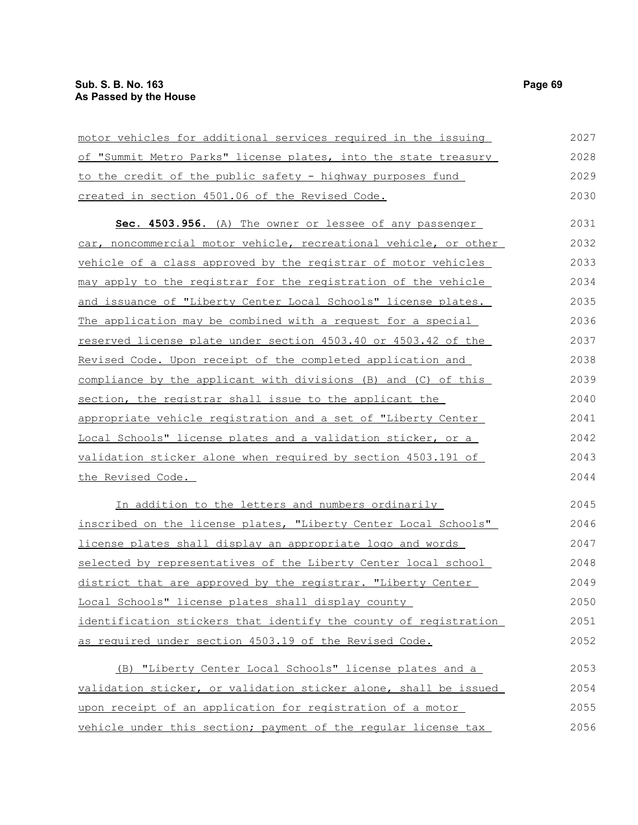| motor vehicles for additional services required in the issuing   | 2027 |
|------------------------------------------------------------------|------|
| of "Summit Metro Parks" license plates, into the state treasury  | 2028 |
| to the credit of the public safety - highway purposes fund       | 2029 |
| created in section 4501.06 of the Revised Code.                  | 2030 |
| Sec. 4503.956. (A) The owner or lessee of any passenger          | 2031 |
| car, noncommercial motor vehicle, recreational vehicle, or other | 2032 |
| vehicle of a class approved by the registrar of motor vehicles   | 2033 |
| may apply to the registrar for the registration of the vehicle   | 2034 |
| and issuance of "Liberty Center Local Schools" license plates.   | 2035 |
| The application may be combined with a request for a special     | 2036 |
| reserved license plate under section 4503.40 or 4503.42 of the   | 2037 |
| Revised Code. Upon receipt of the completed application and      | 2038 |
| compliance by the applicant with divisions (B) and (C) of this   | 2039 |
| section, the registrar shall issue to the applicant the          | 2040 |
| appropriate vehicle registration and a set of "Liberty Center    | 2041 |
| Local Schools" license plates and a validation sticker, or a     | 2042 |
| validation sticker alone when required by section 4503.191 of    | 2043 |
| the Revised Code.                                                | 2044 |
| In addition to the letters and numbers ordinarily                | 2045 |
| inscribed on the license plates, "Liberty Center Local Schools"  | 2046 |
| license plates shall display an appropriate logo and words       | 2047 |
| selected by representatives of the Liberty Center local school   | 2048 |
| district that are approved by the registrar. "Liberty Center     | 2049 |
| Local Schools" license plates shall display county               | 2050 |
| identification stickers that identify the county of registration | 2051 |

(B) "Liberty Center Local Schools" license plates and a validation sticker, or validation sticker alone, shall be issued upon receipt of an application for registration of a motor vehicle under this section; payment of the regular license tax 2053 2054 2055 2056

as required under section 4503.19 of the Revised Code.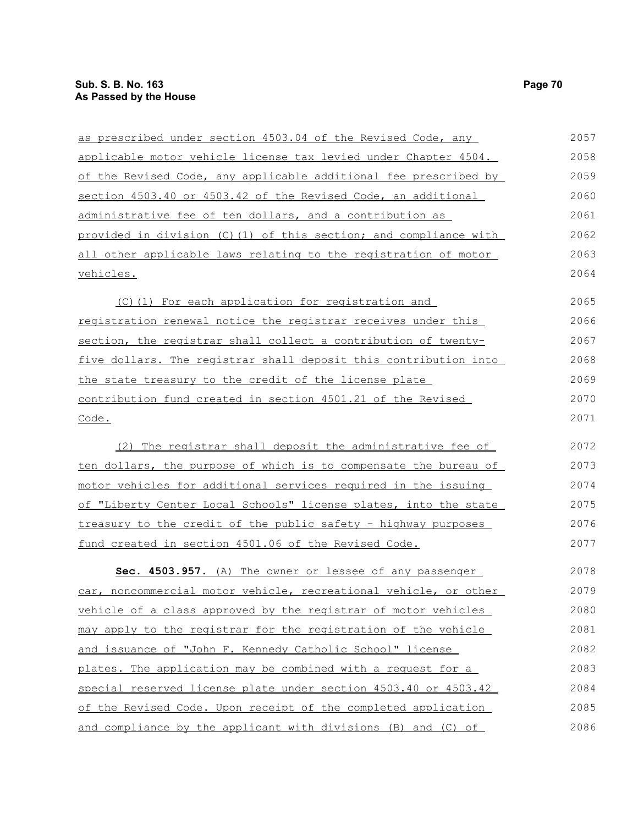| as prescribed under section 4503.04 of the Revised Code, any     | 2057 |
|------------------------------------------------------------------|------|
| applicable motor vehicle license tax levied under Chapter 4504.  | 2058 |
| of the Revised Code, any applicable additional fee prescribed by | 2059 |
| section 4503.40 or 4503.42 of the Revised Code, an additional    | 2060 |
| administrative fee of ten dollars, and a contribution as         | 2061 |
| provided in division (C)(1) of this section; and compliance with | 2062 |
| all other applicable laws relating to the registration of motor  | 2063 |
| vehicles.                                                        | 2064 |
| (C)(1) For each application for registration and                 | 2065 |
| registration renewal notice the registrar receives under this    | 2066 |
| section, the registrar shall collect a contribution of twenty-   | 2067 |
| five dollars. The registrar shall deposit this contribution into | 2068 |
| the state treasury to the credit of the license plate            | 2069 |
| contribution fund created in section 4501.21 of the Revised      | 2070 |
| Code.                                                            | 2071 |
| (2) The registrar shall deposit the administrative fee of        | 2072 |
| ten dollars, the purpose of which is to compensate the bureau of | 2073 |
| motor vehicles for additional services required in the issuing   | 2074 |
| of "Liberty Center Local Schools" license plates, into the state | 2075 |
| treasury to the credit of the public safety - highway purposes   | 2076 |
| fund created in section 4501.06 of the Revised Code.             | 2077 |
| Sec. 4503.957. (A) The owner or lessee of any passenger          | 2078 |
| car, noncommercial motor vehicle, recreational vehicle, or other | 2079 |
| vehicle of a class approved by the registrar of motor vehicles   | 2080 |
| may apply to the registrar for the registration of the vehicle   | 2081 |
| and issuance of "John F. Kennedy Catholic School" license        | 2082 |
| plates. The application may be combined with a request for a     | 2083 |
| special reserved license plate under section 4503.40 or 4503.42  | 2084 |
| of the Revised Code. Upon receipt of the completed application   | 2085 |
|                                                                  |      |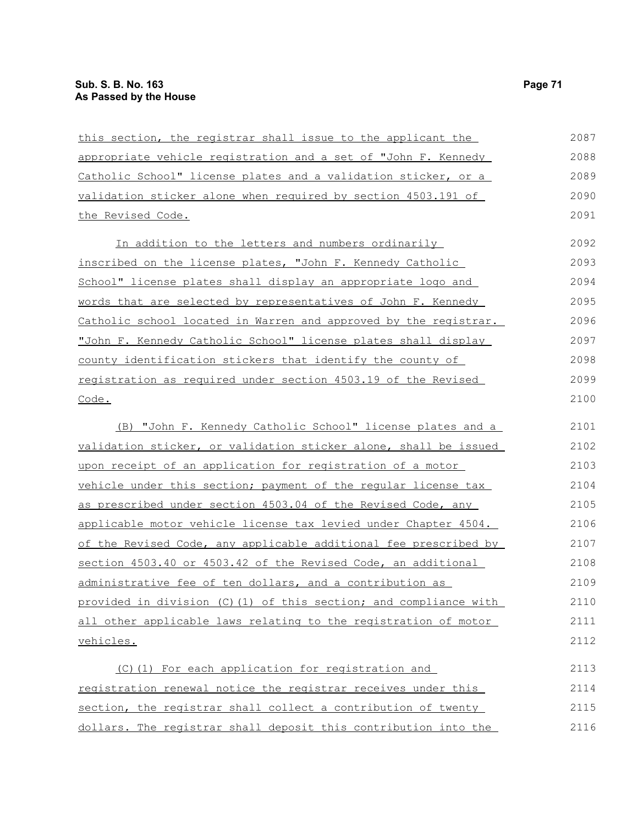| this section, the registrar shall issue to the applicant the      | 2087 |
|-------------------------------------------------------------------|------|
| appropriate vehicle registration and a set of "John F. Kennedy    | 2088 |
| Catholic School" license plates and a validation sticker, or a    | 2089 |
| validation sticker alone when required by section 4503.191 of     | 2090 |
| the Revised Code.                                                 | 2091 |
| In addition to the letters and numbers ordinarily                 | 2092 |
| inscribed on the license plates, "John F. Kennedy Catholic        | 2093 |
| School" license plates shall display an appropriate logo and      | 2094 |
| words that are selected by representatives of John F. Kennedy     | 2095 |
| Catholic school located in Warren and approved by the registrar.  | 2096 |
| "John F. Kennedy Catholic School" license plates shall display    | 2097 |
| county identification stickers that identify the county of        | 2098 |
| registration as required under section 4503.19 of the Revised     | 2099 |
| Code.                                                             | 2100 |
| (B) "John F. Kennedy Catholic School" license plates and a        | 2101 |
| validation sticker, or validation sticker alone, shall be issued  | 2102 |
| upon receipt of an application for registration of a motor        | 2103 |
| vehicle under this section; payment of the regular license tax    | 2104 |
| as prescribed under section 4503.04 of the Revised Code, any      | 2105 |
| applicable motor vehicle license tax levied under Chapter 4504.   | 2106 |
| of the Revised Code, any applicable additional fee prescribed by  | 2107 |
| section 4503.40 or 4503.42 of the Revised Code, an additional     | 2108 |
| administrative fee of ten dollars, and a contribution as          | 2109 |
| provided in division (C) (1) of this section; and compliance with | 2110 |
| all other applicable laws relating to the registration of motor   | 2111 |
| vehicles.                                                         | 2112 |
| (C)(1) For each application for registration and                  | 2113 |
| registration renewal notice the registrar receives under this     | 2114 |
| section, the registrar shall collect a contribution of twenty     | 2115 |
| dollars. The registrar shall deposit this contribution into the   | 2116 |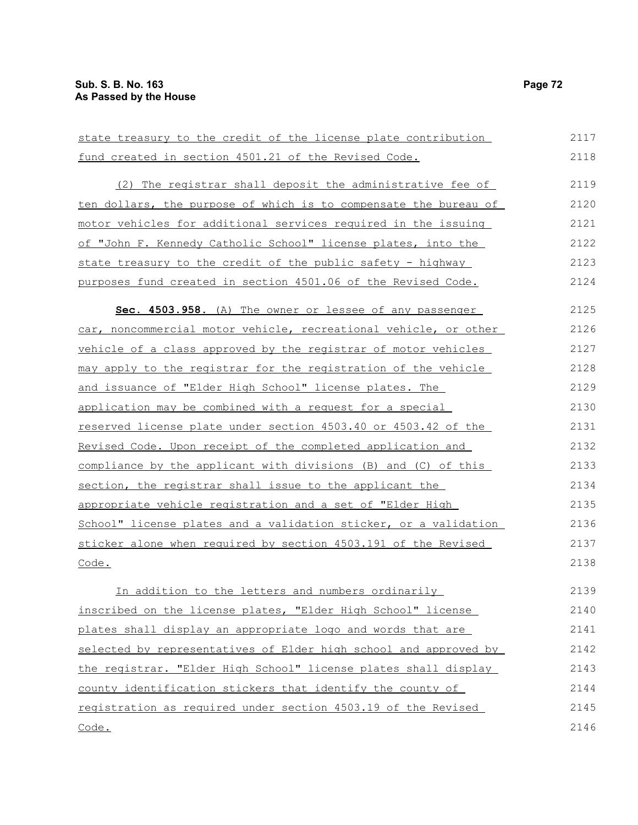| state treasury to the credit of the license plate contribution   | 2117 |
|------------------------------------------------------------------|------|
| fund created in section 4501.21 of the Revised Code.             | 2118 |
| (2) The registrar shall deposit the administrative fee of        | 2119 |
| ten dollars, the purpose of which is to compensate the bureau of | 2120 |
| motor vehicles for additional services required in the issuing   | 2121 |
| of "John F. Kennedy Catholic School" license plates, into the    | 2122 |
| state treasury to the credit of the public safety - highway      | 2123 |
| purposes fund created in section 4501.06 of the Revised Code.    | 2124 |
| Sec. 4503.958. (A) The owner or lessee of any passenger          | 2125 |
| car, noncommercial motor vehicle, recreational vehicle, or other | 2126 |
| vehicle of a class approved by the registrar of motor vehicles   | 2127 |
| may apply to the registrar for the registration of the vehicle   | 2128 |
| and issuance of "Elder High School" license plates. The          | 2129 |
| application may be combined with a request for a special         | 2130 |
| reserved license plate under section 4503.40 or 4503.42 of the   | 2131 |
| Revised Code. Upon receipt of the completed application and      | 2132 |
| compliance by the applicant with divisions (B) and (C) of this   | 2133 |
| section, the registrar shall issue to the applicant the          | 2134 |
| appropriate vehicle registration and a set of "Elder High        | 2135 |
| School" license plates and a validation sticker, or a validation | 2136 |
| sticker alone when required by section 4503.191 of the Revised   | 2137 |
| Code.                                                            | 2138 |
| In addition to the letters and numbers ordinarily                | 2139 |
| inscribed on the license plates, "Elder High School" license     | 2140 |
| plates shall display an appropriate logo and words that are      | 2141 |
| selected by representatives of Elder high school and approved by | 2142 |
| the registrar. "Elder High School" license plates shall display  | 2143 |
| county identification stickers that identify the county of       | 2144 |
| registration as required under section 4503.19 of the Revised    | 2145 |
| Code.                                                            | 2146 |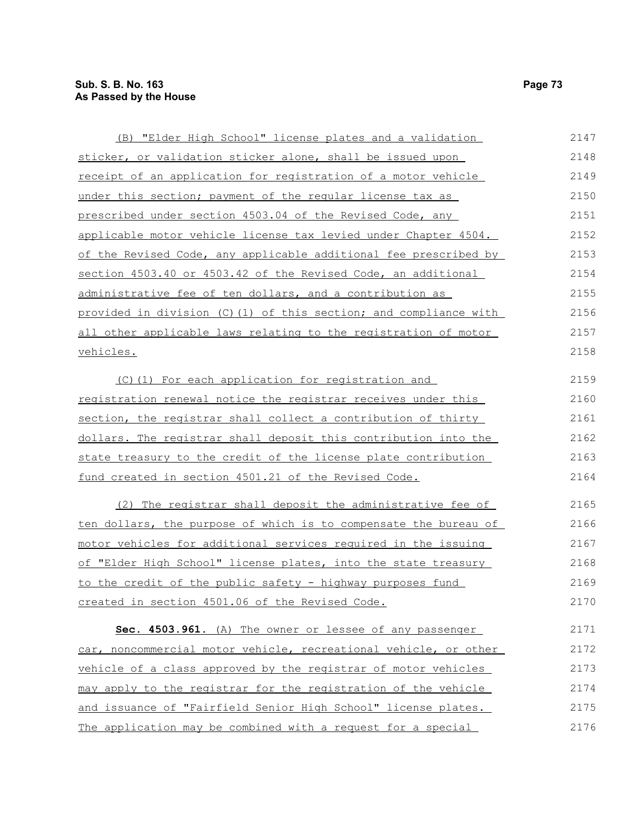| (B) "Elder High School" license plates and a validation          | 2147 |
|------------------------------------------------------------------|------|
| sticker, or validation sticker alone, shall be issued upon       | 2148 |
| receipt of an application for registration of a motor vehicle    | 2149 |
| under this section; payment of the regular license tax as        | 2150 |
| prescribed under section 4503.04 of the Revised Code, any        | 2151 |
| applicable motor vehicle license tax levied under Chapter 4504.  | 2152 |
| of the Revised Code, any applicable additional fee prescribed by | 2153 |
| section 4503.40 or 4503.42 of the Revised Code, an additional    | 2154 |
| administrative fee of ten dollars, and a contribution as         | 2155 |
| provided in division (C)(1) of this section; and compliance with | 2156 |
| all other applicable laws relating to the registration of motor  | 2157 |
| vehicles.                                                        | 2158 |
| (C)(1) For each application for registration and                 | 2159 |
| registration renewal notice the registrar receives under this    | 2160 |
| section, the registrar shall collect a contribution of thirty    | 2161 |
| dollars. The registrar shall deposit this contribution into the  | 2162 |
| state treasury to the credit of the license plate contribution   | 2163 |
| fund created in section 4501.21 of the Revised Code.             | 2164 |
| (2) The registrar shall deposit the administrative fee of        | 2165 |
| ten dollars, the purpose of which is to compensate the bureau of | 2166 |
| motor vehicles for additional services required in the issuing   | 2167 |
| of "Elder High School" license plates, into the state treasury   | 2168 |
| to the credit of the public safety - highway purposes fund       | 2169 |
| created in section 4501.06 of the Revised Code.                  | 2170 |
| Sec. 4503.961. (A) The owner or lessee of any passenger          | 2171 |
| car, noncommercial motor vehicle, recreational vehicle, or other | 2172 |
| vehicle of a class approved by the registrar of motor vehicles   | 2173 |
| may apply to the registrar for the registration of the vehicle   | 2174 |
| and issuance of "Fairfield Senior High School" license plates.   | 2175 |
| The application may be combined with a request for a special     | 2176 |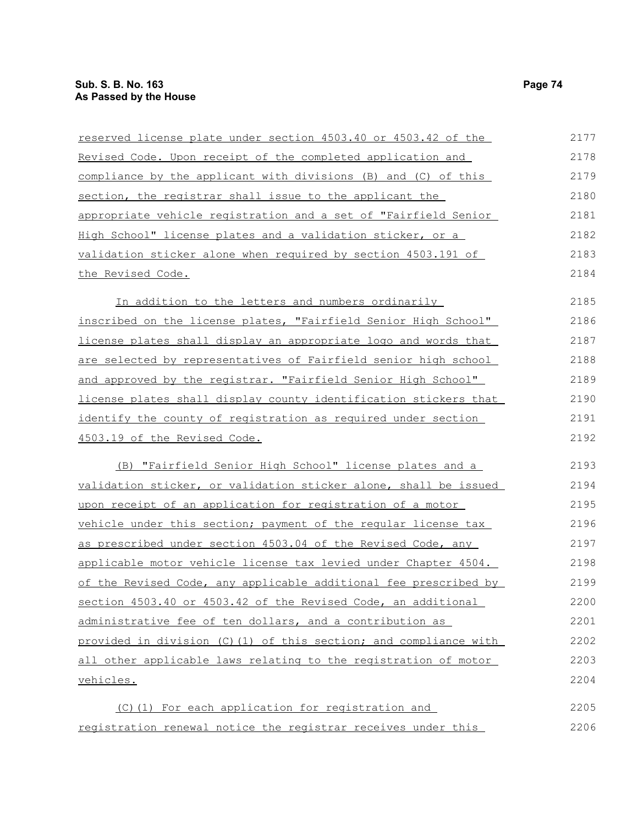| reserved license plate under section 4503.40 or 4503.42 of the   | 2177 |
|------------------------------------------------------------------|------|
| Revised Code. Upon receipt of the completed application and      | 2178 |
| compliance by the applicant with divisions (B) and (C) of this   | 2179 |
| section, the registrar shall issue to the applicant the          | 2180 |
| appropriate vehicle registration and a set of "Fairfield Senior  | 2181 |
| High School" license plates and a validation sticker, or a       | 2182 |
| validation sticker alone when required by section 4503.191 of    | 2183 |
| the Revised Code.                                                | 2184 |
| In addition to the letters and numbers ordinarily                | 2185 |
| inscribed on the license plates, "Fairfield Senior High School"  | 2186 |
| license plates shall display an appropriate logo and words that  | 2187 |
| are selected by representatives of Fairfield senior high school  | 2188 |
| and approved by the registrar. "Fairfield Senior High School"    | 2189 |
| license plates shall display county identification stickers that | 2190 |
| identify the county of registration as required under section    | 2191 |
| 4503.19 of the Revised Code.                                     | 2192 |
| (B) "Fairfield Senior High School" license plates and a          | 2193 |
| validation sticker, or validation sticker alone, shall be issued | 2194 |
| upon receipt of an application for registration of a motor       | 2195 |
| vehicle under this section; payment of the regular license tax   | 2196 |
| as prescribed under section 4503.04 of the Revised Code, any     | 2197 |
| applicable motor vehicle license tax levied under Chapter 4504.  | 2198 |
| of the Revised Code, any applicable additional fee prescribed by | 2199 |
| section 4503.40 or 4503.42 of the Revised Code, an additional    | 2200 |
| administrative fee of ten dollars, and a contribution as         | 2201 |
| provided in division (C)(1) of this section; and compliance with | 2202 |
| all other applicable laws relating to the registration of motor  | 2203 |
| vehicles.                                                        | 2204 |
| (C)(1) For each application for registration and                 | 2205 |
| registration renewal notice the registrar receives under this    | 2206 |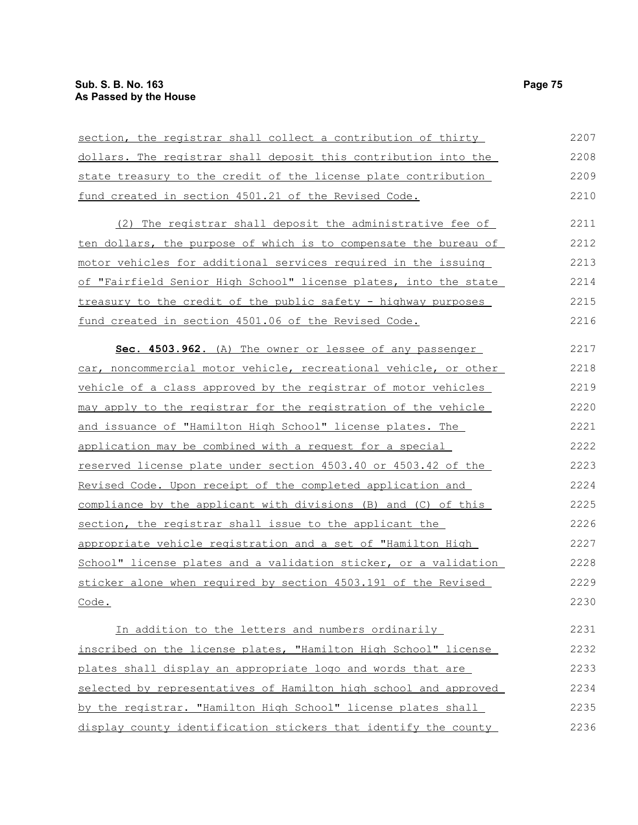| section, the registrar shall collect a contribution of thirty    | 2207 |
|------------------------------------------------------------------|------|
| dollars. The registrar shall deposit this contribution into the  | 2208 |
| state treasury to the credit of the license plate contribution   | 2209 |
| fund created in section 4501.21 of the Revised Code.             | 2210 |
| (2) The registrar shall deposit the administrative fee of        | 2211 |
| ten dollars, the purpose of which is to compensate the bureau of | 2212 |
| motor vehicles for additional services required in the issuing   | 2213 |
| of "Fairfield Senior High School" license plates, into the state | 2214 |
| treasury to the credit of the public safety - highway purposes   | 2215 |
| fund created in section 4501.06 of the Revised Code.             | 2216 |
| Sec. 4503.962. (A) The owner or lessee of any passenger          | 2217 |
| car, noncommercial motor vehicle, recreational vehicle, or other | 2218 |
| vehicle of a class approved by the registrar of motor vehicles   | 2219 |
| may apply to the registrar for the registration of the vehicle   | 2220 |
| and issuance of "Hamilton High School" license plates. The       | 2221 |
| application may be combined with a request for a special         | 2222 |
| reserved license plate under section 4503.40 or 4503.42 of the   | 2223 |
| Revised Code. Upon receipt of the completed application and      | 2224 |
| compliance by the applicant with divisions (B) and (C) of this   | 2225 |
| section, the registrar shall issue to the applicant the          | 2226 |
| appropriate vehicle registration and a set of "Hamilton High     | 2227 |
| School" license plates and a validation sticker, or a validation | 2228 |
| sticker alone when required by section 4503.191 of the Revised   | 2229 |
| Code.                                                            | 2230 |
| In addition to the letters and numbers ordinarily                | 2231 |
| inscribed on the license plates, "Hamilton High School" license  | 2232 |
| plates shall display an appropriate logo and words that are      | 2233 |
| selected by representatives of Hamilton high school and approved | 2234 |
| by the registrar. "Hamilton High School" license plates shall    | 2235 |
| display county identification stickers that identify the county  | 2236 |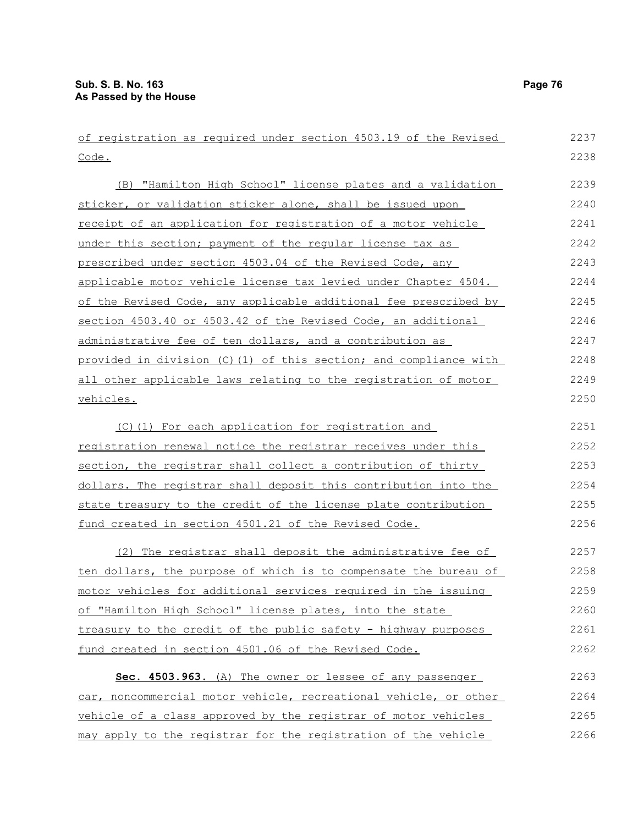| of registration as required under section 4503.19 of the Revised | 2237 |
|------------------------------------------------------------------|------|
| Code.                                                            | 2238 |
| (B) "Hamilton High School" license plates and a validation       | 2239 |
| sticker, or validation sticker alone, shall be issued upon       | 2240 |
| receipt of an application for registration of a motor vehicle    | 2241 |
| under this section; payment of the reqular license tax as        | 2242 |
| prescribed under section 4503.04 of the Revised Code, any        | 2243 |
| applicable motor vehicle license tax levied under Chapter 4504.  | 2244 |
| of the Revised Code, any applicable additional fee prescribed by | 2245 |
| section 4503.40 or 4503.42 of the Revised Code, an additional    | 2246 |
| administrative fee of ten dollars, and a contribution as         | 2247 |
| provided in division (C)(1) of this section; and compliance with | 2248 |
| all other applicable laws relating to the registration of motor  | 2249 |
| vehicles.                                                        | 2250 |
|                                                                  |      |
| (C)(1) For each application for registration and                 | 2251 |
| registration renewal notice the registrar receives under this    | 2252 |
| section, the registrar shall collect a contribution of thirty    | 2253 |
| dollars. The registrar shall deposit this contribution into the  | 2254 |
| state treasury to the credit of the license plate contribution   | 2255 |
| fund created in section 4501.21 of the Revised Code.             | 2256 |
| (2) The registrar shall deposit the administrative fee of        | 2257 |
| ten dollars, the purpose of which is to compensate the bureau of | 2258 |
| motor vehicles for additional services required in the issuing   | 2259 |
| of "Hamilton High School" license plates, into the state         | 2260 |
| treasury to the credit of the public safety - highway purposes   | 2261 |
| fund created in section 4501.06 of the Revised Code.             | 2262 |
| Sec. 4503.963. (A) The owner or lessee of any passenger          | 2263 |
| car, noncommercial motor vehicle, recreational vehicle, or other | 2264 |
| vehicle of a class approved by the registrar of motor vehicles   | 2265 |
| may apply to the registrar for the registration of the vehicle   | 2266 |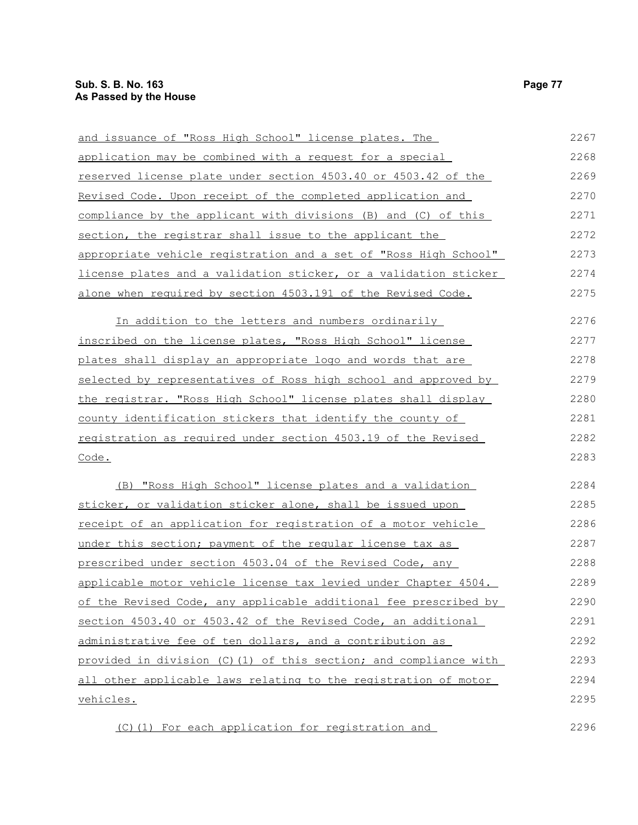| and issuance of "Ross High School" license plates. The           | 2267 |
|------------------------------------------------------------------|------|
| application may be combined with a request for a special         | 2268 |
| reserved license plate under section 4503.40 or 4503.42 of the   | 2269 |
| Revised Code. Upon receipt of the completed application and      | 2270 |
| compliance by the applicant with divisions (B) and (C) of this   | 2271 |
| section, the registrar shall issue to the applicant the          | 2272 |
| appropriate vehicle registration and a set of "Ross High School" | 2273 |
| license plates and a validation sticker, or a validation sticker | 2274 |
| alone when required by section 4503.191 of the Revised Code.     | 2275 |
| In addition to the letters and numbers ordinarily                | 2276 |
| inscribed on the license plates, "Ross High School" license      | 2277 |
| plates shall display an appropriate logo and words that are      | 2278 |
| selected by representatives of Ross high school and approved by  | 2279 |
| the registrar. "Ross High School" license plates shall display   | 2280 |
| county identification stickers that identify the county of       | 2281 |
| registration as required under section 4503.19 of the Revised    | 2282 |
| Code.                                                            | 2283 |
| (B) "Ross High School" license plates and a validation           | 2284 |
| sticker, or validation sticker alone, shall be issued upon       | 2285 |
| receipt of an application for registration of a motor vehicle    | 2286 |
| under this section; payment of the regular license tax as        | 2287 |
| prescribed under section 4503.04 of the Revised Code, any        | 2288 |
| applicable motor vehicle license tax levied under Chapter 4504.  | 2289 |
| of the Revised Code, any applicable additional fee prescribed by | 2290 |
| section 4503.40 or 4503.42 of the Revised Code, an additional    | 2291 |
| administrative fee of ten dollars, and a contribution as         | 2292 |
| provided in division (C)(1) of this section; and compliance with | 2293 |
| all other applicable laws relating to the registration of motor  | 2294 |
| vehicles.                                                        | 2295 |
| (C) (1) For each application for registration and                | 2296 |

(C)(1) For each application for registration and